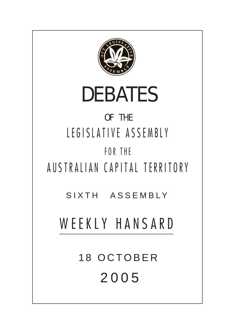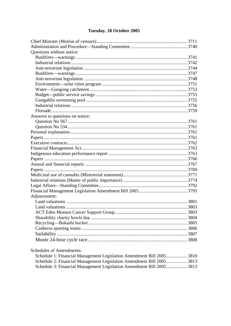# Tuesday, 18 October 2005

| Questions without notice:       |  |
|---------------------------------|--|
|                                 |  |
|                                 |  |
|                                 |  |
|                                 |  |
|                                 |  |
|                                 |  |
|                                 |  |
|                                 |  |
|                                 |  |
|                                 |  |
|                                 |  |
| Answers to questions on notice: |  |
|                                 |  |
|                                 |  |
|                                 |  |
|                                 |  |
|                                 |  |
|                                 |  |
|                                 |  |
|                                 |  |
|                                 |  |
|                                 |  |
|                                 |  |
|                                 |  |
|                                 |  |
|                                 |  |
| Adjournment:                    |  |
|                                 |  |
|                                 |  |
|                                 |  |
|                                 |  |
|                                 |  |
|                                 |  |
|                                 |  |
|                                 |  |
|                                 |  |

**Schedules of Amendments:** 

| Schedule 1: Financial Management Legislation Amendment Bill 20053810 |  |
|----------------------------------------------------------------------|--|
| Schedule 2: Financial Management Legislation Amendment Bill 20053813 |  |
| Schedule 3: Financial Management Legislation Amendment Bill 20053813 |  |
|                                                                      |  |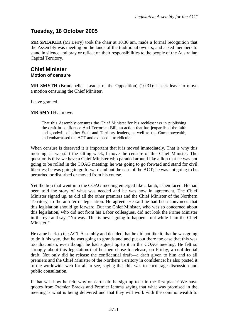## <span id="page-2-0"></span>**Tuesday, 18 October 2005**

**MR SPEAKER** (Mr Berry) took the chair at 10.30 am, made a formal recognition that the Assembly was meeting on the lands of the traditional owners, and asked members to stand in silence and pray or reflect on their responsibilities to the people of the Australian Capital Territory.

## **Chief Minister Motion of censure**

**MR SMYTH** (Brindabella—Leader of the Opposition) (10.31): I seek leave to move a motion censuring the Chief Minister.

Leave granted.

#### **MR SMYTH**: I move:

That this Assembly censures the Chief Minister for his recklessness in publishing the draft-in-confidence Anti-Terrorism Bill, an action that has jeopardised the faith and goodwill of other State and Territory leaders, as well as the Commonwealth, and embarrassed the ACT and exposed it to ridicule.

When censure is deserved it is important that it is moved immediately. That is why this morning, as we start the sitting week, I move the censure of this Chief Minister. The question is this: we have a Chief Minister who paraded around like a lion that he was not going to be rolled in the COAG meeting; he was going to go forward and stand for civil liberties; he was going to go forward and put the case of the ACT; he was not going to be perturbed or disturbed or moved from his course.

Yet the lion that went into the COAG meeting emerged like a lamb, ashen faced. He had been told the story of what was needed and he was now in agreement. The Chief Minister signed up, as did all the other premiers and the Chief Minister of the Northern Territory, to the anti-terror legislation. He agreed. He said he had been convinced that this legislation should go forward. But the Chief Minister, who was so concerned about this legislation, who did not front his Labor colleagues, did not look the Prime Minister in the eye and say, "No way. This is never going to happen—not while I am the Chief Minister."

He came back to the ACT Assembly and decided that he did not like it, that he was going to do it his way, that he was going to grandstand and put out there the case that this was too draconian, even though he had signed up to it in the COAG meeting. He felt so strongly about this legislation that he then chose to release, on Friday, a confidential draft. Not only did he release the confidential draft—a draft given to him and to all premiers and the Chief Minister of the Northern Territory in confidence; he also posted it to the worldwide web for all to see, saying that this was to encourage discussion and public consultation.

If that was how he felt, why on earth did he sign up to it in the first place? We have quotes from Premier Bracks and Premier Iemma saying that what was promised in the meeting is what is being delivered and that they will work with the commonwealth to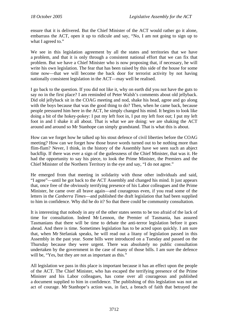ensure that it is delivered. But the Chief Minister of the ACT would rather go it alone, embarrass the ACT, open it up to ridicule and say, "No, I am not going to sign up to what I agreed to."

We see in this legislation agreement by all the states and territories that we have a problem, and that it is only through a consistent national effort that we can fix that problem. But we have a Chief Minister who is now proposing that, if necessary, he will write his own legislation. The fear that has been raised by this side of the house for some time now—that we will become the back door for terrorist activity by not having nationally consistent legislation in the ACT—may well be realised.

I go back to the question. If you did not like it, why on earth did you not have the guts to say no in the first place? I am reminded of Peter Walsh's comments about old jellyback. Did old jellyback sit in the COAG meeting and nod, shake his head, agree and go along with the boys because that was the good thing to do? Then, when he came back, because people pressured him here in the ACT, he simply changed his mind. It begins to look like doing a bit of the hokey-pokey: I put my left foot in, I put my left foot out; I put my left foot in and I shake it all about. That is what we are doing: we are shaking the ACT around and around so Mr Stanhope can simply grandstand. That is what this is about.

How can we forget how he talked up his stout defence of civil liberties before the COAG meeting? How can we forget how those brave words turned out to be nothing more than flim-flam? Never, I think, in the history of the Assembly have we seen such an abject backflip. If there was ever a sign of the gutlessness of the Chief Minister, that was it. He had the opportunity to say his piece, to look the Prime Minister, the Premiers and the Chief Minister of the Northern Territory in the eye and say, "I do not agree."

He emerged from that meeting in solidarity with those other individuals and said, "I agree"—until he got back to the ACT Assembly and changed his mind. It just appears that, once free of the obviously terrifying presence of his Labor colleagues and the Prime Minister, he came over all brave again—and courageous even, if you read some of the letters in the *Canberra Times*—and published the draft legislation that had been supplied to him in confidence. Why did he do it? So that there could be community consultation.

It is interesting that nobody in any of the other states seems to be too afraid of the lack of time for consultation. Indeed Mr Lennon, the Premier of Tasmania, has assured Tasmanians that there will be time to debate the anti-terror legislation before it goes ahead. And there is time. Sometimes legislation has to be acted upon quickly. I am sure that, when Mr Stefaniak speaks, he will read out a litany of legislation passed in this Assembly in the past year. Some bills were introduced on a Tuesday and passed on the Thursday because they were urgent. There was absolutely no public consultation undertaken by the government in the case of many of those bills. I am sure the defence will be, "Yes, but they are not as important as this."

All legislation we pass in this place is important because it has an effect upon the people of the ACT. The Chief Minister, who has escaped the terrifying presence of the Prime Minister and his Labor colleagues, has come over all courageous and published a document supplied to him in confidence. The publishing of this legislation was not an act of courage. Mr Stanhope's action was, in fact, a breach of faith that betrayed the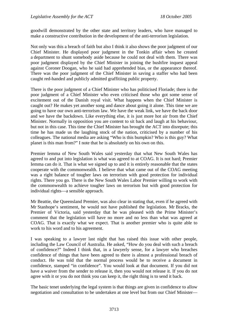goodwill demonstrated by the other state and territory leaders, who have managed to make a constructive contribution in the development of the anti-terrorism legislation.

Not only was this a breach of faith but also I think it also shows the poor judgment of our Chief Minister. He displayed poor judgment in the Tonkin affair when he created a department to shunt somebody aside because he could not deal with them. There was poor judgment displayed by the Chief Minister in joining the bushfire inquest appeal against Coroner Doogan, who he said had apprehended bias, or the appearance thereof. There was the poor judgment of the Chief Minister in saving a staffer who had been caught red-handed and publicly admitted graffitiing public property.

There is the poor judgment of a Chief Minister who has politicised Floriade; there is the poor judgment of a Chief Minister who even criticised those who got some sense of excitement out of the Danish royal visit. What happens when the Chief Minister is caught out? He makes yet another song and dance about going it alone. This time we are going to have our own anti-terrorism law. We have the weak link, we have the back door and we have the backdown. Like everything else, it is just more hot air from the Chief Minister. Normally in opposition you are content to sit back and laugh at his behaviour, but not in this case. This time the Chief Minister has brought the ACT into disrepute; this time he has made us the laughing stock of the nation, criticised by a number of his colleagues. The national media are asking "Who is this bumpkin? Who is this guy? What planet is this man from?" I note that he is absolutely on his own on this.

Premier Iemma of New South Wales said yesterday that what New South Wales has agreed to and put into legislation is what was agreed to at COAG. It is not hard; Premier Iemma can do it. That is what we signed up to and it is entirely reasonable that the states cooperate with the commonwealth. I believe that what came out of the COAG meeting was a right balance of tougher laws on terrorism with good protection for individual rights. There you go. There is the New South Wales Labor Premier willing to work with the commonwealth to achieve tougher laws on terrorism but with good protection for individual rights—a sensible approach.

Mr Beattie, the Queensland Premier, was also clear in stating that, even if he agreed with Mr Stanhope's sentiment, he would not have published the legislation. Mr Bracks, the Premier of Victoria, said yesterday that he was pleased with the Prime Minister's comment that the legislation will have no more and no less than what was agreed at COAG. That is exactly what we expect. That is another premier who is quite able to work to his word and to his agreement.

I was speaking to a lawyer last night that has raised this issue with other people, including the Law Council of Australia. He asked, "How do you deal with such a breach of confidence?" Indeed I think that, in a lawyerly sense, for a lawyer who breaches confidence of things that have been agreed to there is almost a professional breach of conduct. He was told that the normal process would be to receive a document in confidence, stamped "in confidence". You would look at that document. If you did not have a waiver from the sender to release it, then you would not release it. If you do not agree with it or you do not think you can keep it, the right thing is to send it back.

The basic tenet underlying the legal system is that things are given in confidence to allow negotiation and consultation to be undertaken at one level but from our Chief Minister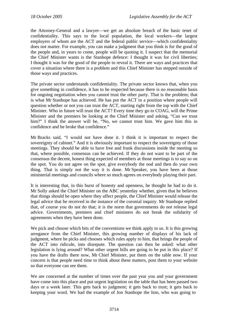the Attorney-General and a lawyer—we get an absolute breach of the basic tenet of confidentiality. This says to the local population, the local workers—the largest employers of whom are the ACT and the federal public service—which confidentiality does not matter. For example, you can make a judgment that you think is for the good of the people and, in years to come, people will be quoting it. I suspect that the memorial the Chief Minister wants is the Stanhope defence: I thought it was for civil liberties; I thought it was for the good of the people to reveal it. There are ways and practices that cover a situation where there is a problem and this Chief Minister has stepped outside of those ways and practices.

The private sector understands confidentiality. The private sector knows that, when you give something in confidence, it has to be respected because there is no reasonable basis for ongoing negotiation when you cannot trust the other party. That is the problem; that is what Mr Stanhope has achieved. He has put the ACT in a position where people will question whether or not you can trust the ACT, starting right from the top with the Chief Minister. Who in future will trust the ACT? Every time they go to COAG, will the Prime Minister and the premiers be looking at the Chief Minister and asking, "Can we trust him?" I think the answer will be, "No, we cannot trust him. We gave him this in confidence and he broke that confidence."

Mr Bracks said, "I would not have done it. I think it is important to respect the sovereignty of cabinet." And it is obviously important to respect the sovereignty of those meetings. They should be able to have free and frank discussions inside the meeting so that, where possible, consensus can be achieved. If they do not want to be part of the consensus the decent, honest thing expected of members at those meetings is to say so on the spot. You do not agree on the spot, give everybody the nod and then do your own thing. That is simply not the way it is done. Mr Speaker, you have been at those ministerial meetings and councils where so much agrees on everybody playing their part.

It is interesting that, in this burst of honesty and openness, he thought he had to do it. Mr Solly asked the Chief Minister on the ABC yesterday whether, given that he believes that things should be open where they affect people, the Chief Minister would release the legal advice that he received in the instance of the coronial inquiry. Mr Stanhope replied that, of course you do not do that; it is the norm that governments do not release legal advice. Governments, premiers and chief ministers do not break the solidarity of agreements when they have been done.

We pick and choose which bits of the conventions we think apply to us. It is this growing arrogance from the Chief Minister, this growing number of displays of his lack of judgment, where he picks and chooses which rules apply to him, that brings the people of the ACT into ridicule, into disrepute. The question can then be asked: what other legislation is lying around? What other urgent bills are going to be put in this place? If you have the drafts there now, Mr Chief Minister, put them on the table now. If your concern is that people need time to think about these matters, post them to your website so that everyone can see them.

We are concerned at the number of times over the past year you and your government have come into this place and put urgent legislation on the table that has been passed two days or a week later. This gets back to judgment; it gets back to trust; it gets back to keeping your word. We had the example of Jon Stanhope the lion, who was going to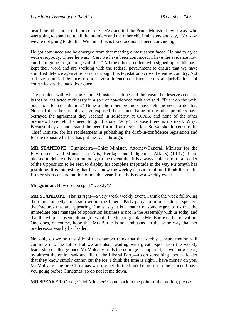beard the other lions in their den of COAG and tell the Prime Minister how it was, who was going to stand up to all the premiers and the other chief ministers and say, "No way; we are not going to do this. We think this is too draconian. I need convincing."

He got convinced and he emerged from that meeting almost ashen faced. He had to agree with everybody. There he was: "Yes, we have been convinced. I have the evidence now and I am going to go along with this." All the other premiers who signed up to this have kept their word and are working with the federal government to ensure that we have a unified defence against terrorism through this legislation across the entire country. Not to have a unified defence, not to have a defence consistent across all jurisdictions, of course leaves the back door open.

The problem with what this Chief Minister has done and the reason he deserves censure is that he has acted recklessly in a sort of hot-blooded rush and said, "Put it on the web, put it out for consultation." None of the other premiers have felt the need to do this. None of the other premiers have exposed their states. None of the other premiers have betrayed the agreement they reached in solidarity at COAG, and none of the other premiers have felt the need to go it alone. Why? Because there is no need. Why? Because they all understand the need for uniform legislation. So we should censure the Chief Minister for his recklessness in publishing the draft-in-confidence legislation and for the exposure that he has put the ACT through.

**MR STANHOPE** (Ginninderra—Chief Minister, Attorney-General, Minister for the Environment and Minister for Arts, Heritage and Indigenous Affairs) (10.47): I am pleased to debate this motion today, to the extent that it is always a pleasure for a Leader of the Opposition to be seen to display his complete ineptitude in the way Mr Smyth has just done. It is interesting that this is now the weekly censure motion. I think this is the fifth or sixth censure motion of me this year. It really is now a weekly event.

**Mr Quinlan**: How do you spell "weekly"?

**MR STANHOPE**: That is right—a very weak weekly event. I think the week following the minor or petty implosion within the Liberal Party party room puts into perspective the fractures that are appearing. I must say it is a matter of some regret to us that the immediate past manager of opposition business is not in the Assembly with us today and that the whip is absent, although I would like to congratulate Mrs Burke on her elevation. One does, of course, hope that Mrs Burke is not ambushed in the same way that her predecessor was by her leader.

Not only do we on this side of the chamber think that the weekly censure motion will continue into the future but we are also awaiting with great expectation the weekly leadership challenge once Mr Mulcahy finds the courage—supported, as we know he is, by almost the entire rank and file of the Liberal Party—to do something about a leader that they know simply cannot cut the ice. I think the time is right. I have money on you, Mr Mulcahy—before Christmas was my bet. In the book being run in the caucus I have you going before Christmas, so do not let me down.

**MR SPEAKER**: Order, Chief Minister! Come back to the point of the motion, please.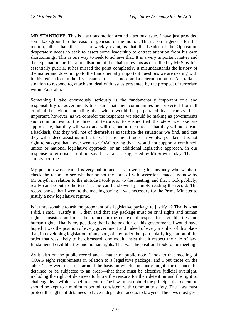**MR STANHOPE**: This is a serious motion around a serious issue. I have just provided some background to the reason or genesis for the motion. The reason or genesis for this motion, other than that it is a weekly event, is that the Leader of the Opposition desperately needs to seek to assert some leadership to detract attention from his own shortcomings. This is one way to seek to achieve that. It is a very important matter and the explanation, or the rationalisation, of the chain of events as described by Mr Smyth is essentially puerile. It has missed the point completely. It misunderstands the history of the matter and does not go to the fundamentally important questions we are dealing with in this legislation. In the first instance, that is a need and a determination for Australia as a nation to respond to, attack and deal with issues presented by the prospect of terrorism within Australia.

Something I take enormously seriously is the fundamentally important role and responsibility of governments to ensure that their communities are protected from all criminal behaviour, including that which would be perpetrated by terrorists. It is important, however, as we consider the responses we should be making as governments and communities to the threat of terrorism, to ensure that the steps we take are appropriate, that they will work and will respond to the threat—that they will not create a backlash, that they will not of themselves exacerbate the situations we find, and that they will indeed assist us in the task. That is the attitude I have always taken. It is not right to suggest that I ever went to COAG saying that I would not support a combined, united or national legislative approach, or an additional legislative approach, in our response to terrorism. I did not say that at all, as suggested by Mr Smyth today. That is simply not true.

My position was clear. It is very public and it is in writing for anybody who wants to check the record to see whether or not the sorts of wild assertions made just now by Mr Smyth in relation to the attitude I took prior to the meeting, and that I took publicly, really can be put to the test. The lie can be shown by simply reading the record. The record shows that I went to the meeting saying it was necessary for the Prime Minister to justify a new legislative regime.

Is it unreasonable to ask the proponent of a legislative package to justify it? That is what I did. I said, "Justify it." I then said that any package must be civil rights and human rights consistent and must be framed in the context of respect for civil liberties and human rights. That is my position; that is the position of this government. I would have hoped it was the position of every government and indeed of every member of this place that, in developing legislation of any sort, of any order, but particularly legislation of the order that was likely to be discussed, one would insist that it respect the rule of law, fundamental civil liberties and human rights. That was the position I took to the meeting.

As is also on the public record and a matter of public note, I took to that meeting of COAG eight requirements in relation to a legislative package, and I put those on the table. They went to issues around the basis on which somebody might, for instance, be detained or be subjected to an order—that there must be effective judicial oversight, including the right of detainees to know the reasons for their detention and the right to challenge its lawfulness before a court. The laws must uphold the principle that detention should be kept to a minimum period, consistent with community safety. The laws must protect the rights of detainees to have independent access to lawyers. The laws must give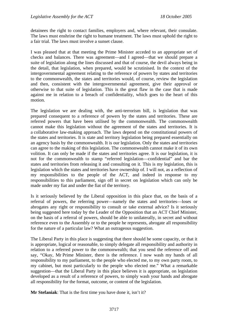detainees the right to contact families, employers and, where relevant, their consulate. The laws must enshrine the right to humane treatment. The laws must uphold the right to a fair trial. The laws must involve a sunset clause.

I was pleased that at that meeting the Prime Minister acceded to an appropriate set of checks and balances. There was agreement—and I agreed—that we should prepare a suite of legislation along the lines discussed and that of course, the devil always being in the detail, that legislation, when prepared, would be scrutinised. In the context of the intergovernmental agreement relating to the reference of powers by states and territories to the commonwealth, the states and territories would, of course, review the legislation and then, consistent with the intergovernmental agreement, give their approval or otherwise to that suite of legislation. This is the great flaw in the case that is made against me in relation to a breach of confidentiality, which goes to the heart of this motion.

The legislation we are dealing with, the anti-terrorism bill, is legislation that was prepared consequent to a reference of powers by the states and territories. These are referred powers that have been utilised by the commonwealth. The commonwealth cannot make this legislation without the agreement of the states and territories. It is a collaborative law-making approach. The laws depend on the constitutional powers of the states and territories. It is state and territory legislation being prepared essentially on an agency basis by the commonwealth. It is our legislation. Only the states and territories can agree to the making of this legislation. The commonwealth cannot make it of its own volition. It can only be made if the states and territories agree. It is our legislation, it is not for the commonwealth to stamp "referred legislation—confidential" and bar the states and territories from releasing it and consulting on it. This is my legislation, this is legislation which the states and territories have ownership of. I will not, as a reflection of my responsibilities to the people of the ACT, and indeed in response to my responsibilities to this parliament, sign off in secret on legislation which can only be made under my fiat and under the fiat of the territory.

Is it seriously believed by the Liberal opposition in this place that, on the basis of a referral of powers, the referring power—namely the states and territories—loses or abrogates any right or responsibility to consult or take external advice? Is it seriously being suggested here today by the Leader of the Opposition that an ACT Chief Minister, on the basis of a referral of powers, should be able to unilaterally, in secret and without reference even to the Assembly or to the people he represents, abrogate all responsibility for the nature of a particular law? What an outrageous suggestion.

The Liberal Party in this place is suggesting that there should be some capacity, or that it is appropriate, logical or reasonable, to simply delegate all responsibility and authority in relation to a referred power to the commonwealth; that you send the reference off and say, "Okay, Mr Prime Minister, there is the reference. I now wash my hands of all responsibility to my parliament, to the people who elected me, to my own party room, to my cabinet, but most particularly to the people who elected me." What a remarkable suggestion—that the Liberal Party in this place believes it is appropriate, on legislation developed as a result of a reference of powers, to simply wash your hands and abrogate all responsibility for the format, outcome, or content of the legislation.

**Mr Stefaniak**: That is the first time you have done it, isn't it?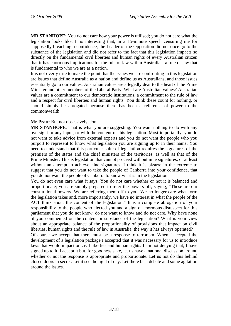**MR STANHOPE**: You do not care how your power is utilised; you do not care what the legislation looks like. It is interesting that, in a 15-minute speech censuring me for supposedly breaching a confidence, the Leader of the Opposition did not once go to the substance of the legislation and did not refer to the fact that this legislation impacts so directly on the fundamental civil liberties and human rights of every Australian citizen that it has enormous implications for the rule of law within Australia—a rule of law that is fundamental to who we are as a nation.

It is not overly trite to make the point that the issues we are confronting in this legislation are issues that define Australia as a nation and define us as Australians, and those issues essentially go to our values. Australian values are allegedly dear to the heart of the Prime Minister and other members of the Liberal Party. What are Australian values? Australian values are a commitment to our democratic institutions, a commitment to the rule of law and a respect for civil liberties and human rights. You think these count for nothing, or should simply be abrogated because there has been a reference of power to the commonwealth.

#### **Mr Pratt**: But not obsessively, Jon.

**MR STANHOPE**: That is what you are suggesting. You want nothing to do with any oversight or any input, or with the content of this legislation. Most importantly, you do not want to take advice from external experts and you do not want the people who you purport to represent to know what legislation you are signing up to in their name. You need to understand that this particular suite of legislation requires the signatures of the premiers of the states and the chief ministers of the territories, as well as that of the Prime Minister. This is legislation that cannot proceed without nine signatures, or at least without an attempt to achieve nine signatures. I think it is bizarre in the extreme to suggest that you do not want to take the people of Canberra into your confidence, that you do not want the people of Canberra to know what is in the legislation.

You do not even care what it says. You do not care whether or not it is balanced and proportionate; you are simply prepared to refer the powers off, saying, "These are our constitutional powers. We are referring them off to you. We no longer care what form the legislation takes and, more importantly, we have no interest in what the people of the ACT think about the content of the legislation." It is a complete abrogation of your responsibility to the people who elected you and a sign of enormous disrespect for this parliament that you do not know, do not want to know and do not care. Why have none of you commented on the content or substance of the legislation? What is your view about an appropriate balance of the proportionality of provisions that impact on civil liberties, human rights and the rule of law in Australia, the way it has always operated?

Of course we accept that there must be a response to terrorism. When I accepted the development of a legislation package I accepted that it was necessary for us to introduce laws that would impact on civil liberties and human rights. I am not denying that; I have signed up to it. I accept it but, for goodness sake, let us have a national discussion around whether or not the response is appropriate and proportionate. Let us not do this behind closed doors in secret. Let it see the light of day. Let there be a debate and some agitation around the issues.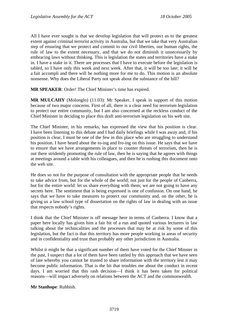All I have ever sought is that we develop legislation that will protect us to the greatest extent against criminal terrorist activity in Australia, but that we take that very Australian step of ensuring that we protect and commit to our civil liberties, our human rights, the rule of law to the extent necessary, and that we do not diminish it unnecessarily by embracing laws without thinking. This is legislation the states and territories have a stake in. I have a stake in it. There are processes that I have to execute before the legislation is tabled, so I have only this week and next week. After that, it will be too late; it will be a fait accompli and there will be nothing more for me to do. This motion is an absolute nonsense. Why does the Liberal Party not speak about the substance of the bill?

**MR SPEAKER**: Order! The Chief Minister's time has expired.

**MR MULCAHY** (Molonglo) (11.03): Mr Speaker, I speak in support of this motion because of two major concerns. First of all, there is a clear need for terrorism legislation to protect our entire community, but I am also concerned at the reckless conduct of the Chief Minister in deciding to place this draft anti-terrorism legislation on his web site.

The Chief Minister, in his remarks, has expressed the view that his position is clear. I have been listening to this debate and I had daily briefings while I was away and, if his position is clear, I must be one of the few in this place who are struggling to understand his position. I have heard about the to-ing and fro-ing on this issue. He says that we have to ensure that we have arrangements in place to counter threats of terrorism, then he is out there stridently promoting the rule of law, then he is saying that he agrees with things at meetings around a table with his colleagues, and then he is rushing this document onto the web site.

He does so not for the purpose of consultation with the appropriate people that he needs to take advice from, but for the whole of the world; not just for the people of Canberra, but for the entire world: let us share everything with them; we are not going to have any secrets here. The sentiment that is being expressed is one of confusion. On one hand, he says that we have to take measures to protect our community and, on the other, he is giving us a law school type of dissertation on the rights of law in dealing with an issue that respects nobody's rights.

I think that the Chief Minister is off message here in terms of Canberra. I know that a paper here locally has given him a fair bit of a run and quoted various lecturers in law talking about the technicalities and the processes that may be at risk by some of this legislation, but the fact is that this territory has more people working in areas of security and in confidentiality and trust than probably any other jurisdiction in Australia.

Whilst it might be that a significant number of them have voted for the Chief Minster in the past, I suspect that a lot of them have been rattled by this approach that we have seen of late whereby you cannot be trusted to share information with the territory lest it may become public information. That is the bit that troubles me about the conduct in recent days. I am worried that this rash decision—I think it has been taken for political reasons—will impact adversely on relations between the ACT and the commonwealth.

**Mr Stanhope**: Rubbish.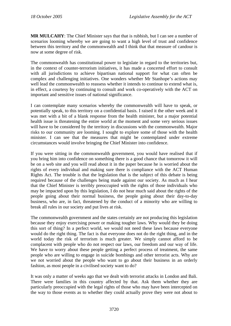**MR MULCAHY**: The Chief Minister says that that is rubbish, but I can see a number of scenarios looming whereby we are going to want a high level of trust and confidence between this territory and the commonwealth and I think that that measure of candour is now at some degree of risk.

The commonwealth has constitutional power to legislate in regard to the territories but, in the context of counter-terrorism initiatives, it has made a concerted effort to consult with all jurisdictions to achieve bipartisan national support for what can often be complex and challenging initiatives. One wonders whether Mr Stanhope's actions may well lead the commonwealth to reassess whether it intends to continue to extend what is, in effect, a courtesy by continuing to consult and work co-operatively with the ACT on important and sensitive issues of national significance.

I can contemplate many scenarios whereby the commonwealth will have to speak, or potentially speak, to this territory on a confidential basis. I raised it the other week and it was met with a bit of a blank response from the health minister, but a major potential health issue is threatening the entire world at the moment and some very serious issues will have to be considered by the territory in discussions with the commonwealth. Major risks to our community are looming. I sought to explore some of those with the health minister. I can see that the measures that might be contemplated under extreme circumstances would involve bringing the Chief Minister into confidence.

If you were sitting in the commonwealth government, you would have realised that if you bring him into confidence on something there is a good chance that tomorrow it will be on a web site and you will read about it in the paper because he is worried about the rights of every individual and making sure there is compliance with the ACT Human Rights Act. The trouble is that the legislation that is the subject of this debate is being required because of the challenges being made against our society. As much as I hear that the Chief Minister is terribly preoccupied with the rights of those individuals who may be impacted upon by this legislation, I do not hear much said about the rights of the people going about their normal business, the people going about their day-to-day business, who are, in fact, threatened by the conduct of a minority who are willing to break all rules in our society and put lives at risk.

The commonwealth government and the states certainly are not producing this legislation because they enjoy exercising power or making tougher laws. Why would they be doing this sort of thing? In a perfect world, we would not need these laws because everyone would do the right thing. The fact is that everyone does not do the right thing, and in the world today the risk of terrorism is much greater. We simply cannot afford to be complacent with people who do not respect our laws, our freedom and our way of life. We have to worry about these people getting a perfect process of treatment, the same people who are willing to engage in suicide bombings and other terrorist acts. Why are we not worried about the people who want to go about their business in an orderly fashion, as most people in a civilised society want to do?

It was only a matter of weeks ago that we dealt with terrorist attacks in London and Bali. There were families in this country affected by that. Ask them whether they are particularly preoccupied with the legal rights of those who may have been intercepted on the way to those events as to whether they could actually prove they were not about to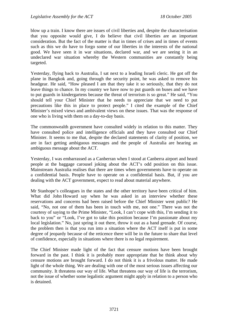blow up a train. I know there are issues of civil liberties and, despite the characterisation that you opposite would give, I do believe that civil liberties are an important consideration. But the fact of the matter is that in times of crises and in times of events such as this we do have to forgo some of our liberties in the interests of the national good. We have seen it in war situations, declared war, and we are seeing it in an undeclared war situation whereby the Western communities are constantly being targeted.

Yesterday, flying back to Australia, I sat next to a leading Israeli cleric. He got off the plane in Bangkok and, going through the security point, he was asked to remove his headgear. He said, "How pleased I am that they take it so seriously, that they do not leave things to chance. In my country we have now to put guards on buses and we have to put guards in kindergartens because the threat of terrorism is so great." He said, "You should tell your Chief Minister that he needs to appreciate that we need to put precautions like this in place to protect people." I cited the example of the Chief Minister's mixed views and ambivalent views on these issues. That was the response of one who is living with them on a day-to-day basis.

The commonwealth government have consulted widely in relation to this matter. They have consulted police and intelligence officials and they have consulted our Chief Minister. It seems to me that, despite the declared statements of clarity of position, we are in fact getting ambiguous messages and the people of Australia are hearing an ambiguous message about the ACT.

Yesterday, I was embarrassed as a Canberran when I stood at Canberra airport and heard people at the baggage carousel joking about the ACT's odd position on this issue. Mainstream Australia realises that there are times when governments have to operate on a confidential basis. People have to operate on a confidential basis. But, if you are dealing with the ACT government, expect to read about material anywhere.

Mr Stanhope's colleagues in the states and the other territory have been critical of him. What did John Howard say when he was asked in an interview whether these reservations and concerns had been raised before the Chief Minister went public? He said, "No, not one of them has been in touch with me, not one." There was not the courtesy of saying to the Prime Minister, "Look, I can't cope with this, I'm sending it to back to you" or "Look, I've got to take this position because I'm passionate about my local legislation." No, just spring it out there, throw it out as a hand grenade. Of course, the problem then is that you run into a situation where the ACT itself is put in some degree of jeopardy because of the reticence there will be in the future to share that level of confidence, especially in situations where there is no legal requirement.

The Chief Minister made light of the fact that censure motions have been brought forward in the past. I think it is probably more appropriate that he think about why censure motions are brought forward. I do not think it is a frivolous matter. He made light of the whole thing. We are dealing with one of the most serious issues affecting our community. It threatens our way of life. What threatens our way of life is the terrorism, not the issue of whether some legalistic argument might apply in relation to a person who is detained.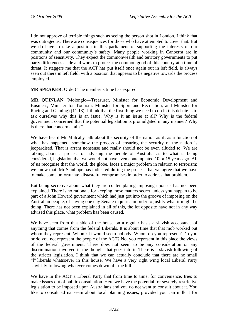I do not approve of terrible things such as seeing the person shot in London. I think that was outrageous. There are consequences for those who have attempted to cover that. But we do have to take a position in this parliament of supporting the interests of our community and our community's safety. Many people working in Canberra are in positions of sensitivity. They expect the commonwealth and territory governments to put party differences aside and work to protect the common good of this country at a time of threat. It staggers me that the ACT has put itself once again out in left field, is always seen out there in left field, with a position that appears to be negative towards the process employed.

**MR SPEAKER**: Order! The member's time has expired.

**MR QUINLAN** (Molonglo—Treasurer, Minister for Economic Development and Business, Minister for Tourism, Minister for Sport and Recreation, and Minister for Racing and Gaming) (11.13): I think that the first thing we need to do in this debate is to ask ourselves why this is an issue. Why is it an issue at all? Why is the federal government concerned that the potential legislation is promulgated in any manner? Why is there that concern at all?"

We have heard Mr Mulcahy talk about the security of the nation as if, as a function of what has happened, somehow the process of ensuring the security of the nation is jeopardised. That is arrant nonsense and really should not be even alluded to. We are talking about a process of advising the people of Australia as to what is being considered, legislation that we would not have even contemplated 10 or 15 years ago. All of us recognise that the world, the globe, faces a major problem in relation to terrorism; we know that. Mr Stanhope has indicated during the process that we agree that we have to make some unfortunate, distasteful compromises in order to address that problem.

But being secretive about what they are contemplating imposing upon us has not been explained. There is no rationale for keeping those matters secret, unless you happen to be part of a John Howard government which had just got into the groove of imposing on the Australian people, of having one day Senate inquiries in order to justify what it might be doing. There has not been explained in all of this, the lot opposite have not in any way advised this place, what problem has been caused.

We have seen from that side of the house on a regular basis a slavish acceptance of anything that comes from the federal Liberals. It is about time that that mob worked out whom they represent. Whom? It would seem nobody. Whom do you represent? Do you or do you not represent the people of the ACT? No, you represent in this place the views of the federal government. There does not seem to be any consideration or any discrimination involved in the thought that goes into it. There is a slavish following of the stricter legislation. I think that we can actually conclude that there are no small "l" liberals whatsoever in this house. We have a very right wing local Liberal Party slavishly following whatever comes down off the hill.

We have in the ACT a Liberal Party that from time to time, for convenience, tries to make issues out of public consultation. Here we have the potential for severely restrictive legislation to be imposed upon Australians and you do not want to consult about it. You like to consult ad nauseam about local planning issues, provided you can milk it for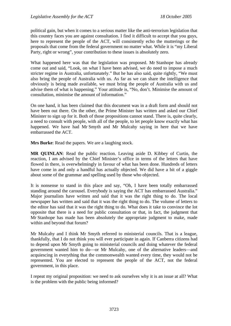political gain, but when it comes to a serious matter like the anti-terrorism legislation that this country faces you are against consultation. I find it difficult to accept that you guys, here to represent the people of the ACT, will consistently echo the mutterings or the proposals that come from the federal government no matter what. While it is "my Liberal Party, right or wrong", your contribution to these issues is absolutely zero.

What happened here was that the legislation was proposed. Mr Stanhope has already come out and said, "Look, on what I have been advised, we do need to impose a much stricter regime in Australia, unfortunately." But he has also said, quite rightly, "We must also bring the people of Australia with us. As far as we can share the intelligence that obviously is being made available, we must bring the people of Australia with us and advise them of what is happening." Your attitude is, "No, don't. Minimise the amount of consultation, minimise the amount of information."

On one hand, it has been claimed that this document was in a draft form and should not have been out there. On the other, the Prime Minister has written and asked our Chief Minister to sign up for it. Both of those propositions cannot stand. There is, quite clearly, a need to consult with people, with all of the people, to let people know exactly what has happened. We have had Mr Smyth and Mr Mulcahy saying in here that we have embarrassed the ACT.

**Mrs Burke**: Read the papers. We are a laughing stock.

**MR QUINLAN**: Read the public reaction. Leaving aside D. Kibbey of Curtin, the reaction, I am advised by the Chief Minister's office in terms of the letters that have flowed in there, is overwhelmingly in favour of what has been done. Hundreds of letters have come in and only a handful has actually objected. We did have a bit of a giggle about some of the grammar and spelling used by those who objected.

It is nonsense to stand in this place and say, "Oh, I have been totally embarrassed standing around the carousel. Everybody is saying the ACT has embarrassed Australia." Major journalists have written and said that it was the right thing to do. The local newspaper has written and said that it was the right thing to do. The volume of letters to the editor has said that it was the right thing to do. What does it take to convince the lot opposite that there is a need for public consultation or that, in fact, the judgment that Mr Stanhope has made has been absolutely the appropriate judgment to make, made within and beyond that forum?

Mr Mulcahy and I think Mr Smyth referred to ministerial councils. That is a league, thankfully, that I do not think you will ever participate in again. If Canberra citizens had to depend upon Mr Smyth going to ministerial councils and doing whatever the federal government wanted him to do—or Mr Mulcahy, one of the alternative leaders—and acquiescing in everything that the commonwealth wanted every time, they would not be represented. You are elected to represent the people of the ACT, not the federal government, in this place.

I repeat my original proposition: we need to ask ourselves why it is an issue at all? What is the problem with the public being informed?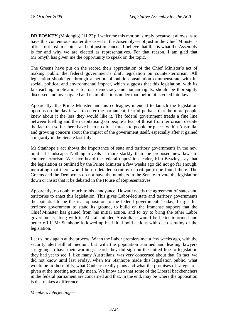**DR FOSKEY** (Molonglo) (11.23): I welcome this motion, simply because it allows us to have this contentious matter discussed in the Assembly—not just in the Chief Minister's office, not just in cabinet and not just in caucus. I believe that this is what the Assembly is for and why we are elected as representatives. For that reason, I am glad that Mr Smyth has given me the opportunity to speak on the topic.

The Greens have put on the record their appreciation of the Chief Minister's act of making public the federal government's draft legislation on counter-terrorism. All legislation should go through a period of public consultation commensurate with its social, political and environmental impact, which suggests that this legislation, with its far-reaching implications for our democracy and human rights, should be thoroughly discussed and investigated and its implications understood before it is voted into law.

Apparently, the Prime Minister and his colleagues intended to launch the legislation upon us on the day it was to enter the parliament, fearful perhaps that the more people knew about it the less they would like it. The federal government treads a fine line between fuelling and then capitalising on people's fear of threat from terrorism, despite the fact that so far there have been no direct threats to people or places within Australia, and growing concern about the impact of the government itself, especially after it gained a majority in the Senate last July.

Mr Stanhope's act shows the importance of state and territory governments in the new political landscape. Nothing reveals it more starkly than the proposed new laws to counter terrorism. We have heard the federal opposition leader, Kim Beazley, say that the legislation as outlined by the Prime Minister a few weeks ago did not go far enough, indicating that there would be no detailed scrutiny or critique to be found there. The Greens and the Democrats do not have the numbers in the Senate to vote the legislation down or insist that it be debated in the House of Representatives.

Apparently, no doubt much to his annoyance, Howard needs the agreement of states and territories to enact this legislation. This gives Labor-led state and territory governments the potential to be the real opposition to the federal government. Today, I urge this territory government to stand its ground, to build on the immense support that the Chief Minister has gained from his initial action, and to try to bring the other Labor governments along with it. All fair-minded Australians would be better informed and better off if Mr Stanhope followed up his initial bold actions with deep scrutiny of the legislation.

Let us look again at the process. When the Labor premiers met a few weeks ago, with the security alert still at medium but with the population alarmed and leading lawyers struggling to have their warnings heard, they did sign on the dotted line to legislation they had yet to see. I, like many Australians, was very concerned about that. In fact, we did not know until last Friday, when Mr Stanhope made this legislation public, what would be in those bills, what Canberra really plans and what the promises of safeguards given at the meeting actually mean. We know also that some of the Liberal backbenchers in the federal parliament are concerned and that, in the end, may be where the opposition is that makes a difference

*Members interjecting*—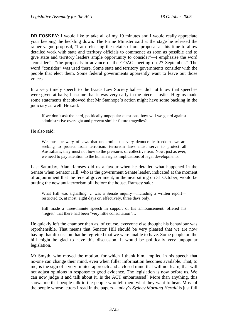**DR FOSKEY**: I would like to take all of my 10 minutes and I would really appreciate your keeping the heckling down. The Prime Minister said at the stage he released the rather vague proposal, "I am releasing the details of our proposal at this time to allow detailed work with state and territory officials to commence as soon as possible and to give state and territory leaders ample opportunity to consider"—I emphasise the word "consider"—"the proposals in advance of the COAG meeting on 27 September." The word "consider" was used there. Some state and territory governments consider with the people that elect them. Some federal governments apparently want to leave out those voices.

In a very timely speech to the Isaacs Law Society ball—I did not know that speeches were given at balls; I assume that is was very early in the piece—Justice Higgins made some statements that showed that Mr Stanhope's action might have some backing in the judiciary as well. He said:

If we don't ask the hard, politically unpopular questions, how will we guard against administrative oversight and prevent similar future tragedies?

He also said:

We must be wary of laws that undermine the very democratic freedoms we are seeking to protect from terrorism: terrorism laws must serve to protect all Australians, they must not bow to the pressures of collective fear. Now, just as ever, we need to pay attention to the human rights implications of legal developments.

Last Saturday, Alan Ramsey did us a favour when he detailed what happened in the Senate when Senator Hill, who is the government Senate leader, indicated at the moment of adjournment that the federal government, in the next sitting on 31 October, would be putting the new anti-terrorism bill before the house. Ramsey said:

What Hill was signalling ... was a Senate inquiry—including a written report restricted to, at most, eight days or, effectively, three days only.

Hill made a three-minute speech in support of his announcement, offered his "regret" that there had been "very little consultation"…

He quickly left the chamber then as, of course, everyone else thought his behaviour was reprehensible. That means that Senator Hill should be very pleased that we are now having that discussion that he regretted that we were unable to have. Some people on the hill might be glad to have this discussion. It would be politically very unpopular legislation.

Mr Smyth, who moved the motion, for which I thank him, implied in his speech that no-one can change their mind, even when fuller information becomes available. That, to me, is the sign of a very limited approach and a closed mind that will not learn, that will not adjust opinions in response to good evidence. The legislation is now before us. We can now judge it and talk about it. Is the ACT embarrassed? More than anything, this shows me that people talk to the people who tell them what they want to hear. Most of the people whose letters I read in the papers—today's *Sydney Morning Herald* is just full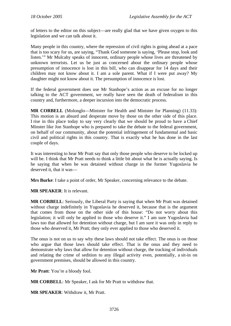of letters to the editor on this subject—are really glad that we have given oxygen to this legislation and we can talk about it.

Many people in this country, where the repression of civil rights is going ahead at a pace that is too scary for us, are saying, "Thank God someone is saying, 'Please stop, look and listen.'" Mr Mulcahy speaks of innocent, ordinary people whose lives are threatened by unknown terrorists. Let us be just as concerned about the ordinary people whose presumption of innocence is lost in this bill, who can disappear for 14 days and their children may not know about it. I am a sole parent. What if I were put away? My daughter might not know about it. The presumption of innocence is lost.

If the federal government does use Mr Stanhope's action as an excuse for no longer talking to the ACT government, we really have seen the death of federalism in this country and, furthermore, a deeper incursion into the democratic process.

**MR CORBELL** (Molonglo—Minister for Health and Minister for Planning) (11.33): This motion is an absurd and desperate move by those on the other side of this place. I rise in this place today to say very clearly that we should be proud to have a Chief Minster like Jon Stanhope who is prepared to take the debate to the federal government, on behalf of our community, about the potential infringement of fundamental and basic civil and political rights in this country. That is exactly what he has done in the last couple of days.

It was interesting to hear Mr Pratt say that only those people who deserve to be locked up will be. I think that Mr Pratt needs to think a little bit about what he is actually saying. Is he saying that when he was detained without charge in the former Yugoslavia he deserved it, that it was—

**Mrs Burke**: I take a point of order, Mr Speaker, concerning relevance to the debate.

**MR SPEAKER**: It is relevant.

**MR CORBELL**: Seriously, the Liberal Party is saying that when Mr Pratt was detained without charge indefinitely in Yugoslavia he deserved it, because that is the argument that comes from those on the other side of this house: "Do not worry about this legislation; it will only be applied to those who deserve it." I am sure Yugoslavia had laws too that allowed for detention without charge, but I am sure it was only in reply to those who deserved it, Mr Pratt; they only ever applied to those who deserved it.

The onus is not on us to say why these laws should not take effect. The onus is on those who argue that those laws should take effect. That is the onus and they need to demonstrate why laws that allow for detention without charge, the tracking of individuals and relating the crime of sedition to any illegal activity even, potentially, a sit-in on government premises, should be allowed in this country.

**Mr Pratt**: You're a bloody fool.

**MR CORBELL**: Mr Speaker, I ask for Mr Pratt to withdraw that.

**MR SPEAKER**: Withdraw it, Mr Pratt.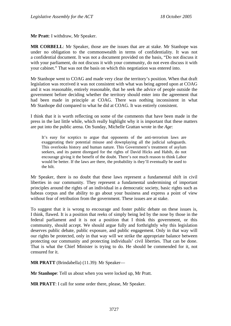**Mr Pratt**: I withdraw, Mr Speaker.

**MR CORBELL**: Mr Speaker, those are the issues that are at stake. Mr Stanhope was under no obligation to the commonwealth in terms of confidentiality. It was not a confidential document. It was not a document provided on the basis, "Do not discuss it with your parliament, do not discuss it with your community, do not even discuss it with your cabinet." That was not the basis on which this negotiation was entered into.

Mr Stanhope went to COAG and made very clear the territory's position. When that draft legislation was received it was not consistent with what was being agreed upon at COAG and it was reasonable, entirely reasonable, that he seek the advice of people outside the government before deciding whether the territory should enter into the agreement that had been made in principle at COAG. There was nothing inconsistent in what Mr Stanhope did compared to what he did at COAG. It was entirely consistent.

I think that it is worth reflecting on some of the comments that have been made in the press in the last little while, which really highlight why it is important that these matters are put into the public arena. On Sunday, Michelle Grattan wrote in the *Age*:

It's easy for sceptics to argue that opponents of the anti-terrorism laws are exaggerating their potential misuse and downplaying all the judicial safeguards. This overlooks history and human nature. This Government's treatment of asylum seekers, and its patent disregard for the rights of David Hicks and Habib, do not encourage giving it the benefit of the doubt. There's not much reason to think Labor would be better. If the laws are there, the probability is they'll eventually be used to the hilt.

Mr Speaker, there is no doubt that these laws represent a fundamental shift in civil liberties in our community. They represent a fundamental undermining of important principles around the rights of an individual in a democratic society, basic rights such as habeas corpus and the ability to go about your business and express a point of view without fear of retribution from the government. These issues are at stake.

To suggest that it is wrong to encourage and foster public debate on these issues is, I think, flawed. It is a position that reeks of simply being led by the nose by those in the federal parliament and it is not a position that I think this government, or this community, should accept. We should argue fully and forthrightly why this legislation deserves public debate, public exposure, and public engagement. Only in that way will our rights be protected, only in that way will we strike the appropriate balance between protecting our community and protecting individuals' civil liberties. That can be done. That is what the Chief Minister is trying to do. He should be commended for it, not censured for it.

**MR PRATT** (Brindabella) (11.39): Mr Speaker—

**Mr Stanhope**: Tell us about when you were locked up, Mr Pratt.

**MR PRATT**: I call for some order there, please, Mr Speaker.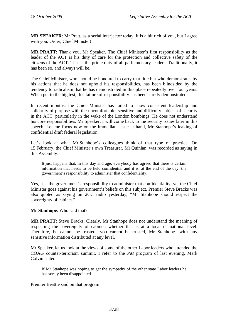**MR SPEAKER**: Mr Pratt, as a serial interjector today, it is a bit rich of you, but I agree with you. Order, Chief Minister!

**MR PRATT**: Thank you, Mr Speaker. The Chief Minister's first responsibility as the leader of the ACT is his duty of care for the protection and collective safety of the citizens of the ACT. That is the prime duty of all parliamentary leaders. Traditionally, it has been so, and always will be.

The Chief Minister, who should be honoured to carry that title but who demonstrates by his actions that he does not uphold his responsibilities, has been blindsided by the tendency to radicalism that he has demonstrated in this place repeatedly over four years. When put to the big test, this failure of responsibility has been starkly demonstrated.

In recent months, the Chief Minister has failed to show consistent leadership and solidarity of purpose with the uncomfortable, sensitive and difficulty subject of security in the ACT, particularly in the wake of the London bombings. He does not understand his core responsibilities. Mr Speaker, I will come back to the security issues later in this speech. Let me focus now on the immediate issue at hand, Mr Stanhope's leaking of confidential draft federal legislation.

Let's look at what Mr Stanhope's colleagues think of that type of practice. On 15 February, the Chief Minister's own Treasurer, Mr Quinlan, was recorded as saying in this Assembly:

It just happens that, in this day and age, everybody has agreed that there is certain information that needs to be held confidential and it is, at the end of the day, the government's responsibility to administer that confidentiality.

Yes, it is the government's responsibility to administer that confidentiality, yet the Chief Minister goes against his government's beliefs on this subject. Premier Steve Bracks was also quoted as saying on 2CC radio yesterday, "Mr Stanhope should respect the sovereignty of cabinet."

**Mr Stanhope**: Who said that?

**MR PRATT**: Steve Bracks. Clearly, Mr Stanhope does not understand the meaning of respecting the sovereignty of cabinet, whether that is at a local or national level. Therefore, he cannot be trusted—you cannot be trusted, Mr Stanhope—with any sensitive information distributed at any level.

Mr Speaker, let us look at the views of some of the other Labor leaders who attended the COAG counter-terrorism summit. I refer to the *PM* program of last evening. Mark Colvin stated:

If Mr Stanhope was hoping to get the sympathy of the other state Labor leaders he has sorely been disappointed.

Premier Beattie said on that program: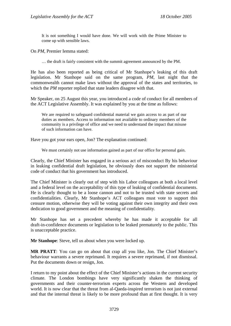It is not something I would have done. We will work with the Prime Minister to come up with sensible laws.

On *PM*, Premier Iemma stated:

… the draft is fairly consistent with the summit agreement announced by the PM.

He has also been reported as being critical of Mr Stanhope's leaking of this draft legislation. Mr Stanhope said on the same program, *PM*, last night that the commonwealth cannot make laws without the approval of the states and territories, to which the *PM* reporter replied that state leaders disagree with that.

Mr Speaker, on 25 August this year, you introduced a code of conduct for all members of the ACT Legislative Assembly. It was explained by you at the time as follows:

We are required to safeguard confidential material we gain access to as part of our duties as members. Access to information not available to ordinary members of the community is a privilege of office and we need to understand the impact that misuse of such information can have.

Have you got your ears open, Jon? The explanation continued:

We must certainly not use information gained as part of our office for personal gain.

Clearly, the Chief Minister has engaged in a serious act of misconduct By his behaviour in leaking confidential draft legislation, he obviously does not support the ministerial code of conduct that his government has introduced.

The Chief Minister is clearly out of step with his Labor colleagues at both a local level and a federal level on the acceptability of this type of leaking of confidential documents. He is clearly thought to be a loose cannon and not to be trusted with state secrets and confidentialities. Clearly, Mr Stanhope's ACT colleagues must vote to support this censure motion, otherwise they will be voting against their own integrity and their own dedication to good government and the meaning of confidentiality.

Mr Stanhope has set a precedent whereby he has made it acceptable for all draft-in-confidence documents or legislation to be leaked prematurely to the public. This is unacceptable practice.

**Mr Stanhope**: Steve, tell us about when you were locked up.

**MR PRATT**: You can go on about that crap all you like, Jon. The Chief Minister's behaviour warrants a severe reprimand. It requires a severe reprimand, if not dismissal. Put the documents down or resign, Jon.

I return to my point about the effect of the Chief Minister's actions in the current security climate. The London bombings have very significantly shaken the thinking of governments and their counter-terrorism experts across the Western and developed world. It is now clear that the threat from al-Qaeda-inspired terrorism is not just external and that the internal threat is likely to be more profound than at first thought. It is very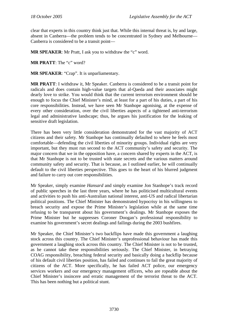clear that experts in this country think just that. While this internal threat is, by and large, absent in Canberra—the problem tends to be concentrated in Sydney and Melbourne— Canberra is considered to be a transit point—

**MR SPEAKER**: Mr Pratt, I ask you to withdraw the "c" word.

**MR PRATT**: The "c" word?

**MR SPEAKER**: "Crap". It is unparliamentary.

**MR PRATT**: I withdraw it, Mr Speaker. Canberra is considered to be a transit point for radicals and does contain high-value targets that al-Qaeda and their associates might dearly love to strike. You would think that the current terrorism environment should be enough to focus the Chief Minister's mind, at least for a part of his duties, a part of his core responsibilities. Instead, we have seen Mr Stanhope agonising, at the expense of every other consideration, over the civil liberties aspects of a tightened anti-terrorism legal and administrative landscape; thus, he argues his justification for the leaking of sensitive draft legislation.

There has been very little consideration demonstrated for the vast majority of ACT citizens and their safety. Mr Stanhope has continually defaulted to where he feels most comfortable—defending the civil liberties of minority groups. Individual rights are very important, but they must run second to the ACT community's safety and security. The major concern that we in the opposition have, a concern shared by experts in the ACT, is that Mr Stanhope is not to be trusted with state secrets and the various matters around community safety and security. That is because, as I outlined earlier, he will continually default to the civil liberties perspective. This goes to the heart of his blurred judgment and failure to carry out core responsibilities.

Mr Speaker, simply examine *Hansard* and simply examine Jon Stanhope's track record of public speeches in the last three years, where he has politicised multicultural events and activities to push his anti-Australian national interest, anti-US and radical libertarian political positions. The Chief Minister has demonstrated hypocrisy in his willingness to breach security and expose the Prime Minister's legislation while at the same time refusing to be transparent about his government's dealings. Mr Stanhope exposes the Prime Minister but he suppresses Coroner Doogan's professional responsibility to examine his government's secret dealings and failings during the 2003 bushfires.

Mr Speaker, the Chief Minister's two backflips have made this government a laughing stock across this country. The Chief Minister's unprofessional behaviour has made this government a laughing stock across this country. The Chief Minister is not to be trusted, as he cannot take these responsibilities seriously. The Chief Minister, in betraying COAG responsibility, breaching federal security and basically doing a backflip because of his default civil liberties position, has failed and continues to fail the great majority of citizens of the ACT. More specifically, he has failed ACT police, our emergency services workers and our emergency management officers, who are ropeable about the Chief Minister's insincere and erratic management of the terrorist threat to the ACT. This has been nothing but a political stunt.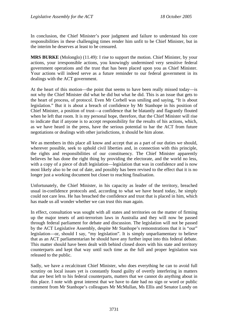In conclusion, the Chief Minister's poor judgment and failure to understand his core responsibilities in these challenging times render him unfit to be Chief Minister, but in the interim he deserves at least to be censured.

**MRS BURKE** (Molonglo) (11.49): I rise to support the motion. Chief Minister, by your actions, your irresponsible actions, you knowingly undermined very sensitive federal government operations and the trust that has been placed upon you as Chief Minister. Your actions will indeed serve as a future reminder to our federal government in its dealings with the ACT government.

At the heart of this motion—the point that seems to have been really missed today—is not why the Chief Minister did what he did but what he did. This is an issue that gets to the heart of process, of protocol. Even Mr Corbell was smiling and saying, "It is about legislation." But it is about a breach of confidence by Mr Stanhope in his position of Chief Minister, a position of trust—a confidence that he blatantly and flagrantly flouted when he left that room. It is my personal hope, therefore, that the Chief Minister will rise to indicate that if anyone is to accept responsibility for the results of his actions, which, as we have heard in the press, have the serious potential to bar the ACT from future negotiations or dealings with other jurisdictions, it should be him alone.

We as members in this place all know and accept that as a part of our duties we should, wherever possible, seek to uphold civil liberties and, in connection with this principle, the rights and responsibilities of our constituency. The Chief Minister apparently believes he has done the right thing by providing the electorate, and the world no less, with a copy of a piece of draft legislation—legislation that was in confidence and is now most likely also to be out of date, and possibly has been revised to the effect that it is no longer just a working document but closer to reaching finalisation.

Unfortunately, the Chief Minister, in his capacity as leader of the territory, breached usual in-confidence protocols and, according to what we have heard today, he simply could not care less. He has breached the confidence and trust that is placed in him, which has made us all wonder whether we can trust this man again.

In effect, consultation was sought with all states and territories on the matter of firming up the major tenets of anti-terrorism laws in Australia and they will now be passed through federal parliament for debate and discussion. The legislation will not be passed by the ACT Legislative Assembly, despite Mr Stanhope's remonstrations that it is "our" legislation—or, should I say, "my legislation". It is simply unparliamentary to believe that as an ACT parliamentarian he should have any further input into this federal debate. This matter should have been dealt with behind closed doors with his state and territory counterparts and kept that way until such time as the full and proper legislation was released to the public.

Sadly, we have a recalcitrant Chief Minister, who does everything he can to avoid full scrutiny on local issues yet is constantly found guilty of overtly interfering in matters that are best left to his federal counterparts, matters that we cannot do anything about in this place. I note with great interest that we have to date had no sign or word or public comment from Mr Stanhope's colleagues Mr McMullan, Ms Ellis and Senator Lundy on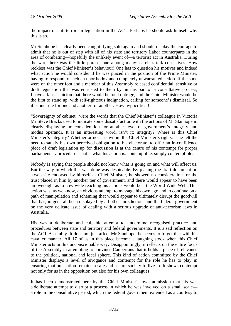the impact of anti-terrorism legislation in the ACT. Perhaps he should ask himself why this is so.

Mr Stanhope has clearly been caught flying solo again and should display the courage to admit that he is out of step with all of his state and territory Labor counterparts in the area of combating—hopefully the unlikely event of—a terrorist act in Australia. During the war, there was the little phrase, one among many: careless talk costs lives. How reckless was the Chief Minister's behaviour! One has to question his motives and indeed what action he would consider if he was placed in the position of the Prime Minister, having to respond to such an unorthodox and completely unwarranted action. If the shoe were on the other foot and a member of this Assembly released confidential, sensitive or draft legislation that was entrusted to them by him as part of a consultative process, I have a fair suspicion that there would be total outrage, and the Chief Minister would be the first to stand up, with self-righteous indignation, calling for someone's dismissal. So it is one rule for one and another for another. How hypocritical!

"Sovereignty of cabinet" were the words that the Chief Minister's colleague in Victoria Mr Steve Bracks used to indicate some dissatisfaction with the actions of Mr Stanhope in clearly displaying no consideration for another level of government's integrity and modus operandi. It is an interesting word, isn't it: integrity? Where is this Chief Minister's integrity? Whether or not it is within the Chief Minister's rights, if he felt the need to satisfy his own perceived obligation to his electorate, to offer an in-confidence piece of draft legislation up for discussion is at the centre of his contempt for proper parliamentary procedure. That is what his action is: contemptible, simply contemptible.

Nobody is saying that people should not know what is going on and what will affect us. But the way in which this was done was despicable. By placing the draft document on a web site endorsed by himself as Chief Minister, he showed no consideration for the trust placed in him by another tier of government, and there would appear to have been an oversight as to how wide reaching his actions would be—the World Wide Web. This action was, as we know, an obvious attempt to massage his own ego and to continue on a path of manipulation and scheming that would appear to ultimately disrupt the goodwill that has, in general, been displayed by all other jurisdictions and the federal government on the very delicate issue of dealing with a serious upgrade of anti-terrorism laws in Australia.

His was a deliberate and culpable attempt to undermine recognised practice and procedures between state and territory and federal governments. It is a sad reflection on the ACT Assembly. It does not just affect Mr Stanhope; he seems to forget that with his cavalier manner. All 17 of us in this place become a laughing stock when this Chief Minister acts in this unconscionable way. Disappointingly, it reflects on the entire focus of the Assembly in attempting to convince Canberrans that it holds a place of relevance to the political, national and local sphere. This kind of action committed by the Chief Minister displays a level of arrogance and contempt for the role he has to play in ensuring that our nation remains a safe and secure society to live in. It shows contempt not only for us in the opposition but also for his own colleagues.

It has been demonstrated here by the Chief Minister's own admission that his was a deliberate attempt to disrupt a process in which he was involved on a small scale a role in the consultative period, which the federal government extended as a courtesy to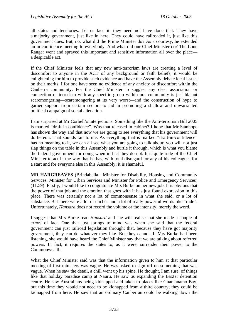all states and territories. Let us face it: they need not have done that. They have a majority government, just like in here. They could have railroaded it, just like this government does. But, no, what did the Prime Minister do? As a courtesy, he extended an in-confidence meeting to everybody. And what did our Chief Minister do? The Lone Ranger went and sprayed this important and sensitive information all over the place a despicable act.

If the Chief Minister feels that any new anti-terrorism laws are creating a level of discomfort to anyone in the ACT of any background or faith beliefs, it would be enlightening for him to provide such evidence and have the Assembly debate local issues on their merits. I for one have seen no evidence of any anxiety or discomfort within the Canberra community. For the Chief Minister to suggest any clear association or connection of terrorism with any specific group within our community is just blatant scaremongering—scaremongering at its very worst—and the construction of hype to garner support from certain sectors to aid in promoting a shallow and unwarranted political campaign of social alienation.

I am surprised at Mr Corbell's interjections. Something like the Anti-terrorism Bill 2005 is marked "draft-in-confidence". Was that released in cabinet? I hope that Mr Stanhope has shown the way and that now we are going to see everything that his government will do hereon. That sounds fair to me. As everything that is marked "draft-in-confidence" has no meaning to it, we can all see what you are going to talk about; you will not just slap things on the table in this Assembly and hurtle it through, which is what you blame the federal government for doing when in fact they do not. It is quite rude of the Chief Minister to act in the way that he has, with total disregard for any of his colleagues for a start and for everyone else in this Assembly; it is shameful.

**MR HARGREAVES** (Brindabella—Minister for Disability, Housing and Community Services, Minister for Urban Services and Minister for Police and Emergency Services) (11.59): Firstly, I would like to congratulate Mrs Burke on her new job. It is obvious that the power of that job and the emotion that goes with it has just found expression in this place. There was certainly not a lot of commonsense in what she said, or a lot of substance. But there were a lot of clichés and a lot of really powerful words like "rude". Unfortunately, *Hansard* does not record the volume or the intensity, merely the word.

I suggest that Mrs Burke read *Hansard* and she will realise that she made a couple of errors of fact. One that just springs to mind was when she said that the federal government can just railroad legislation through; that, because they have got majority government, they can do whatever they like. But they cannot. If Mrs Burke had been listening, she would have heard the Chief Minister say that we are talking about referred powers. In fact, it requires the states to, as it were, surrender their power to the Commonwealth.

What the Chief Minister said was that the information given to him at that particular meeting of first ministers was vague. He was asked to sign off on something that was vague. When he saw the detail, a chill went up his spine. He thought, I am sure, of things like that holiday paradise camp at Nauru. He saw us expanding the Baxter detention centre. He saw Australians being kidnapped and taken to places like Guantanamo Bay, but this time they would not need to be kidnapped from a third country; they could be kidnapped from here. He saw that an ordinary Canberran could be walking down the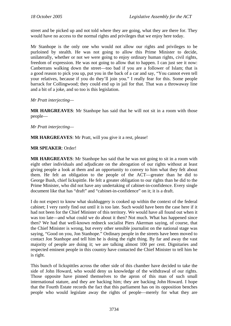street and be picked up and not told where they are going, what they are there for. They would have no access to the normal rights and privileges that we enjoy here today.

Mr Stanhope is the only one who would not allow our rights and privileges to be purloined by stealth. He was not going to allow this Prime Minister to decide, unilaterally, whether or not we were going to enjoy ordinary human rights, civil rights, freedom of expression. He was not going to allow that to happen. I can just see it now: Canberrans walking down the street—too bad if you are a follower of Islam; that is a good reason to pick you up, put you in the back of a car and say, "You cannot even tell your relatives, because if you do they'll join you." I really fear for this. Some people barrack for Collingwood; they could end up in jail for that. That was a throwaway line and a bit of a joke, and so too is this legislation.

*Mr Pratt interjecting—* 

**MR HARGREAVES**: Mr Stanhope has said that he will not sit in a room with those people—

*Mr Pratt interjecting—* 

**MR HARGREAVES**: Mr Pratt, will you give it a rest, please!

#### **MR SPEAKER**: Order!

**MR HARGREAVES**: Mr Stanhope has said that he was not going to sit in a room with eight other individuals and adjudicate on the abrogation of our rights without at least giving people a look at them and an opportunity to convey to him what they felt about them. He felt an obligation to the people of the ACT—greater than he did to George Bush, chief lickspittle. He felt a greater obligation to our rights than he did to the Prime Minister, who did not have any undertaking of cabinet-in-confidence. Every single document like that has "draft" and "cabinet-in-confidence" on it; it is a draft.

I do not expect to know what skulduggery is cooked up within the context of the federal cabinet; I very rarely find out until it is too late. Such would have been the case here if it had not been for the Chief Minister of this territory. We would have all found out when it was too late—and what could we do about it then? Not much. What has happened since then? We had that well-known redneck socialist Piers Akerman saying, of course, that the Chief Minister is wrong, but every other sensible journalist on the national stage was saying, "Good on you, Jon Stanhope." Ordinary people in the streets have been moved to contact Jon Stanhope and tell him he is doing the right thing. By far and away the vast majority of people are doing it; we are talking almost 100 per cent. Dignitaries and respected eminent people in this country have contacted the Chief Minister to tell him he is right.

This bunch of lickspittles across the other side of this chamber have decided to take the side of John Howard, who would deny us knowledge of the withdrawal of our rights. Those opposite have pinned themselves to the apron of this man of such small international stature, and they are backing him; they are backing John Howard. I hope that the Fourth Estate records the fact that this parliament has on its opposition benches people who would legislate away the rights of people—merely for what they are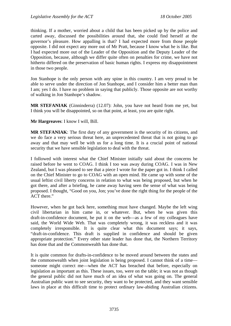thinking. If a mother, worried about a child that has been picked up by the police and carted away, discussed the possibilities around that, she could find herself at the governor's pleasure. How appalling is that? I had expected more from those people opposite. I did not expect any more out of Mr Pratt, because I know what he is like. But I had expected more out of the Leader of the Opposition and the Deputy Leader of the Opposition, because, although we differ quite often on penalties for crime, we have not hitherto differed on the preservation of basic human rights. I express my disappointment in those two people.

Jon Stanhope is the only person with any spine in this country. I am very proud to be able to serve under the direction of Jon Stanhope, and I consider him a better man than I am; yes I do. I have no problem in saying that publicly. Those opposite are not worthy of walking in Jon Stanhope's shadow.

**MR STEFANIAK** (Ginninderra) (12.07): John, you have not heard from me yet, but I think you will be disappointed, so on that point, at least, you are quite right.

**Mr Hargreaves**: I know I will, Bill.

**MR STEFANIAK**: The first duty of any government is the security of its citizens, and we do face a very serious threat here, an unprecedented threat that is not going to go away and that may well be with us for a long time. It is a crucial point of national security that we have sensible legislation to deal with the threat.

I followed with interest what the Chief Minister initially said about the concerns he raised before he went to COAG. I think I too was away during COAG. I was in New Zealand, but I was pleased to see that a piece I wrote for the paper got in. I think I called on the Chief Minister to go to COAG with an open mind. He came up with some of the usual leftist civil liberty concerns in relation to what was being proposed, but when he got there, and after a briefing, he came away having seen the sense of what was being proposed. I thought, "Good on you, Jon; you've done the right thing for the people of the ACT there."

However, when he got back here, something must have changed. Maybe the left wing civil libertarian in him came in, or whatever. But, when he was given this draft-in-confidence document, he put it on the web—as a few of my colleagues have said, the World Wide Web. That was completely wrong, it was reckless and it was completely irresponsible. It is quite clear what this document says; it says, "draft-in-confidence. This draft is supplied in confidence and should be given appropriate protection." Every other state leader has done that, the Northern Territory has done that and the Commonwealth has done that.

It is quite common for drafts-in-confidence to be moved around between the states and the commonwealth when joint legislation is being proposed. I cannot think of a time someone might correct me—when the ACT has breached that before, especially on legislation as important as this. These issues, too, were on the table; it was not as though the general public did not have much of an idea of what was going on. The general Australian public want to see security, they want to be protected, and they want sensible laws in place at this difficult time to protect ordinary law-abiding Australian citizens.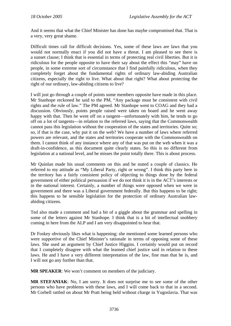And it seems that what the Chief Minister has done has maybe compromised that. That is a very, very great shame.

Difficult times call for difficult decisions. Yes, some of these laws are laws that you would not normally enact if you did not have a threat. I am pleased to see there is a sunset clause; I think that is essential in terms of protecting real civil liberties. But it is ridiculous for the people opposite to have their say about the effect this "may" have on people, in some extreme sort of circumstance that I find painfully ridiculous, when they completely forget about the fundamental rights of ordinary law-abiding Australian citizens, especially the right to live. What about that right? What about protecting the right of our ordinary, law-abiding citizens to live?

I will just go through a couple of points some members opposite have made in this place. Mr Stanhope reckoned he said to the PM, "Any package must be consistent with civil rights and the rule of law." The PM agreed. Mr Stanhope went to COAG and they had a discussion. Obviously, points people raised were taken on board and he went away happy with that. Then he went off on a tangent—unfortunately with him, he tends to go off on a lot of tangents—in relation to the referred laws, saying that the Commonwealth cannot pass this legislation without the cooperation of the states and territories. Quite so; so, if that is the case, why put it on the web? We have a number of laws where referred powers are relevant, and the states and territories cooperate with the Commonwealth on them. I cannot think of any instance where any of that was put on the web when it was a draft-in-confidence, as this document quite clearly states. So this is no different from legislation at a national level, and he misses the point totally there. This is about process.

Mr Quinlan made his usual comments on this and he stated a couple of classics. He referred to my attitude as "My Liberal Party, right or wrong". I think this party here in the territory has a fairly consistent policy of objecting to things done by the federal government of either political persuasion if we do not think it is in the ACT's interests or in the national interest. Certainly, a number of things were opposed when we were in government and there was a Liberal government federally. But this happens to be right; this happens to be sensible legislation for the protection of ordinary Australian lawabiding citizens.

Ted also made a comment and had a bit of a giggle about the grammar and spelling in some of the letters against Mr Stanhope. I think that is a bit of intellectual snobbery coming in here from the ALP and I am very disappointed to hear that.

Dr Foskey obviously likes what is happening; she mentioned some learned persons who were supportive of the Chief Minister's rationale in terms of opposing some of these laws. She used an argument by Chief Justice Higgins. I certainly would put on record that I completely disagree with what the learned chief justice said in relation to these laws. He and I have a very different interpretation of the law, fine man that he is, and I will not go any further than that.

**MR SPEAKER**: We won't comment on members of the judiciary.

**MR STEFANIAK**: No, I am sorry. It does not surprise me to see some of the other persons who have problems with these laws, and I will come back to that in a second. Mr Corbell rattled on about Mr Pratt being held without charge in Yugoslavia. That was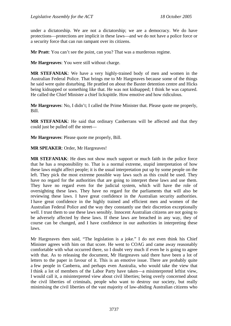under a dictatorship. We are not a dictatorship; we are a democracy. We do have protections—protections are implicit in these laws—and we do not have a police force or a security force that can run rampant over its citizens.

**Mr Pratt**: You can't see the point, can you? That was a murderous regime.

**Mr Hargreaves**: You were still without charge.

**MR STEFANIAK**: We have a very highly-trained body of men and women in the Australian Federal Police. That brings me to Mr Hargreaves because some of the things he said were quite disturbing. He prattled on about the Baxter detention centre and Hicks being kidnapped or something like that. He was not kidnapped; I think he was captured. He called the Chief Minister a chief lickspittle. How emotive and how ridiculous.

**Mr Hargreaves**: No, I didn't; I called the Prime Minister that. Please quote me properly, Bill.

**MR STEFANIAK**: He said that ordinary Canberrans will be affected and that they could just be pulled off the street—

**Mr Hargreaves**: Please quote me properly, Bill.

**MR SPEAKER**: Order, Mr Hargreaves!

**MR STEFANIAK**: He does not show much support or much faith in the police force that he has a responsibility to. That is a normal extreme, stupid interpretation of how these laws might affect people; it is the usual interpretation put up by some people on the left. They pick the most extreme possible way laws such as this could be used. They have no regard for the authorities that are going to interpret these laws and use them. They have no regard even for the judicial system, which will have the role of oversighting these laws. They have no regard for the parliaments that will also be reviewing these laws. I have great confidence in the Australian security authorities. I have great confidence in the highly trained and efficient men and women of the Australian Federal Police and the way they constantly use their discretion exceptionally well. I trust them to use these laws sensibly. Innocent Australian citizens are not going to be adversely affected by these laws. If these laws are breached in any way, they of course can be changed, and I have confidence in our authorities in interpreting these laws.

Mr Hargreaves then said, "The legislation is a joke." I do not even think his Chief Minister agrees with him on that score. He went to COAG and came away reasonably comfortable with what occurred there, so I doubt very much if even he is going to agree with that. As to releasing the document, Mr Hargreaves said there have been a lot of letters to the paper in favour of it. This is an emotive issue. There are probably quite a few people in Canberra, and perhaps even Australia, who would take the view that I think a lot of members of the Labor Party have taken—a misinterpreted leftist view, I would call it, a misinterpreted view about civil liberties; being overly concerned about the civil liberties of criminals, people who want to destroy our society, but really minimising the civil liberties of the vast majority of law-abiding Australian citizens who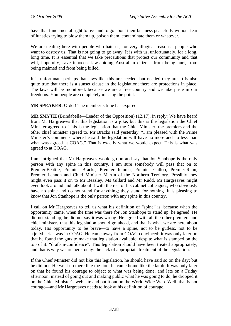have that fundamental right to live and to go about their business peacefully without fear of lunatics trying to blow them up, poison them, contaminate them or whatever.

We are dealing here with people who hate us, for very illogical reasons—people who want to destroy us. That is not going to go away. It is with us, unfortunately, for a long, long time. It is essential that we take precautions that protect our community and that will, hopefully, save innocent law-abiding Australian citizens from being hurt, from being maimed and from being killed.

It is unfortunate perhaps that laws like this are needed, but needed they are. It is also quite true that there is a sunset clause in the legislation; there are protections in place. The laws will be monitored, because we are a free country and we take pride in our freedoms. You people are completely missing the point.

**MR SPEAKER**: Order! The member's time has expired.

**MR SMYTH** (Brindabella—Leader of the Opposition) (12.17), in reply: We have heard from Mr Hargreaves that this legislation is a joke, but this is the legislation the Chief Minister agreed to. This is the legislation that the Chief Minister, the premiers and the other chief minister agreed to. Mr Bracks said yesterday, "I am pleased with the Prime Minister's comments where he said the legislation will have no more and no less than what was agreed at COAG." That is exactly what we would expect. This is what was agreed to at COAG.

I am intrigued that Mr Hargreaves would go on and say that Jon Stanhope is the only person with any spine in this country. I am sure somebody will pass that on to Premier Beattie, Premier Bracks, Premier Iemma, Premier Gallop, Premier Rann, Premier Lennon and Chief Minister Martin of the Northern Territory. Possibly they might even pass it on to Mr Beazley, Ms Gillard and Mr Rudd. Mr Hargreaves might even look around and talk about it with the rest of his cabinet colleagues, who obviously have no spine and do not stand for anything; they stand for nothing. It is pleasing to know that Jon Stanhope is the only person with any spine in this country.

I call on Mr Hargreaves to tell us what his definition of "spine" is, because when the opportunity came, when the time was there for Jon Stanhope to stand up, he agreed. He did not stand up; he did not say it was wrong. He agreed with all the other premiers and chief ministers that this legislation should go ahead, and that is what we are here about today. His opportunity to be brave—to have a spine, not to be gutless, not to be a jellyback—was in COAG. He came away from COAG convinced; it was only later on that he found the guts to make that legislation available, despite what is stamped on the top of it: "draft-in-confidence". This legislation should have been treated appropriately, and that is why we are here today: the lack of appropriate treatment of the legislation.

If the Chief Minister did not like this legislation, he should have said so on the day; but he did not. He went up there like the lion; he came home like the lamb. It was only later on that he found his courage to object to what was being done, and late on a Friday afternoon, instead of going out and making public what he was going to do, he dropped it on the Chief Minister's web site and put it out on the World Wide Web. Well, that is not courage—and Mr Hargreaves needs to look at his definition of courage.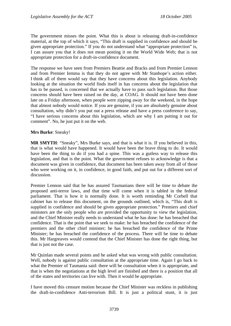The government misses the point. What this is about is releasing draft-in-confidence material, at the top of which it says, "This draft is supplied in confidence and should be given appropriate protection." If you do not understand what "appropriate protection" is, I can assure you that it does not mean posting it on the World Wide Web; that is not appropriate protection for a draft-in-confidence document.

The response we have seen from Premiers Beattie and Bracks and from Premier Lennon and from Premier Iemma is that they do not agree with Mr Stanhope's action either. I think all of them would say that they have concerns about this legislation. Anybody looking at the situation the world finds itself in has concerns about the legislation that has to be passed, is concerned that we actually have to pass such legislation. But those concerns should have been raised on the day, at COAG. It should not have been done late on a Friday afternoon, when people were zipping away for the weekend, in the hope that almost nobody would notice. If you are genuine, if you are absolutely genuine about consultation, why didn't you put out a press release and have a press conference to say, "I have serious concerns about this legislation, which are why I am putting it out for comment". No, he just put it on the web.

#### **Mrs Burke**: Sneaky!

**MR SMYTH**: "Sneaky", Mrs Burke says, and that is what it is. If you believed in this, that is what would have happened. It would have been the brave thing to do. It would have been the thing to do if you had a spine. This was a gutless way to release this legislation, and that is the point. What the government refuses to acknowledge is that a document was given in confidence, that document has been taken away from all of those who were working on it, in confidence, in good faith, and put out for a different sort of discussion.

Premier Lennon said that he has assured Tasmanians there will be time to debate the proposed anti-terror laws, and that time will come when it is tabled in the federal parliament. That is how it is normally done. It is worth reminding Mr Corbell that cabinet has to release this document, on the grounds outlined, which is, "This draft is supplied in confidence and should be given appropriate protection." Premiers and chief ministers are the only people who are provided the opportunity to view the legislation, and the Chief Minister really needs to understand what he has done: he has breached that confidence. That is the point that we seek to make: he has breached the confidence of the premiers and the other chief minister; he has breached the confidence of the Prime Minister; he has breached the confidence of the process. There will be time to debate this. Mr Hargreaves would contend that the Chief Minister has done the right thing, but that is just not the case.

Mr Quinlan made several points and he asked what was wrong with public consultation. Well, nobody is against public consultation at the appropriate time. Again I go back to what the Premier of Tasmania said: there will be consultation when it is appropriate, and that is when the negotiations at the high level are finished and there is a position that all of the states and territories can live with. Then it would be appropriate.

I have moved this censure motion because the Chief Minister was reckless in publishing the draft-in-confidence Anti-terrorism Bill. It is just a political stunt, it is just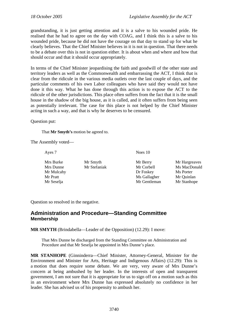<span id="page-31-0"></span>grandstanding, it is just getting attention and it is a salve to his wounded pride. He realised that he had to agree on the day with COAG, and I think this is a salve to his wounded pride, because he did not have the courage on that day to stand up for what he clearly believes. That the Chief Minister believes in it is not in question. That there needs to be a debate over this is not in question either. It is about when and where and how that should occur and that it should occur appropriately.

In terms of the Chief Minister jeopardising the faith and goodwill of the other state and territory leaders as well as the Commonwealth and embarrassing the ACT, I think that is clear from the ridicule in the various media outlets over the last couple of days, and the particular comments of his own Labor colleagues who have said they would not have done it this way. What he has done through this action is to expose the ACT to the ridicule of the other jurisdictions. This place often suffers from the fact that it is the small house in the shadow of the big house, as it is called, and it often suffers from being seen as potentially irrelevant. The case for this place is not helped by the Chief Minister acting in such a way, and that is why he deserves to be censured.

Question put:

That **Mr Smyth's** motion be agreed to.

The Assembly voted—

Ayes 7 Noes 10

Mrs Burke Mr Smyth Mr Berry Mr Hargreaves Mr Mulcahy **Dr Foskey** Ms Porter Mr Pratt Mr Gallagher Mr Ouinlan

Mrs Dunne Mr Stefaniak Mr Corbell Ms MacDonald Mr Seselja Mr Gentleman Mr Stanhope

Question so resolved in the negative.

## **Administration and Procedure—Standing Committee Membership**

**MR SMYTH** (Brindabella—Leader of the Opposition) (12.29): I move:

That Mrs Dunne be discharged from the Standing Committee on Administration and Procedure and that Mr Seselja be appointed in Mrs Dunne's place.

**MR STANHOPE** (Ginninderra—Chief Minister, Attorney-General, Minister for the Environment and Minister for Arts, Heritage and Indigenous Affairs) (12.29): This is a motion that does require some debate. We are very, very aware of Mrs Dunne's concern at being ambushed by her leader. In the interests of open and transparent government, I am not sure that it is appropriate for us to sign off on a motion such as this in an environment where Mrs Dunne has expressed absolutely no confidence in her leader. She has advised us of his propensity to ambush her.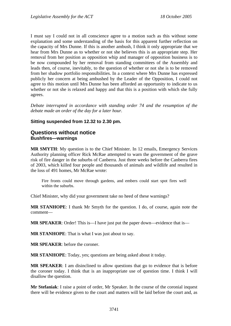<span id="page-32-0"></span>I must say I could not in all conscience agree to a motion such as this without some explanation and some understanding of the basis for this apparent further reflection on the capacity of Mrs Dunne. If this is another ambush, I think it only appropriate that we hear from Mrs Dunne as to whether or not she believes this is an appropriate step. Her removal from her position as opposition whip and manager of opposition business is to be now compounded by her removal from standing committees of the Assembly and leads then, of course, inevitably, to the question of whether or not she is to be removed from her shadow portfolio responsibilities. In a context where Mrs Dunne has expressed publicly her concern at being ambushed by the Leader of the Opposition, I could not agree to this motion until Mrs Dunne has been afforded an opportunity to indicate to us whether or not she is relaxed and happy and that this is a position with which she fully agrees.

*Debate interrupted in accordance with standing order 74 and the resumption of the debate made an order of the day for a later hour.* 

### **Sitting suspended from 12.32 to 2.30 pm.**

## **Questions without notice Bushfires—warnings**

**MR SMYTH**: My question is to the Chief Minister. In 12 emails, Emergency Services Authority planning officer Rick McRae attempted to warn the government of the grave risk of fire danger in the suburbs of Canberra. Just three weeks before the Canberra fires of 2003, which killed four people and thousands of animals and wildlife and resulted in the loss of 491 homes, Mr McRae wrote:

Fire fronts could move through gardens, and embers could start spot fires well within the suburbs.

Chief Minister, why did your government take no heed of these warnings?

**MR STANHOPE**: I thank Mr Smyth for the question. I do, of course, again note the comment—

**MR SPEAKER:** Order! This is—I have just put the paper down—evidence that is—

**MR STANHOPE**: That is what I was just about to say.

**MR SPEAKER**: before the coroner.

**MR STANHOPE**: Today, yes; questions are being asked about it today.

**MR SPEAKER**: I am disinclined to allow questions that go to evidence that is before the coroner today. I think that is an inappropriate use of question time. I think I will disallow the question.

**Mr Stefaniak**: I raise a point of order, Mr Speaker. In the course of the coronial inquest there will be evidence given to the court and matters will be laid before the court and, as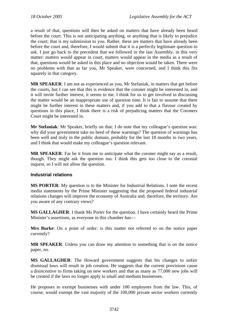<span id="page-33-0"></span>a result of that, questions will then be asked on matters that have already been heard before the court. This is not anticipating anything, or anything that is likely to prejudice the court; that is my submission to you. Rather, these are matters that have already been before the court and, therefore, I would submit that it is a perfectly legitimate question to ask. I just go back to the precedent that we followed in the last Assembly, in this very matter: matters would appear in court, matters would appear in the media as a result of that, questions would be asked in this place and no objection would be taken. There were no problems with that as far you, Mr Speaker, were concerned, and I think this fits squarely in that category.

**MR SPEAKER**: I am not as experienced as you, Mr Stefaniak, in matters that get before the courts, but I can see that this is evidence that the coroner might be interested in, and it will invite further interest, it seems to me. I think for us to get involved in discussing the matter would be an inappropriate use of question time. It is fair to assume that there might be further interest in these matters and, if you add to that a flavour created by questions in this place, I think there is a risk of prejudicing matters that the Coroners Court might be interested in.

**Mr Stefaniak**: Mr Speaker, briefly on that: I do note that my colleague's question was: why did your government take no heed of these warnings? The question of warnings has been well and truly in the public domain, probably for the last 18 months to two years, and I think that would make my colleague's question relevant.

**MR SPEAKER**: Far be it from me to anticipate what the coroner might say as a result, though. They might ask the question too. I think this gets too close to the coronial inquest, so I will not allow the question.

## **Industrial relations**

**MS PORTER**: My question is to the Minister for Industrial Relations. I note the recent media statements by the Prime Minister suggesting that the proposed federal industrial relations changes will improve the economy of Australia and, therefore, the territory. Are you aware of any contrary views?

**MS GALLAGHER**: I thank Ms Porter for the question. I have certainly heard the Prime Minister's assertions, as everyone in this chamber has—

**Mrs Burke**: On a point of order: is this matter not referred to on the notice paper currently?

**MR SPEAKER**: Unless you can draw my attention to something that is on the notice paper, no.

**MS GALLAGHER**: The Howard government suggests that his changes to unfair dismissal laws will result in job creation. He suggests that the current provisions cause a disincentive to firms taking on new workers and that as many as 77,000 new jobs will be created if the laws no longer apply to small and medium businesses.

He proposes to exempt businesses with under 100 employees from the law. This, of course, would exempt the vast majority of the 100,000 private sector workers currently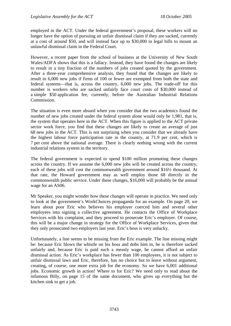employed in the ACT. Under the federal government's proposal, these workers will no longer have the option of pursuing an unfair dismissal claim if they are sacked, currently at a cost of around \$50, and will instead face up to \$30,000 in legal bills to mount an unlawful dismissal claim in the Federal Court.

However, a recent paper from the school of business at the University of New South Wales/ADFA shows that this is a fallacy. Instead, they have found the changes are likely to result in a tiny fraction of the numbers of jobs created quoted by the government. After a three-year comprehensive analysis, they found that the changes are likely to result in 6,000 new jobs if firms of 100 or fewer are exempted from both the state and federal systems—that is, across the country, 6,000 new jobs. The trade-off for this number is workers who are sacked unfairly face court costs of \$30,000 instead of a simple \$50 application fee, currently, before the Australian Industrial Relations Commission.

The situation is even more absurd when you consider that the two academics found the number of new jobs created under the federal system alone would only be 1,981, that is, the system that operates here in the ACT. When this figure is applied to the ACT private sector work force, you find that these changes are likely to create an average of just 68 new jobs in the ACT. This is not surprising when you consider that we already have the highest labour force participation rate in the country, at 71.9 per cent, which is 7 per cent above the national average. There is clearly nothing wrong with the current industrial relations system in the territory.

The federal government is expected to spend \$100 million promoting these changes across the country. If we assume the 6,000 new jobs will be created across the country, each of these jobs will cost the commonwealth government around \$16½ thousand. At that rate, the Howard government may as well employ those 68 directly in the commonwealth public service. Under these changes, \$16,000 will probably be the annual wage for an AS06.

Mr Speaker, you might wonder how these changes will operate in practice. We need only to look at the government's WorkChoices propaganda for an example. On page 20, we learn about poor Eric who believes his employer coerced him and several other employees into signing a collective agreement. He contacts the Office of Workplace Services with his complaint, and they proceed to prosecute Eric's employer. Of course, this will be a major change in strategy for the Office of Workplace Services, given that they only prosecuted two employers last year. Eric's boss is very unlucky.

Unfortunately, a line seems to be missing from the Eric example. The line missing might be: because Eric blows the whistle on his boss and dobs him in, he is therefore sacked unfairly and, because Eric is paid such a measly wage, he cannot afford an unfair dismissal action. As Eric's workplace has fewer than 100 employees, it is not subject to unfair dismissal laws and Eric, therefore, has no choice but to leave without argument, creating, of course, one more extra job for the economy. So we have 6,001 additional jobs. Economic growth in action! Where to for Eric? We need only to read about the infamous Billy, on page 15 of the same document, who gives up everything but the kitchen sink to get a job.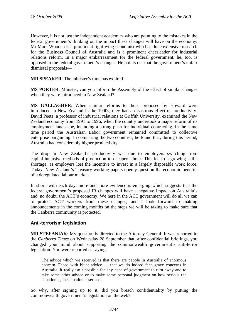<span id="page-35-0"></span>However, it is not just the independent academics who are pointing to the mistakes in the federal government's thinking on the impact these changes will have on the economy. Mr Mark Wooden is a prominent right-wing economist who has done extensive research for the Business Council of Australia and is a prominent cheerleader for industrial relations reform. In a major embarrassment for the federal government, he, too, is opposed to the federal government's changes. He points out that the government's unfair dismissal proposals—

**MR SPEAKER**: The minister's time has expired.

**MS PORTER**: Minister, can you inform the Assembly of the effect of similar changes when they were introduced in New Zealand?

**MS GALLAGHER**: When similar reforms to those proposed by Howard were introduced in New Zealand in the 1990s, they had a disastrous effect on productivity. David Peetz, a professor of industrial relations at Griffith University, examined the New Zealand economy from 1991 to 1996, when the country undertook a major reform of its employment landscape, including a strong push for individual contracting. In the same time period the Australian Labor government remained committed to collective enterprise bargaining. In comparing the two countries, he found that, during this period, Australia had considerably higher productivity.

The drop in New Zealand's productivity was due to employers switching from capital-intensive methods of production to cheaper labour. This led to a growing skills shortage, as employers lost the incentive to invest in a largely disposable work force. Today, New Zealand's Treasury working papers openly question the economic benefits of a deregulated labour market.

In short, with each day, more and more evidence is emerging which suggests that the federal government's proposed IR changes will have a negative impact on Australia's and, no doubt, the ACT's economy. We here in the ACT government will do all we can to protect ACT workers from these changes, and I look forward to making announcements in the coming months on the steps we will be taking to make sure that the Canberra community is protected.

## **Anti-terrorism legislation**

**MR STEFANIAK**: My question is directed to the Attorney-General. It was reported in the *Canberra Times* on Wednesday 28 September that, after confidential briefings, you changed your mind about supporting the commonwealth government's anti-terror legislation. You were reported as saying:

The advice which we received is that there are people in Australia of enormous concern. Faced with blunt advice … that we do indeed face grave concerns in Australia, it really isn't possible for any head of government to turn away and to take some other advice or to make some personal judgment on how serious the situation is, the situation is serious.

So why, after signing up to it, did you breach confidentiality by putting the commonwealth government's legislation on the web?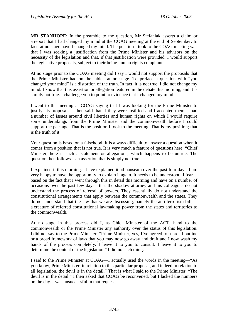**MR STANHOPE**: In the preamble to the question, Mr Stefaniak asserts a claim or a report that I had changed my mind at the COAG meeting at the end of September. In fact, at no stage have I changed my mind. The position I took to the COAG meeting was that I was seeking a justification from the Prime Minister and his advisors on the necessity of the legislation and that, if that justification were provided, I would support the legislative proposals, subject to their being human rights compliant.

At no stage prior to the COAG meeting did I say I would not support the proposals that the Prime Minister had on the table—at no stage. To preface a question with "you changed your mind" is a distortion of the truth. In fact, it is not true. I did not change my mind. I know that this assertion or allegation featured in the debate this morning, and it is simply not true. I challenge you to point to evidence that I changed my mind.

I went to the meeting at COAG saying that I was looking for the Prime Minister to justify his proposals. I then said that if they were justified and I accepted them, I had a number of issues around civil liberties and human rights on which I would require some undertakings from the Prime Minister and the commonwealth before I could support the package. That is the position I took to the meeting. That is my position; that is the truth of it.

Your question is based on a falsehood. It is always difficult to answer a question when it comes from a position that is not true. It is very much a feature of questions here: "Chief Minister, here is such a statement or allegation", which happens to be untrue. The question then follows—an assertion that is simply not true.

I explained it this morning. I have explained it ad nauseam over the past four days. I am very happy to have the opportunity to explain it again. It needs to be understood. I fear based on the fact that I went through this in detail this morning and have on a number of occasions over the past few days—that the shadow attorney and his colleagues do not understand the process of referral of powers. They essentially do not understand the constitutional arrangements that apply between the commonwealth and the states. They do not understand that the law that we are discussing, namely the anti-terrorism bill, is a creature of referred constitutional lawmaking power from the states and territories to the commonwealth.

At no stage in this process did I, as Chief Minister of the ACT, hand to the commonwealth or the Prime Minister any authority over the status of this legislation. I did not say to the Prime Minister, "Prime Minister, yes, I've agreed to a broad outline or a broad framework of laws that you may now go away and draft and I now wash my hands of the process completely. I leave it to you to consult. I leave it to you to determine the content of the legislation." I did no such thing.

I said to the Prime Minister at COAG—I actually used the words in the meeting—"As you know, Prime Minister, in relation to this particular proposal, and indeed in relation to all legislation, the devil is in the detail." That is what I said to the Prime Minister: "The devil is in the detail." I then asked that COAG be reconvened, but I lacked the numbers on the day. I was unsuccessful in that request.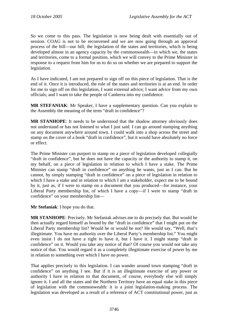So we come to this pass. The legislation is now being dealt with essentially out of session. COAG is not to be reconvened and we are now going through an approval process of the bill—our bill; the legislation of the states and territories, which is being developed almost in an agency capacity by the commonwealth—in which we, the states and territories, come to a formal position, which we will convey to the Prime Minister in response to a request from him for us to do so on whether we are prepared to support the legislation.

As I have indicated, I am not prepared to sign off on this piece of legislation. That is the end of it. Once it is introduced, the role of the states and territories is at an end. In order for me to sign off on this legislation, I want external advice; I want advice from my own officials; and I want to take the people of Canberra into my confidence.

**MR STEFANIAK**: Mr Speaker, I have a supplementary question. Can you explain to the Assembly the meaning of the term "draft in confidence"?

**MR STANHOPE**: It needs to be understood that the shadow attorney obviously does not understand or has not listened to what I just said. I can go around stamping anything on any document anywhere around town. I could walk into a shop across the street and stamp on the cover of a book "draft in confidence", but it would have absolutely no force or effect.

The Prime Minister can purport to stamp on a piece of legislation developed collegially "draft in confidence", but he does not have the capacity or the authority to stamp it, on my behalf, on a piece of legislation in relation to which I have a stake. The Prime Minister can stamp "draft in confidence" on anything he wants, just as I can. But he cannot, by simply stamping "draft in confidence" on a piece of legislation in relation to which I have a stake and in relation to which I am a stakeholder, expect me to be bound by it, just as, if I were to stamp on a document that you produced—for instance, your Liberal Party membership list, of which I have a copy—if I were to stamp "draft in confidence" on your membership list—

**Mr Stefaniak**: I hope you do that.

**MR STANHOPE**: Precisely. Mr Stefaniak advises me to do precisely that. But would he then actually regard himself as bound by the "draft in confidence" that I might put on the Liberal Party membership list? Would he or would he not? He would say, "Well, that's illegitimate. You have no authority over the Liberal Party's membership list." You might even insist I do not have a right to have it, but I have it. I might stamp "draft in confidence" on it. Would you take any notice of that? Of course you would not take any notice of that. You would regard it as a completely illegitimate exercise of power by me in relation to something over which I have no power.

That applies precisely to this legislation. I can wander around town stamping "draft in confidence" on anything I see. But if it is an illegitimate exercise of any power or authority I have in relation to that document, of course, everybody else will simply ignore it. I and all the states and the Northern Territory have an equal stake in this piece of legislation with the commonwealth: it is a joint legislation-making process. The legislation was developed as a result of a reference of ACT constitutional power, just as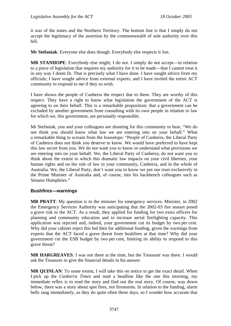it was of the states and the Northern Territory. The bottom line is that I simply do not accept the legitimacy of the assertion by the commonwealth of sole authority over this bill.

**Mr Stefaniak**: Everyone else does though. Everybody else respects it Jon.

**MR STANHOPE**: Everybody else might; I do not. I simply do not accept—in relation to a piece of legislation that requires my authority for it to be made—that I cannot treat it in any way I deem fit. That is precisely what I have done. I have sought advice from my officials; I have sought advice from external experts; and I have invited the entire ACT community to respond to me if they so wish.

I have shown the people of Canberra the respect due to them. They are worthy of this respect. They have a right to know what legislation the government of the ACT is agreeing to on their behalf. This is a remarkable proposition: that a government can be excluded by another government from consulting with its own people in relation to law for which we, this government, are personally responsible.

Mr Stefaniak, you and your colleagues are shouting for this community to hear, "We do not think you should know what law we are entering into on your behalf." What a remarkable thing to scream from the housetops: "People of Canberra, the Liberal Party of Canberra does not think you deserve to know. We would have preferred to have kept this law secret from you. We do not want you to know or understand what provisions we are entering into on your behalf. We, the Liberal Party of Canberra, do not want you to think about the extent to which this dramatic law impacts on your civil liberties, your human rights and on the rule of law in your community, Canberra, and in the whole of Australia. We, the Liberal Party, don't want you to know we put our trust exclusively in the Prime Minister of Australia and, of course, into his backbench colleagues such as Senator Humphries."

## **Bushfires—warnings**

**MR PRATT**: My question is to the minister for emergency services. Minister, in 2002 the Emergency Services Authority was anticipating that the 2002-03 fire season posed a grave risk to the ACT. As a result, they applied for funding for two extra officers for planning and community education and to increase aerial firefighting capacity. This application was rejected and, indeed, your government cut its budget by two per cent. Why did your cabinet reject this bid then for additional funding, given the warnings from experts that the ACT faced a grave threat from bushfires at that time? Why did your government cut the ESB budget by two per cent, limiting its ability to respond to this grave threat?

**MR HARGREAVES**: I was not there at the time, but the Treasurer was there. I would ask the Treasurer to give the financial details in his answer.

**MR QUINLAN**: To some extent, I will take this on notice to get the exact detail. When I pick up the *Canberra Times* and read a headline like the one this morning, my immediate reflex is to read the story and find out the real story. Of course, way down below, there was a story about spot fires, not firestorms. In relation to the funding, alarm bells rang immediately, as they do quite often these days, so I wonder how accurate that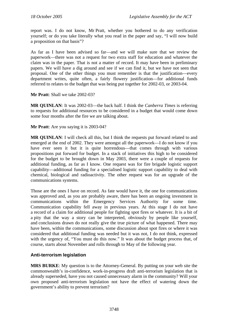report was. I do not know, Mr Pratt, whether you bothered to do any verification yourself; or do you take literally what you read in the paper and say, "I will now build a proposition on that basis"?

As far as I have been advised so far—and we will make sure that we review the paperwork—there was not a request for two extra staff for education and whatever the claim was in the paper. That is not a matter of record. It may have been in preliminary papers. We will have a dig around and see if we can find it, but we have not seen that proposal. One of the other things you must remember is that the justification—every department writes, quite often, a fairly flowery justification—for additional funds referred to relates to the budget that was being put together for 2002-03, or 2003-04.

**Mr Pratt**: Shall we take 2002-03?

**MR QUINLAN**: It was 2002-03—the back half. I think the *Canberra Times* is referring to requests for additional resources to be considered in a budget that would come down some four months after the fire we are talking about.

**Mr Pratt**: Are you saying it is 2003-04?

**MR QUINLAN:** I will check all this, but I think the requests put forward related to and emerged at the end of 2002. They were amongst all the paperwork—I do not know if you have ever seen it but it is quite horrendous—that comes through with various propositions put forward for budget. In a stack of initiatives this high to be considered for the budget to be brought down in May 2003, there were a couple of requests for additional funding, as far as I know. One request was for fire brigade logistic support capability—additional funding for a specialised logistic support capability to deal with chemical, biological and radioactivity. The other request was for an upgrade of the communications systems.

Those are the ones I have on record. As fate would have it, the one for communications was approved and, as you are probably aware, there has been an ongoing investment in communications within the Emergency Services Authority for some time. Communication capability fell away in previous years. At this stage I do not have a record of a claim for additional people for fighting spot fires or whatever. It is a bit of a pity that the way a story can be interpreted, obviously by people like yourself, and conclusions drawn do not really give the true picture of what happened. There may have been, within the communications, some discussion about spot fires or where it was considered that additional funding was needed but it was not, I do not think, expressed with the urgency of, "You must do this now." It was about the budget process that, of course, starts about November and rolls through to May of the following year.

## **Anti-terrorism legislation**

**MRS BURKE**: My question is to the Attorney-General. By putting on your web site the commonwealth's in-confidence, work-in-progress draft anti-terrorism legislation that is already superseded, have you not caused unnecessary alarm in the community? Will your own proposed anti-terrorism legislation not have the effect of watering down the government's ability to prevent terrorism?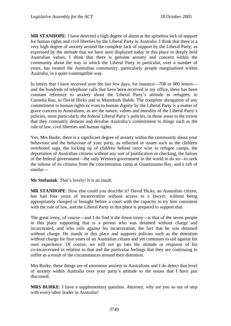**MR STANHOPE**: I have detected a high degree of alarm at the spineless lack of support for human rights and civil liberties by the Liberal Party in Australia. I think that there is a very high degree of anxiety around the complete lack of support by the Liberal Party, as expressed by the attitude that we have seen displayed today in this place to deeply held Australian values. I think that there is genuine anxiety and concern within the community about the way in which the Liberal Party in particular, over a number of years, has treated the Australian community, particularly people marginalised within Australia, in a quite contemptible way.

In letters that I have received over the last few days, for instance—700 or 800 letters and the hundreds of telephone calls that have been received in my office, there has been constant reference to anxiety about the Liberal Party's attitude to refugees, to Cornelia Rau, to David Hicks and to Mamdouh Habib. The complete abrogation of any commitment to human rights or even to human dignity by the Liberal Party is a matter of grave concern to Australians, as are the nature, values and morality of the Liberal Party's policies, most particularly the federal Liberal Party's policies, in those areas to the extent that they constantly demean and devalue Australia's commitment to things such as the rule of law, civil liberties and human rights.

Yes, Mrs Burke, there is a significant degree of anxiety within the community about your behaviour and the behaviour of your party, as reflected in issues such as the children overboard saga, the locking up of children behind razor wire in refugee camps, the deportation of Australian citizens without any sort of justification or checking, the failure of the federal government—the only Western government in the world to do so—to seek the release of its citizens from the concentration camp at Guantanamo Bay, and a raft of similar—

**Mr Stefaniak**: That's lovely! It is an insult.

**MR STANHOPE**: How else could you describe it? David Hicks, an Australian citizen, has had four years of incarceration without access to a lawyer, without being appropriately charged or brought before a court with the capacity to try him consistent with the rule of law, and the Liberal Party in this place is prepared to support that.

The great irony, of course—and I do find it the finest irony—is that of the seven people in this place supporting that is a person who was detained without charge and incarcerated, and who rails against his incarceration, the fact that he was detained without charge. He stands in this place and supports policies such as the detention without charge for four years of an Australian citizen and yet continues to rail against his own experience. Of course, we will not go into the attitude or response of his co-incarcerated in relation to that and the particular feelings that they are continuing to suffer as a result of the circumstances around their detention.

Mrs Burke, these things are of enormous anxiety to Australians and I do detect that level of anxiety within Australia over your party's attitude to the issues that I have just discussed.

**MRS BURKE**: I have a supplementary question. Attorney, why are you so out of step with every other leader in Australia?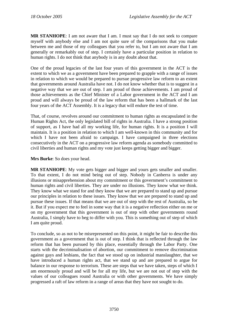**MR STANHOPE**: I am not aware that I am. I must say that I do not seek to compare myself with anybody else and I am not quite sure of the comparisons that you make between me and those of my colleagues that you refer to, but I am not aware that I am generally or remarkably out of step. I certainly have a particular position in relation to human rights. I do not think that anybody is in any doubt about that.

One of the proud legacies of the last four years of this government in the ACT is the extent to which we as a government have been prepared to grapple with a range of issues in relation to which we would be prepared to pursue progressive law reform to an extent that governments around Australia have not. I do not know whether that is to suggest in a negative way that we are out of step. I am proud of those achievements. I am proud of those achievements as the Chief Minister of a Labor government in the ACT and I am proud and will always be proud of the law reform that has been a hallmark of the last four years of the ACT Assembly. It is a legacy that will endure the test of time.

That, of course, revolves around our commitment to human rights as encapsulated in the Human Rights Act, the only legislated bill of rights in Australia. I have a strong position of support, as I have had all my working life, for human rights. It is a position I will maintain. It is a position in relation to which I am well-known in this community and for which I have not been afraid to campaign. I have campaigned in three elections consecutively in the ACT on a progressive law reform agenda as somebody committed to civil liberties and human rights and my vote just keeps getting bigger and bigger.

**Mrs Burke**: So does your head.

**MR STANHOPE:** My vote gets bigger and bigger and yours gets smaller and smaller. To that extent, I do not mind being out of step. Nobody in Canberra is under any illusions or misapprehension about my commitment or this government's commitment to human rights and civil liberties. They are under no illusions. They know what we think. They know what we stand for and they know that we are prepared to stand up and pursue our principles in relation to these issues. They know that we are prepared to stand up and pursue these issues. If that means that we are out of step with the rest of Australia, so be it. But if you expect me to feel in some way that it is a negative reflection either on me or on my government that this government is out of step with other governments round Australia, I simply have to beg to differ with you. This is something out of step of which I am quite proud.

To conclude, so as not to be misrepresented on this point, it might be fair to describe this government as a government that is out of step. I think that is reflected through the law reform that has been pursued by this place, essentially through the Labor Party. One starts with the decriminalisation of abortion, our commitment to remove discrimination against gays and lesbians, the fact that we stood up on industrial manslaughter, that we have introduced a human rights act, that we stand up and are prepared to argue for balance in our response to terrorism. These are steps that we have taken, steps of which I am enormously proud and will be for all my life, but we are not out of step with the values of our colleagues round Australia or with other governments. We have simply progressed a raft of law reform in a range of areas that they have not sought to do.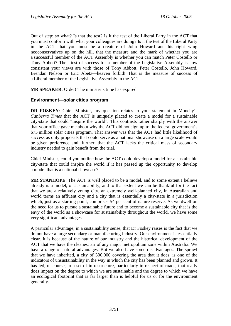Out of step: so what? Is that the test? Is it the test of the Liberal Party in the ACT that you must conform with what your colleagues are doing? Is it the test of the Liberal Party in the ACT that you must be a creature of John Howard and his right wing neoconservatives up on the hill, that the measure and the mark of whether you are a successful member of the ACT Assembly is whether you can match Peter Costello or Tony Abbott? Their test of success for a member of the Legislative Assembly is how consistent your views are with those of Tony Abbott, Peter Costello, John Howard, Brendan Nelson or Eric Abetz—heaven forbid! That is the measure of success of a Liberal member of the Legislative Assembly in the ACT.

**MR SPEAKER**: Order! The minister's time has expired.

## **Environment—solar cities program**

**DR FOSKEY**: Chief Minister, my question relates to your statement in Monday's *Canberra Times* that the ACT is uniquely placed to create a model for a sustainable city-state that could "inspire the world". This contrasts rather sharply with the answer that your office gave me about why the ACT did not sign up to the federal government's \$75 million solar cities program. That answer was that the ACT had little likelihood of success as only proposals that could serve as a national showcase on a large scale would be given preference and, further, that the ACT lacks the critical mass of secondary industry needed to gain benefit from the trial.

Chief Minister, could you outline how the ACT could develop a model for a sustainable city-state that could inspire the world if it has passed up the opportunity to develop a model that is a national showcase?

**MR STANHOPE**: The ACT is well placed to be a model, and to some extent I believe already is a model, of sustainability, and to that extent we can be thankful for the fact that we are a relatively young city, an extremely well-planned city, in Australian and world terms an affluent city and a city that is essentially a city-state in a jurisdiction which, just as a starting point, comprises 54 per cent of nature reserve. As we dwell on the need for us to pursue a sustainable future and to become a sustainable city that is the envy of the world as a showcase for sustainability throughout the world, we have some very significant advantages.

A particular advantage, in a sustainability sense, that Dr Foskey raises is the fact that we do not have a large secondary or manufacturing industry. Our environment is essentially clear. It is because of the nature of our industry and the historical development of the ACT that we have the cleanest air of any major metropolitan zone within Australia. We have a range of natural advantages. But we also have some disadvantages. The sprawl that we have inherited, a city of 300,000 covering the area that it does, is one of the indicators of unsustainability in the way in which the city has been planned and grown. It has led, of course, to a set of infrastructure, particularly in respect of roads, that really does impact on the degree to which we are sustainable and the degree to which we have an ecological footprint that is far larger than is helpful for us or for the environment generally.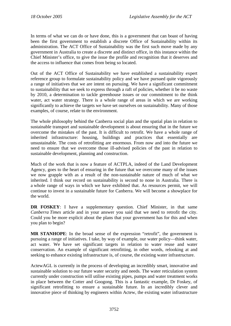In terms of what we can do or have done, this is a government that can boast of having been the first government to establish a discrete Office of Sustainability within its administration. The ACT Office of Sustainability was the first such move made by any government in Australia to create a discrete and distinct office, in this instance within the Chief Minister's office, to give the issue the profile and recognition that it deserves and the access to influence that comes from being so located.

Out of the ACT Office of Sustainability we have established a sustainability expert reference group to formulate sustainability policy and we have pursued quite vigorously a range of initiatives that we are intent on pursuing. We have a significant commitment to sustainability that we seek to express through a raft of policies, whether it be no waste by 2010, a determination to tackle greenhouse issues or our commitment to the think water, act water strategy. There is a whole range of areas in which we are working significantly to achieve the targets we have set ourselves on sustainability. Many of those examples, of course, relate to the environment.

The whole philosophy behind the Canberra social plan and the spatial plan in relation to sustainable transport and sustainable development is about ensuring that in the future we overcome the mistakes of the past. It is difficult to retrofit. We have a whole range of inherited infrastructure: housing, buildings and practices that essentially are unsustainable. The costs of retrofitting are enormous. From now and into the future we need to ensure that we overcome those ill-advised policies of the past in relation to sustainable development, planning and construction.

Much of the work that is now a feature of ACTPLA, indeed of the Land Development Agency, goes to the heart of ensuring in the future that we overcome many of the issues we now grapple with as a result of the non-sustainable nature of much of what we inherited. I think our record on sustainability is second to none in Australia. There is a whole range of ways in which we have exhibited that. As resources permit, we will continue to invest in a sustainable future for Canberra. We will become a showplace for the world.

**DR FOSKEY**: I have a supplementary question. Chief Minister, in that same *Canberra Times* article and in your answer you said that we need to retrofit the city. Could you be more explicit about the plans that your government has for this and when you plan to begin?

**MR STANHOPE**: In the broad sense of the expression "retrofit", the government is pursuing a range of initiatives. I take, by way of example, our water policy—think water, act water. We have set significant targets in relation to water reuse and water conservation. An example of significant retrofitting, in other words, relooking at and seeking to enhance existing infrastructure is, of course, the existing water infrastructure.

ActewAGL is currently in the process of developing an incredibly smart, innovative and sustainable solution to our future water security and needs. The water reticulation system currently under construction will utilise existing pipes, pumps and water treatment works in place between the Cotter and Googong. This is a fantastic example, Dr Foskey, of significant retrofitting to ensure a sustainable future. In an incredibly clever and innovative piece of thinking by engineers within Actew, the existing water infrastructure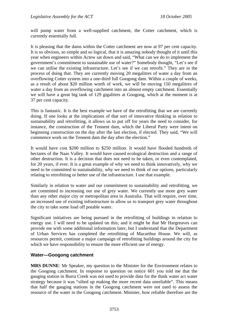will pump water from a well-supplied catchment, the Cotter catchment, which is currently essentially full.

It is pleasing that the dams within the Cotter catchment are now at 97 per cent capacity. It is so obvious, so simple and so logical, that it is amazing nobody thought of it until this year when engineers within Actew sat down and said, "What can we do to implement the government's commitment to sustainable use of water?" Somebody thought, "Let's see if we can utilise the existing infrastructure. Let's see if we can retrofit." They are in the process of doing that. They are currently moving 20 megalitres of water a day from an overflowing Cotter system into a one-third full Googong dam. Within a couple of weeks, as a result of about \$20 million worth of work, we will be moving 150 megalitres of water a day from an overflowing catchment into an almost empty catchment. Essentially we will have a great big tank of 129 gigalitres at Googong, which at the moment is at 37 per cent capacity.

This is fantastic. It is the best example we have of the retrofitting that we are currently doing. If one looks at the implications of that sort of innovative thinking in relation to sustainability and retrofitting, it allows us to put off for years the need to consider, for instance, the construction of the Tennent dam, which the Liberal Party were intent on beginning construction on the day after the last election, if elected. They said, "We will commence work on the Tennent dam the day after the election."

It would have cost \$200 million to \$250 million. It would have flooded hundreds of hectares of the Naas Valley. It would have caused ecological destruction and a range of other destruction. It is a decision that does not need to be taken, or even contemplated, for 20 years, if ever. It is a great example of why we need to think innovatively, why we need to be committed to sustainability, why we need to think of our options, particularly relating to retrofitting or better use of the infrastructure. I use that example.

Similarly in relation to water and our commitment to sustainability and retrofitting, we are committed to increasing our use of grey water. We currently use more grey water than any other major city or metropolitan area in Australia. That will require, over time, an increased use of existing infrastructure to allow us to transport grey water throughout the city to take some load off potable water.

Significant initiatives are being pursued in the retrofitting of buildings in relation to energy use. I will need to be updated on this; and it might be that Mr Hargreaves can provide me with some additional information later, but I understand that the Department of Urban Services has completed the retrofitting of Macarthur House. We will, as resources permit, continue a major campaign of retrofitting buildings around the city for which we have responsibility to ensure the more efficient use of energy.

## **Water—Googong catchment**

**MRS DUNNE**: Mr Speaker, my question to the Minister for the Environment relates to the Googong catchment. In response to question on notice 601 you told me that the gauging station in Burra Creek was not used to provide data for the think water act water strategy because it was "silted up making the more recent data unreliable". This means that half the gauging stations in the Googong catchment were not used to assess the resource of the water in the Googong catchment. Minister, how reliable therefore are the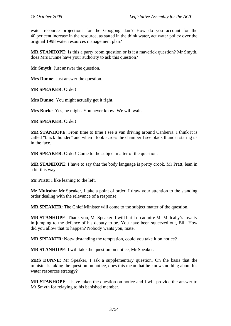water resource projections for the Googong dam? How do you account for the 40 per cent increase in the resource, as stated in the think water, act water policy over the original 1998 water resources management plan?

**MR STANHOPE**: Is this a party room question or is it a maverick question? Mr Smyth, does Mrs Dunne have your authority to ask this question?

**Mr Smyth**: Just answer the question.

**Mrs Dunne**: Just answer the question.

**MR SPEAKER**: Order!

**Mrs Dunne**: You might actually get it right.

**Mrs Burke**: Yes, he might. You never know. We will wait.

**MR SPEAKER**: Order!

**MR STANHOPE**: From time to time I see a van driving around Canberra. I think it is called "black thunder" and when I look across the chamber I see black thunder staring us in the face.

**MR SPEAKER**: Order! Come to the subject matter of the question.

**MR STANHOPE**: I have to say that the body language is pretty crook. Mr Pratt, lean in a bit this way.

**Mr Pratt**: I like leaning to the left.

**Mr Mulcahy**: Mr Speaker, I take a point of order. I draw your attention to the standing order dealing with the relevance of a response.

**MR SPEAKER**: The Chief Minister will come to the subject matter of the question.

**MR STANHOPE**: Thank you, Mr Speaker. I will but I do admire Mr Mulcahy's loyalty in jumping to the defence of his deputy to be. You have been squeezed out, Bill. How did you allow that to happen? Nobody wants you, mate.

**MR SPEAKER**: Notwithstanding the temptation, could you take it on notice?

**MR STANHOPE**: I will take the question on notice, Mr Speaker.

**MRS DUNNE**: Mr Speaker, I ask a supplementary question. On the basis that the minister is taking the question on notice, does this mean that he knows nothing about his water resources strategy?

**MR STANHOPE**: I have taken the question on notice and I will provide the answer to Mr Smyth for relaying to his banished member.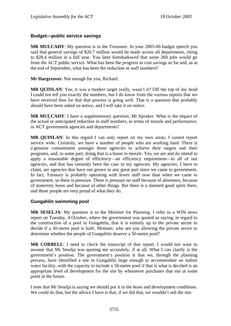### **Budget—public service savings**

**MR MULCAHY**: My question is to the Treasurer. In your 2005-06 budget speech you said that general savings of \$20.7 million would be made across all departments, rising to \$28.4 million in a full year. You later foreshadowed that some 260 jobs would go from the ACT public service. What has been the progress in cost savings so far and, as at the end of September, what has been the reduction in staff numbers?

**Mr Hargreaves**: Not enough for you, Richard.

**MR QUINLAN**: Yes, it was a modest target really, wasn't it? Off the top of my head I could not tell you exactly the numbers, but I do know from the various reports that we have received thus far that that process is going well. That is a question that probably should have been asked on notice, and I will take it on notice.

**MR MULCAHY**: I have a supplementary question, Mr Speaker. What is the impact of the actual or anticipated reduction in staff numbers, in terms of morale and performance, in ACT government agencies and departments?

**MR QUINLAN**: In this regard I can only report on my own areas; I cannot report service wide. Certainly, we have a number of people who are working hard. There is a genuine commitment amongst those agencies to achieve their targets and their programs, and, in some part, doing that is a boost to morale. Yes, we are and do intend to apply a reasonable degree of efficiency—an efficiency requirement—to all of our agencies, and that has certainly been the case in my agencies. My agencies, I have to claim, are agencies that have not grown in any great part since we came to government. In fact, Treasury is probably operating with fewer staff now than when we came to government, so there is pressure. There is pressure on staff because of absentees, because of maternity leave and because of other things. But there is a damned good spirit there, and those people are very proud of what they do.

### **Gungahlin swimming pool**

**MR SESELJA**: My question is to the Minister for Planning. I refer to a WIN news report on Tuesday, 4 October, where the government was quoted as saying, in regard to the construction of a pool in Gungahlin, that it is entirely up to the private sector to decide if a 50-metre pool is built. Minister, why are you allowing the private sector to determine whether the people of Gungahlin deserve a 50-metre pool?

**MR CORBELL**: I need to check the transcript of that report. I would not want to assume that Mr Seselja was quoting me accurately, if at all. What I can clarify is the government's position. The government's position is that we, through the planning process, have identified a site in Gungahlin large enough to accommodate an indoor water facility, with the capacity to include a 50-metre pool if that is what is decided is an appropriate level of development for the site by whomever purchases that site at some point in the future.

I note that Mr Seselja is saying we should put it in the lease and development conditions. We could do that, but the advice I have is that, if we did that, we wouldn't sell the site.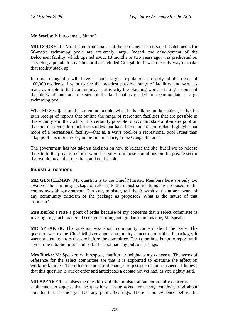**Mr Seselja**: Is it too small, Simon?

**MR CORBELL**: No, it is not too small, but the catchment is too small. Catchments for 50-metre swimming pools are extremely large. Indeed, the development of the Belconnen facility, which opened about 18 months or two years ago, was predicated on servicing a population catchment that included Gungahlin. It was the only way to make that facility stack up.

In time, Gungahlin will have a much larger population, probably of the order of 100,000 residents. I want to see the broadest possible range of facilities and services made available to that community. That is why the planning work is taking account of the block of land and the size of the land that is needed to accommodate a large swimming pool.

What Mr Seselja should also remind people, when he is talking on the subject, is that he is in receipt of reports that outline the range of recreation facilities that are possible in this vicinity and that, whilst it is certainly possible to accommodate a 50-metre pool on the site, the recreation facilities studies that have been undertaken to date highlight that more of a recreational facility—that is, a wave pool or a recreational pool rather than a lap pool—is more likely, in the first instance, in the Gungahlin area.

The government has not taken a decision on how to release the site, but if we do release the site to the private sector it would be silly to impose conditions on the private sector that would mean that the site could not be sold.

### **Industrial relations**

**MR GENTLEMAN**: My question is to the Chief Minister. Members here are only too aware of the alarming package of reforms to the industrial relations law proposed by the commonwealth government. Can you, minister, tell the Assembly if you are aware of any community criticism of the package as proposed? What is the nature of that criticism?

**Mrs Burke**: I raise a point of order because of my concerns that a select committee is investigating such matters. I seek your ruling and guidance on this one, Mr Speaker.

**MR SPEAKER**: The question was about community concern about the issue. The question was to the Chief Minister about community concern about the IR package; it was not about matters that are before the committee. The committee is not to report until some time into the future and so far has not had any public hearings.

**Mrs Burke**: Mr Speaker, with respect, that further heightens my concerns. The terms of reference for the select committee are that it is appointed to examine the effect on working families. The effect of industrial changes is just one of those aspects. I believe that this question is out of order and anticipates a debate not yet had, as you rightly said.

**MR SPEAKER**: It raises the question with the minister about community concerns. It is a bit much to suggest that no questions can be asked for a very lengthy period about a matter that has not yet had any public hearings. There is no evidence before the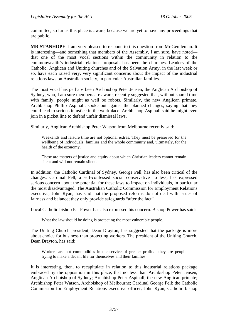committee, so far as this place is aware, because we are yet to have any proceedings that are public.

**MR STANHOPE**: I am very pleased to respond to this question from Mr Gentleman. It is interesting—and something that members of the Assembly, I am sure, have noted that one of the most vocal sections within the community in relation to the commonwealth's industrial relations proposals has been the churches. Leaders of the Catholic, Anglican and Uniting churches and of the Salvation Army, in the last week or so, have each raised very, very significant concerns about the impact of the industrial relations laws on Australian society, in particular Australian families.

The most vocal has perhaps been Archbishop Peter Jensen, the Anglican Archbishop of Sydney, who, I am sure members are aware, recently suggested that, without shared time with family, people might as well be robots. Similarly, the new Anglican primate, Archbishop Phillip Aspinall, spoke out against the planned changes, saying that they could lead to serious injustice in the workplace. Archbishop Aspinall said he might even join in a picket line to defend unfair dismissal laws.

Similarly, Anglican Archbishop Peter Watson from Melbourne recently said:

Weekends and leisure time are not optional extras. They must be preserved for the wellbeing of individuals, families and the whole community and, ultimately, for the health of the economy.

These are matters of justice and equity about which Christian leaders cannot remain silent and will not remain silent.

In addition, the Catholic Cardinal of Sydney, George Pell, has also been critical of the changes. Cardinal Pell, a self-confessed social conservative no less, has expressed serious concern about the potential for these laws to impact on individuals, in particular the most disadvantaged. The Australian Catholic Commission for Employment Relations executive, John Ryan, has said that the proposed reforms do not deal with issues of fairness and balance; they only provide safeguards "after the fact".

Local Catholic bishop Pat Power has also expressed his concern. Bishop Power has said:

What the law should be doing is protecting the most vulnerable people.

The Uniting Church president, Dean Drayton, has suggested that the package is more about choice for business than protecting workers. The president of the Uniting Church, Dean Drayton, has said:

Workers are not commodities in the service of greater profits—they are people trying to make a decent life for themselves and their families.

It is interesting, then, to recapitulate in relation to this industrial relations package embraced by the opposition in this place, that no less than Archbishop Peter Jensen, Anglican Archbishop of Sydney; Archbishop Peter Aspinall, the new Anglican primate; Archbishop Peter Watson, Archbishop of Melbourne; Cardinal George Pell; the Catholic Commission for Employment Relations executive officer, John Ryan; Catholic bishop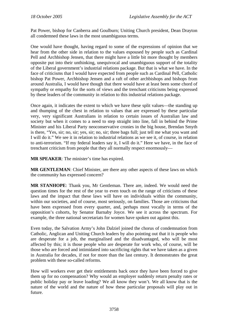Pat Power, bishop for Canberra and Goulburn; Uniting Church president, Dean Drayton all condemned these laws in the most unambiguous terms.

One would have thought, having regard to some of the expressions of opinion that we hear from the other side in relation to the values espoused by people such as Cardinal Pell and Archbishop Jensen, that there might have a little bit more thought by members opposite put into their unthinking, unequivocal and unambiguous support of the totality of the Liberal government's industrial relations package. But that is what we have. In the face of criticisms that I would have expected from people such as Cardinal Pell, Catholic bishop Pat Power, Archbishop Jensen and a raft of other archbishops and bishops from around Australia, I would have though that there would have at least been some chord of sympathy or empathy for the sorts of views and the trenchant criticisms being expressed by these leaders of the community in relation to this industrial relations package.

Once again, it indicates the extent to which we have these split values—the standing up and thumping of the chest in relation to values that are expressed by these particular very, very significant Australians in relation to certain issues of Australian law and society but when it comes to a need to step straight into line, fall in behind the Prime Minister and his Liberal Party neoconservative cronies in the big house, Brendan Smyth is there, "Yes, sir; no, sir; yes, sir; no, sir; three bags full; just tell me what you want and I will do it." We see it in relation to industrial relations as we see it, of course, in relation to anti-terrorism. "If my federal leaders say it, I will do it." Here we have, in the face of trenchant criticism from people that they all normally respect enormously—

**MR SPEAKER**: The minister's time has expired.

**MR GENTLEMAN**: Chief Minister, are there any other aspects of these laws on which the community has expressed concern?

**MR STANHOPE**: Thank you, Mr Gentleman. There are, indeed. We would need the question times for the rest of the year to even touch on the range of criticisms of these laws and the impact that these laws will have on individuals within the community, within our societies, and of course, most seriously, on families. Those are criticisms that have been expressed from every quarter, and, perhaps most vocally in terms of the opposition's cohorts, by Senator Barnaby Joyce. We see it across the spectrum. For example, the three national secretariats for women have spoken out against this.

Even today, the Salvation Army's John Dalziel joined the chorus of condemnation from Catholic, Anglican and Uniting Church leaders by also pointing out that it is people who are desperate for a job, the marginalised and the disadvantaged, who will be most affected by this; it is those people who are desperate for work who, of course, will be those who are forced and intimidated into sacrificing rights that we have taken as a given in Australia for decades, if not for more than the last century. It demonstrates the great problem with these so-called reforms.

How will workers ever get their entitlements back once they have been forced to give them up for no compensation? Why would an employer suddenly return penalty rates or public holiday pay or leave loading? We all know they won't. We all know that is the nature of the world and the nature of how these particular proposals will play out in future.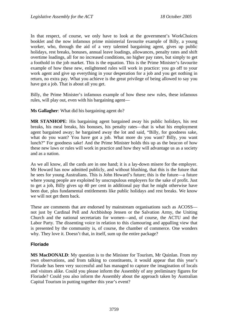In that respect, of course, we only have to look at the government's WorkChoices booklet and the now infamous prime ministerial favourite example of Billy, a young worker, who, through the aid of a very talented bargaining agent, gives up public holidays, rest breaks, bonuses, annual leave loadings, allowances, penalty rates and shift overtime loadings, all for no increased conditions, no higher pay rates, but simply to get a foothold in the job market. This is the equation. This is the Prime Minister's favourite example of how these new, enlightened rules will work in practice: you go off to your work agent and give up everything in your desperation for a job and you get nothing in return, no extra pay. What you achieve is the great privilege of being allowed to say you have got a job. That is about all you get.

Billy, the Prime Minister's infamous example of how these new rules, these infamous rules, will play out, even with his bargaining agent—

**Ms Gallagher**: What did his bargaining agent do?

**MR STANHOPE**: His bargaining agent bargained away his public holidays, his rest breaks, his meal breaks, his bonuses, his penalty rates—that is what his employment agent bargained away; he bargained away the lot and said, "Billy, for goodness sake, what do you want? You have got a job. What more do you want? Billy, you want lunch?" For goodness sake! And the Prime Minister holds this up as the beacon of how these new laws or rules will work in practice and how they will advantage us as a society and as a nation.

As we all know, all the cards are in one hand; it is a lay-down misere for the employer. Mr Howard has now admitted publicly, and without blushing, that this is the future that he sees for young Australians. This is John Howard's future; this is the future—a future where young people are exploited by unscrupulous employers for the sake of profit. Just to get a job, Billy gives up 40 per cent in additional pay that he might otherwise have been due, plus fundamental entitlements like public holidays and rest breaks. We know we will not get them back.

These are comments that are endorsed by mainstream organisations such as ACOSS not just by Cardinal Pell and Archbishop Jensen or the Salvation Army, the Uniting Church and the national secretariats for women—and, of course, the ACTU and the Labor Party. The dissenting voice in relation to this clamouring and appalling view that is presented by the community is, of course, the chamber of commerce. One wonders why. They love it. Doesn't that, in itself, sum up the entire package?

## **Floriade**

**MS MacDONALD**: My question is to the Minister for Tourism, Mr Quinlan. From my own observations, and from talking to constituents, it would appear that this year's Floriade has been very successful and has managed to capture the imagination of locals and visitors alike. Could you please inform the Assembly of any preliminary figures for Floriade? Could you also inform the Assembly about the approach taken by Australian Capital Tourism in putting together this year's event?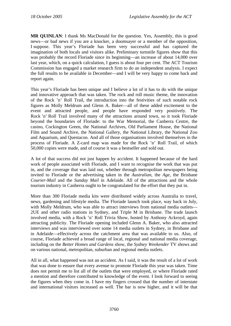**MR QUINLAN**: I thank Ms MacDonald for the question. Yes, Assembly, this is good news—or bad news if you are a knocker, a doomsayer or a member of the opposition, I suppose. This year's Floriade has been very successful and has captured the imagination of both locals and visitors alike. Preliminary turnstile figures show that this was probably the record Floriade since its beginning—an increase of about 14,000 over last year, which, on a quick calculation, I guess is about four per cent. The ACT Tourism Commission has engaged a market research firm to do an independent analysis. I expect the full results to be available in December—and I will be very happy to come back and report again.

This year's Floriade has been unique and I believe a lot of it has to do with the unique and innovative approach that was taken. The rock and roll music theme, the innovation of the Rock 'n' Roll Trail, the introduction into the festivities of such notable rock figures as Molly Meldrum and Glenn A. Baker—all of these added excitement to the event and attracted people, and people have responded very positively. The Rock 'n' Roll Trail involved many of the attractions around town, so it took Floriade beyond the boundaries of Floriade: to the War Memorial, the Canberra Centre, the casino, Cockington Green, the National Archives, Old Parliament House, the National Film and Sound Archive, the National Gallery, the National Library, the National Zoo and Aquarium, and Questacon. And all of those organisations involved themselves in the process of Floriade. A Z-card map was made for the Rock 'n' Roll Trail, of which 50,000 copies were made, and of course it was a bestseller and sold out.

A lot of that success did not just happen by accident. It happened because of the hard work of people associated with Floriade, and I want to recognise the work that was put in, and the coverage that was laid out, whether through metropolitan newspapers being invited to Floriade or the advertising taken in the *Australian*, the *Age*, the Brisbane *Courier-Mail* and the *Sunday Mail* in Adelaide. All of the attractions and the whole tourism industry in Canberra ought to be congratulated for the effort that they put in.

More than 300 Floriade media kits were distributed widely across Australia to travel, news, gardening and lifestyle media. The Floriade launch took place, way back in July, with Molly Meldrum, who was able to attract interviews from national media outlets— 2UE and other radio stations in Sydney, and Triple M in Brisbane. The trade launch involved media, with a Rock 'n' Roll Trivia Show, hosted by Anthony Ackroyd, again attracting publicity. The Floriade opening included Glenn A. Baker, who also attracted interviews and was interviewed over some 14 media outlets in Sydney, in Brisbane and in Adelaide—effectively across the catchment area that was available to us. Also, of course, Floriade achieved a broad range of local, regional and national media coverage, including on the *Better Homes and Gardens* show, the *Sydney Weekender* TV shows and on various national, metropolitan, suburban and regional media outlets.

All in all, what happened was not an accident. As I said, it was the result of a lot of work that was done to ensure that every avenue to promote Floriade this year was taken. Time does not permit me to list all of the outlets that were employed, or where Floriade rated a mention and therefore contributed to knowledge of the event. I look forward to seeing the figures when they come in. I have my fingers crossed that the number of interstate and international visitors increased as well. The bar is now higher, and it will be that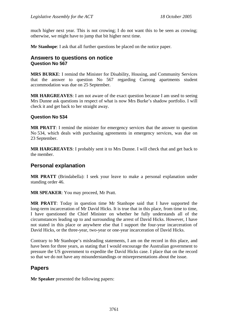much higher next year. This is not crowing; I do not want this to be seen as crowing; otherwise, we might have to jump that bit higher next time.

**Mr Stanhope**: I ask that all further questions be placed on the notice paper.

### **Answers to questions on notice Question No 567**

**MRS BURKE**: I remind the Minister for Disability, Housing, and Community Services that the answer to question No 567 regarding Currong apartments student accommodation was due on 25 September.

**MR HARGREAVES**: I am not aware of the exact question because I am used to seeing Mrs Dunne ask questions in respect of what is now Mrs Burke's shadow portfolio. I will check it and get back to her straight away.

### **Question No 534**

**MR PRATT**: I remind the minister for emergency services that the answer to question No 534, which deals with purchasing agreements in emergency services, was due on 23 September.

**MR HARGREAVES**: I probably sent it to Mrs Dunne. I will check that and get back to the member.

# **Personal explanation**

**MR PRATT** (Brindabella): I seek your leave to make a personal explanation under standing order 46.

**MR SPEAKER**: You may proceed, Mr Pratt.

**MR PRATT**: Today in question time Mr Stanhope said that I have supported the long-term incarceration of Mr David Hicks. It is true that in this place, from time to time, I have questioned the Chief Minister on whether he fully understands all of the circumstances leading up to and surrounding the arrest of David Hicks. However, I have not stated in this place or anywhere else that I support the four-year incarceration of David Hicks, or the three-year, two-year or one-year incarceration of David Hicks.

Contrary to Mr Stanhope's misleading statements, I am on the record in this place, and have been for three years, as stating that I would encourage the Australian government to pressure the US government to expedite the David Hicks case. I place that on the record so that we do not have any misunderstandings or misrepresentations about the issue.

## **Papers**

**Mr Speaker** presented the following papers: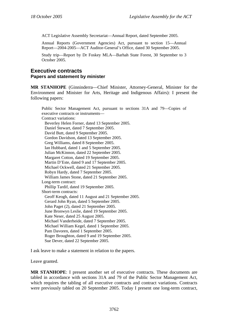ACT Legislative Assembly Secretariat—Annual Report, dated September 2005.

Annual Reports (Government Agencies) Act, pursuant to section 15—Annual Report—2004-2005—ACT Auditor-General's Office, dated 30 September 2005.

Study trip—Report by Dr Foskey MLA—Barhah State Forest, 30 September to 3 October 2005.

# **Executive contracts Papers and statement by minister**

**MR STANHOPE** (Ginninderra—Chief Minister, Attorney-General, Minister for the Environment and Minister for Arts, Heritage and Indigenous Affairs): I present the following papers:

Public Sector Management Act, pursuant to sections 31A and 79—Copies of executive contracts or instruments— Contract variations: Beverley Helen Forner, dated 13 September 2005. Daniel Stewart, dated 7 September 2005. David Butt, dated 9 September 2005. Gordon Davidson, dated 13 September 2005. Greg Williams, dated 8 September 2005. Ian Hubbard, dated 1 and 5 September 2005. Julian McKinnon, dated 22 September 2005. Margaret Cotton, dated 19 September 2005. Martin D'Este, dated 9 and 17 September 2005. Michael Ockwell, dated 21 September 2005. Robyn Hardy, dated 7 September 2005. William James Stone, dated 21 September 2005. Long-term contract: Phillip Tardif, dated 19 September 2005. Short-term contracts: Geoff Keogh, dated 11 August and 21 September 2005. Gerard John Ryan, dated 5 September 2005. John Paget (2), dated 21 September 2005. June Bronwyn Leslie, dated 19 September 2005. Kate Neser, dated 25 August 2005. Michael Vanderheide, dated 7 September 2005. Michael William Kegel, dated 1 September 2005. Pam Davoren, dated 1 September 2005. Roger Broughton, dated 9 and 19 September 2005. Sue Dever, dated 22 September 2005.

I ask leave to make a statement in relation to the papers.

Leave granted.

**MR STANHOPE**: I present another set of executive contracts. These documents are tabled in accordance with sections 31A and 79 of the Public Sector Management Act, which requires the tabling of all executive contracts and contract variations. Contracts were previously tabled on 20 September 2005. Today I present one long-term contract,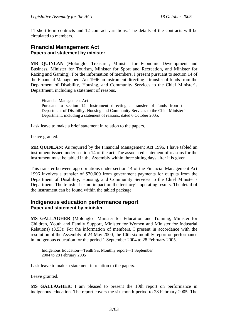11 short-term contracts and 12 contract variations. The details of the contracts will be circulated to members.

## **Financial Management Act Papers and statement by minister**

**MR QUINLAN** (Molonglo—Treasurer, Minister for Economic Development and Business, Minister for Tourism, Minister for Sport and Recreation, and Minister for Racing and Gaming): For the information of members, I present pursuant to section 14 of the Financial Management Act 1996 an instrument directing a transfer of funds from the Department of Disability, Housing, and Community Services to the Chief Minister's Department, including a statement of reasons.

Financial Management Act— Pursuant to section 14—Instrument directing a transfer of funds from the Department of Disability, Housing and Community Services to the Chief Minister's Department, including a statement of reasons, dated 6 October 2005.

I ask leave to make a brief statement in relation to the papers.

Leave granted.

**MR QUINLAN**: As required by the Financial Management Act 1996, I have tabled an instrument issued under section 14 of the act. The associated statement of reasons for the instrument must be tabled in the Assembly within three sitting days after it is given.

This transfer between appropriations under section 14 of the Financial Management Act 1996 involves a transfer of \$70,000 from government payments for outputs from the Department of Disability, Housing, and Community Services to the Chief Minister's Department. The transfer has no impact on the territory's operating results. The detail of the instrument can be found within the tabled package.

# **Indigenous education performance report Paper and statement by minister**

**MS GALLAGHER** (Molonglo—Minister for Education and Training, Minister for Children, Youth and Family Support, Minister for Women and Minister for Industrial Relations) (3.53): For the information of members, I present in accordance with the resolution of the Assembly of 24 May 2000, the 10th six monthly report on performance in indigenous education for the period 1 September 2004 to 28 February 2005.

Indigenous Education—Tenth Six Monthly report—1 September 2004 to 28 February 2005

I ask leave to make a statement in relation to the papers.

Leave granted.

**MS GALLAGHER**: I am pleased to present the 10th report on performance in indigenous education. The report covers the six-month period to 28 February 2005. The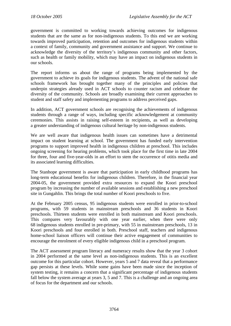government is committed to working towards achieving outcomes for indigenous students that are the same as for non-indigenous students. To this end we are working towards improved participation, retention and outcomes for indigenous students within a context of family, community and government assistance and support. We continue to acknowledge the diversity of the territory's indigenous community and other factors, such as health or family mobility, which may have an impact on indigenous students in our schools.

The report informs us about the range of programs being implemented by the government to achieve its goals for indigenous students. The advent of the national safe schools framework has brought together many of the principles and policies that underpin strategies already used in ACT schools to counter racism and celebrate the diversity of the community. Schools are broadly examining their current approaches to student and staff safety and implementing programs to address perceived gaps.

In addition, ACT government schools are recognising the achievements of indigenous students through a range of ways, including specific acknowledgement at community ceremonies. This assists in raising self-esteem in recipients, as well as developing a greater understanding of indigenous cultural heritage by non-indigenous students.

We are well aware that indigenous health issues can sometimes have a detrimental impact on student learning at school. The government has funded early intervention programs to support improved health in indigenous children at preschool. This includes ongoing screening for hearing problems, which took place for the first time in late 2004 for three, four and five-year-olds in an effort to stem the occurrence of otitis media and its associated learning difficulties.

The Stanhope government is aware that participation in early childhood programs has long-term educational benefits for indigenous children. Therefore, in the financial year 2004-05, the government provided extra resources to expand the Koori preschool program by increasing the number of available sessions and establishing a new preschool site in Gungahlin. This brings the total number of Koori preschools to five.

At the February 2005 census, 95 indigenous students were enrolled in prior-to-school programs, with 59 students in mainstream preschools and 36 students in Koori preschools. Thirteen students were enrolled in both mainstream and Koori preschools. This compares very favourably with one year earlier, when there were only 68 indigenous students enrolled in pre-primary, with 55 in mainstream preschools, 13 in Koori preschools and four enrolled in both. Preschool staff, teachers and indigenous home-school liaison officers will continue their active engagement of communities to encourage the enrolment of every eligible indigenous child in a preschool program.

The ACT assessment program literacy and numeracy results show that the year 3 cohort in 2004 performed at the same level as non-indigenous students. This is an excellent outcome for this particular cohort. However, years 5 and 7 data reveal that a performance gap persists at these levels. While some gains have been made since the inception of system testing, it remains a concern that a significant percentage of indigenous students fall below the system average at years 3, 5 and 7. This is a challenge and an ongoing area of focus for the department and our schools.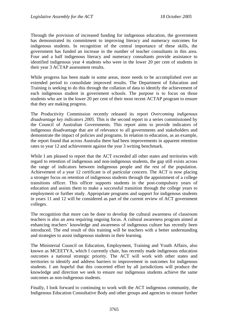Through the provision of increased funding for indigenous education, the government has demonstrated its commitment to improving literacy and numeracy outcomes for indigenous students. In recognition of the central importance of these skills, the government has funded an increase in the number of teacher consultants in this area. Four and a half indigenous literacy and numeracy consultants provide assistance to identified indigenous year 4 students who were in the lower 20 per cent of students in their year 3 ACTAP assessment results.

While progress has been made in some areas, more needs to be accomplished over an extended period to consolidate improved results. The Department of Education and Training is seeking to do this through the collation of data to identify the achievement of each indigenous student in government schools. The purpose is to focus on those students who are in the lower 20 per cent of their most recent ACTAP program to ensure that they are making progress.

The Productivity Commission recently released its report *Overcoming indigenous disadvantage key indicators 2005*. This is the second report in a series commissioned by the Council of Australian Governments. This report aims to provide indicators of indigenous disadvantage that are of relevance to all governments and stakeholders and demonstrate the impact of policies and programs. In relation to education, as an example, the report found that across Australia there had been improvements in apparent retention rates to year 12 and achievement against the year 3 writing benchmark.

While I am pleased to report that the ACT exceeded all other states and territories with regard to retention of indigenous and non-indigenous students, the gap still exists across the range of indicators between indigenous people and the rest of the population. Achievement of a year 12 certificate is of particular concern. The ACT is now placing a stronger focus on retention of indigenous students through the appointment of a college transitions officer. This officer supports students in the post-compulsory years of education and assists them to make a successful transition through the college years to employment or further study. Appropriate programs and support for indigenous students in years 11 and 12 will be considered as part of the current review of ACT government colleges.

The recognition that more can be done to develop the cultural awareness of classroom teachers is also an area requiring ongoing focus. A cultural awareness program aimed at enhancing teachers' knowledge and awareness of indigenous culture has recently been introduced. The end result of this training will be teachers with a better understanding and strategies to assist indigenous students in their learning.

The Ministerial Council on Education, Employment, Training and Youth Affairs, also known as MCEETYA, which I currently chair, has recently made indigenous education outcomes a national strategic priority. The ACT will work with other states and territories to identify and address barriers to improvement in outcomes for indigenous students. I am hopeful that this concerted effort by all jurisdictions will produce the knowledge and direction we seek to ensure our indigenous students achieve the same outcomes as non-indigenous students.

Finally, I look forward to continuing to work with the ACT indigenous community, the Indigenous Education Consultative Body and other groups and agencies to ensure further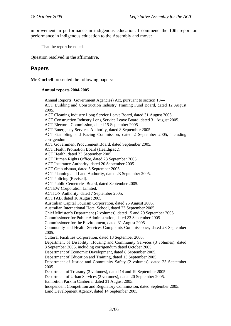improvement in performance in indigenous education. I commend the 10th report on performance in indigenous education to the Assembly and move:

That the report be noted.

Question resolved in the affirmative.

# **Papers**

**Mr Corbell** presented the following papers:

#### **Annual reports 2004-2005**

Annual Reports (Government Agencies) Act, pursuant to section 13— ACT Building and Construction Industry Training Fund Board, dated 12 August 2005. ACT Cleaning Industry Long Service Leave Board, dated 31 August 2005. ACT Construction Industry Long Service Leave Board, dated 31 August 2005. ACT Electoral Commission, dated 15 September 2005. ACT Emergency Services Authority, dated 8 September 2005. ACT Gambling and Racing Commission, dated 2 September 2005, including corrigendum. ACT Government Procurement Board, dated September 2005. ACT Health Promotion Board (Health**pact**). ACT Health, dated 23 September 2005. ACT Human Rights Office, dated 23 September 2005. ACT Insurance Authority, dated 20 September 2005. ACT Ombudsman, dated 5 September 2005. ACT Planning and Land Authority, dated 23 September 2005. ACT Policing (Revised). ACT Public Cemeteries Board, dated September 2005. ACTEW Corporation Limited. ACTION Authority, dated 7 September 2005. ACTTAB, dated 16 August 2005. Australian Capital Tourism Corporation, dated 25 August 2005. Australian International Hotel School, dated 23 September 2005. Chief Minister's Department (2 volumes), dated 15 and 20 September 2005. Commissioner for Public Administration, dated 23 September 2005. Commissioner for the Environment, dated 31 August 2005. Community and Health Services Complaints Commissioner, dated 23 September 2005. Cultural Facilities Corporation, dated 13 September 2005. Department of Disability, Housing and Community Services (3 volumes), dated 8 September 2005, including corrigendum dated October 2005. Department of Economic Development, dated 8 September 2005. Department of Education and Training, dated 13 September 2005. Department of Justice and Community Safety (2 volumes), dated 23 September 2005. Department of Treasury (2 volumes), dated 14 and 19 September 2005. Department of Urban Services (2 volumes), dated 20 September 2005. Exhibition Park in Canberra, dated 31 August 2005. Independent Competition and Regulatory Commission, dated September 2005. Land Development Agency, dated 14 September 2005.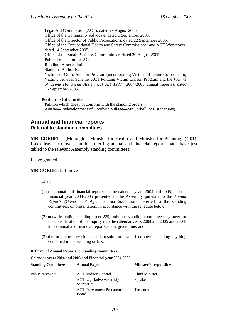Legal Aid Commission (ACT), dated 29 August 2005. Office of the Community Advocate, dated 1 September 2005. Office of the Director of Public Prosecutions, dated 22 September 2005. Office of the Occupational Health and Safety Commissioner and ACT Workcover, dated 14 September 2005. Office of the Small Business Commissioner, dated 30 August 2005. Public Trustee for the ACT. Rhodium Asset Solutions. Stadiums Authority. Victims of Crime Support Program (incorporating Victims of Crime Co-ordinator, Victims Services Scheme, ACT Policing Victim Liaison Program and the *Victims of Crime (Financial Assistance) Act 1983*—2004-2005 annual reports), dated 16 September 2005.

#### **Petition—Out of order**

Petition which does not conform with the standing orders— Ainslie—Redevelopment of Goodwin Village—Mr Corbell (590 signatures).

### **Annual and financial reports Referral to standing committees**

**MR CORBELL** (Molonglo—Minister for Health and Minister for Planning) (4.01): I seek leave to move a motion referring annual and financial reports that I have just tabled to the relevant Assembly standing committees.

Leave granted.

#### **MR CORBELL**: I move

That:

- (1) the annual and financial reports for the calendar years 2004 and 2005, and the financial year 2004-2005 presented to the Assembly pursuant to the *Annual Reports (Government Agencies) Act 2004* stand referred to the standing committees, on presentation, in accordance with the schedule below;
- (2) notwithstanding standing order 229, only one standing committee may meet for the consideration of the inquiry into the calendar years 2004 and 2005 and 2004- 2005 annual and financial reports at any given time; and
- (3) the foregoing provisions of this resolution have effect notwithstanding anything contained in the standing orders.

| Calchuar years 2004 and 2005 and Financial year 2004-2005 |                        |  |  |
|-----------------------------------------------------------|------------------------|--|--|
| <b>Annual Report</b>                                      | Minister/s responsible |  |  |
| <b>ACT</b> Auditor-General                                | <b>Chief Minister</b>  |  |  |
| <b>ACT</b> Legislative Assembly<br>Secretariat            | Speaker                |  |  |
| <b>ACT</b> Government Procurement<br>Board                | Treasurer              |  |  |
|                                                           |                        |  |  |

#### **Referral of Annual Reports to Standing Committees**

**Calendar years 2004 and 2005 and Financial year 2004-2005**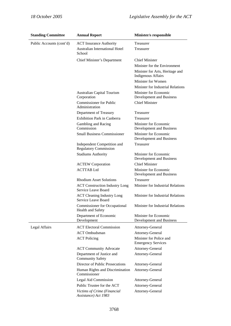| <b>Standing Committee</b> | <b>Annual Report</b>                                        | Minister/s responsible                                       |
|---------------------------|-------------------------------------------------------------|--------------------------------------------------------------|
| Public Accounts (cont'd)  | <b>ACT</b> Insurance Authority                              | Treasurer                                                    |
|                           | <b>Australian International Hotel</b><br>School             | Treasurer                                                    |
|                           | Chief Minister's Department                                 | <b>Chief Minister</b>                                        |
|                           |                                                             | Minister for the Environment                                 |
|                           |                                                             | Minister for Arts, Heritage and<br><b>Indigenous Affairs</b> |
|                           |                                                             | Minister for Women                                           |
|                           |                                                             | Minister for Industrial Relations                            |
|                           | <b>Australian Capital Tourism</b><br>Corporation            | Minister for Economic<br>Development and Business            |
|                           | <b>Commissioner for Public</b><br>Administration            | <b>Chief Minister</b>                                        |
|                           | Department of Treasury                                      | Treasurer                                                    |
|                           | <b>Exhibition Park in Canberra</b>                          | Treasurer                                                    |
|                           | Gambling and Racing<br>Commission                           | Minister for Economic<br>Development and Business            |
|                           | <b>Small Business Commissioner</b>                          | Minister for Economic<br>Development and Business            |
|                           | Independent Competition and<br><b>Regulatory Commission</b> | Treasurer                                                    |
|                           | <b>Stadiums Authority</b>                                   | Minister for Economic<br>Development and Business            |
|                           | <b>ACTEW Corporation</b>                                    | <b>Chief Minister</b>                                        |
|                           | <b>ACTTAB</b> Ltd                                           | Minister for Economic<br>Development and Business            |
|                           | <b>Rhodium Asset Solutions</b>                              | Treasurer                                                    |
|                           | <b>ACT Construction Industry Long</b>                       | Minister for Industrial Relations                            |
|                           | Service Leave Board                                         |                                                              |
|                           | <b>ACT Cleaning Industry Long</b><br>Service Leave Board    | Minister for Industrial Relations                            |
|                           | <b>Commissioner for Occupational</b><br>Health and Safety   | Minister for Industrial Relations                            |
|                           | Department of Economic<br>Development                       | Minister for Economic<br>Development and Business            |
| Legal Affairs             | <b>ACT Electoral Commission</b>                             | Attorney-General                                             |
|                           | <b>ACT</b> Ombudsman                                        | Attorney-General                                             |
|                           | <b>ACT</b> Policing                                         | Minister for Police and<br><b>Emergency Services</b>         |
|                           | <b>ACT Community Advocate</b>                               | Attorney-General                                             |
|                           | Department of Justice and<br><b>Community Safety</b>        | Attorney-General                                             |
|                           | Director of Public Prosecutions                             | Attorney-General                                             |
|                           | Human Rights and Discrimination<br>Commissioner             | Attorney-General                                             |
|                           | Legal Aid Commission                                        | Attorney-General                                             |
|                           | Public Trustee for the ACT                                  | Attorney-General                                             |
|                           | Victims of Crime (Financial<br>Assistance) Act 1983         | Attorney-General                                             |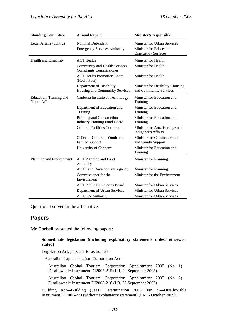| <b>Standing Committee</b>                       | <b>Annual Report</b>                                                    | Minister/s responsible                                       |
|-------------------------------------------------|-------------------------------------------------------------------------|--------------------------------------------------------------|
| Legal Affairs (cont'd)                          | Nominal Defendant                                                       | Minister for Urban Services                                  |
|                                                 | <b>Emergency Services Authority</b>                                     | Minister for Police and<br><b>Emergency Services</b>         |
| Health and Disability                           | <b>ACT</b> Health                                                       | Minister for Health                                          |
|                                                 | Community and Health Services<br><b>Complaints Commissioner</b>         | Minister for Health                                          |
|                                                 | <b>ACT Health Promotion Board</b><br>(HealthPact)                       | Minister for Health                                          |
|                                                 | Department of Disability,<br>Housing and Community Services             | Minister for Disability, Housing<br>and Community Services   |
| Education, Training and<br><b>Youth Affairs</b> | Canberra Institute of Technology                                        | Minister for Education and<br>Training                       |
|                                                 | Department of Education and<br>Training                                 | Minister for Education and<br>Training                       |
|                                                 | <b>Building and Construction</b><br><b>Industry Training Fund Board</b> | Minister for Education and<br>Training                       |
|                                                 | <b>Cultural Facilities Corporation</b>                                  | Minister for Arts, Heritage and<br><b>Indigenous Affairs</b> |
|                                                 | Office of Children, Youth and<br><b>Family Support</b>                  | Minister for Children, Youth<br>and Family Support           |
|                                                 | University of Canberra                                                  | Minister for Education and<br>Training                       |
| Planning and Environment                        | <b>ACT Planning and Land</b><br>Authority                               | Minister for Planning                                        |
|                                                 | <b>ACT Land Development Agency</b>                                      | Minister for Planning                                        |
|                                                 | Commissioner for the<br>Environment                                     | Minister for the Environment                                 |
|                                                 | <b>ACT Public Cemeteries Board</b>                                      | Minister for Urban Services                                  |
|                                                 | Department of Urban Services                                            | Minister for Urban Services                                  |
|                                                 | <b>ACTION</b> Authority                                                 | Minister for Urban Services                                  |

Question resolved in the affirmative.

# **Papers**

**Mr Corbell** presented the following papers:

#### **Subordinate legislation (including explanatory statements unless otherwise stated)**

Legislation Act, pursuant to section 64—

Australian Capital Tourism Corporation Act—

Australian Capital Tourism Corporation Appointment 2005 (No 1)— Disallowable Instrument DI2005-215 (LR, 29 September 2005).

Australian Capital Tourism Corporation Appointment 2005 (No 2)— Disallowable Instrument DI2005-216 (LR, 29 September 2005).

Building Act—Building (Fees) Determination 2005 (No 2)—Disallowable Instrument DI2005-223 (without explanatory statement) (LR, 6 October 2005).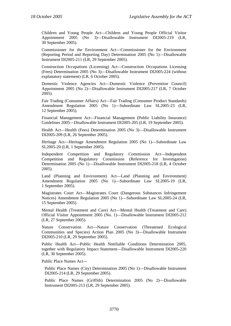Children and Young People Act—Children and Young People Official Visitor Appointment 2005 (No 3)—Disallowable Instrument DI2005-219 (LR, 30 September 2005).

Commissioner for the Environment Act—Commissioner for the Environment (Reporting Period and Reporting Day) Determination 2005 (No 1)—Disallowable Instrument DI2005-211 (LR, 29 September 2005).

Construction Occupations (Licensing) Act—Construction Occupations Licensing (Fees) Determination 2005 (No 3)—Disallowable Instrument DI2005-224 (without explanatory statement) (LR, 6 October 2005).

Domestic Violence Agencies Act—Domestic Violence (Prevention Council) Appointment 2005 (No 2)—Disallowable Instrument DI2005-217 (LR, 7 October 2005).

Fair Trading (Consumer Affairs) Act—Fair Trading (Consumer Product Standards) Amendment Regulation 2005 (No 1)—Subordinate Law SL2005-23 (LR, 12 September 2005).

Financial Management Act—Financial Management (Public Liability Insurance) Guidelines 2005—Disallowable Instrument DI2005-205 (LR, 19 September 2005).

Health Act—Health (Fees) Determination 2005 (No 3)—Disallowable Instrument DI2005-209 (LR, 26 September 2005).

Heritage Act—Heritage Amendment Regulation 2005 (No 1)—Subordinate Law SL2005-20 (LR, 1 September 2005).

Independent Competition and Regulatory Commission Act—Independent Competition and Regulatory Commission (Reference for Investigation) Determination 2005 (No 1)—Disallowable Instrument DI2005-218 (LR, 4 October 2005).

Land (Planning and Environment) Act—Land (Planning and Environment) Amendment Regulation 2005 (No 1)—Subordinate Law SL2005-19 (LR, 1 September 2005).

Magistrates Court Act—Magistrates Court (Dangerous Substances Infringement Notices) Amendment Regulation 2005 (No 1)—Subordinate Law SL2005-24 (LR, 15 September 2005).

Mental Health (Treatment and Care) Act—Mental Health (Treatment and Care) Official Visitor Appointment 2005 (No. 1)—Disallowable Instrument DI2005-212 (LR, 27 September 2005).

Nature Conservation Act—Nature Conservation (Threatened Ecological Communities and Species) Action Plan 2005 (No 3)—Disallowable Instrument DI2005-210 (LR, 29 September 2005).

Public Health Act—Public Health Notifiable Conditions Determination 2005, together with Regulatory Impact Statement—Disallowable Instrument DI2005-220 (LR, 30 September 2005).

Public Place Names Act—

Public Place Names (City) Determination 2005 (No 1)—Disallowable Instrument DI2005-214 (LR, 29 September 2005).

Public Place Names (Griffith) Determination 2005 (No 2)—Disallowable Instrument DI2005-213 (LR, 29 September 2005).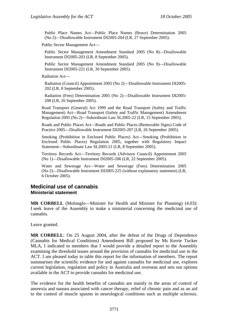Public Place Names Act—Public Place Names (Bruce) Determination 2005 (No 2)—Disallowable Instrument DI2005-204 (LR, 27 September 2005).

Public Sector Management Act—

Public Sector Management Amendment Standard 2005 (No 8)—Disallowable Instrument DI2005-203 (LR, 8 September 2005).

Public Sector Management Amendment Standard 2005 (No 9)—Disallowable Instrument DI2005-221 (LR, 30 September 2005).

Radiation Act—

Radiation (Council) Appointment 2005 (No 2)—Disallowable Instrument DI2005- 202 (LR, 8 September 2005).

Radiation (Fees) Determination 2005 (No 2)—Disallowable Instrument DI2005- 208 (LR, 26 September 2005).

Road Transport (General) Act 1999 and the Road Transport (Safety and Traffic Management) Act—Road Transport (Safety and Traffic Management) Amendment Regulation 2005 (No 2)—Subordinate Law SL2005-22 (LR, 15 September 2005).

Roads and Public Places Act—Roads and Public Places (Removable Signs) Code of Practice 2005—Disallowable Instrument DI2005-207 (LR, 26 September 2005).

Smoking (Prohibition in Enclosed Public Places) Act—Smoking (Prohibition in Enclosed Public Places) Regulation 2005, together with Regulatory Impact Statement—Subordinate Law SL2005-21 (LR, 8 September 2005).

Territory Records Act—Territory Records (Advisory Council) Appointment 2005 (No 1)—Disallowable Instrument DI2005-206 (LR, 22 September 2005).

Water and Sewerage Act—Water and Sewerage (Fees) Determination 2005 (No 2)—Disallowable Instrument DI2005-225 (without explanatory statement) (LR, 6 October 2005).

## **Medicinal use of cannabis Ministerial statement**

**MR CORBELL** (Molonglo—Minister for Health and Minister for Planning) (4.03): I seek leave of the Assembly to make a ministerial concerning the medicinal use of cannabis.

Leave granted.

**MR CORBELL**: On 25 August 2004, after the defeat of the Drugs of Dependence (Cannabis for Medical Conditions) Amendment Bill proposed by Ms Kerrie Tucker MLA, I indicated to members that I would provide a detailed report to the Assembly examining the threshold issues around the provision of cannabis for medicinal use in the ACT. I am pleased today to table this report for the information of members. The report summarises the scientific evidence for and against cannabis for medicinal use, explores current legislation, regulation and policy in Australia and overseas and sets out options available in the ACT to provide cannabis for medicinal use.

The evidence for the health benefits of cannabis are mainly in the areas of control of anorexia and nausea associated with cancer therapy, relief of chronic pain and as an aid to the control of muscle spasms in neurological conditions such as multiple sclerosis.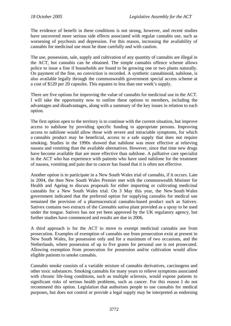The evidence of benefit in these conditions is not strong, however, and recent studies have uncovered more serious side effects associated with regular cannabis use, such as worsening of psychosis and depression. For this reason, increasing the availability of cannabis for medicinal use must be done carefully and with caution.

The use, possession, sale, supply and cultivation of any quantity of cannabis are illegal in the ACT, but cannabis can be obtained. The simple cannabis offence scheme allows police to issue a fine if households are found to be growing one or two plants naturally. On payment of the fine, no conviction is recorded. A synthetic cannabinoid, nabilone, is also available legally through the commonwealth government special access scheme at a cost of \$120 per 20 capsules. This equates to less than one week's supply.

There are five options for improving the value of cannabis for medicinal use in the ACT. I will take the opportunity now to outline these options to members, including the advantages and disadvantages, along with a summary of the key issues in relation to each option.

The first option open to the territory is to continue with the current situation, but improve access to nabilone by providing specific funding to appropriate persons. Improving access to nabilone would allow those with severe and intractable symptoms, for which a cannabis product may be beneficial, access to a safe supply that does not require smoking. Studies in the 1990s showed that nabilone was more effective at relieving nausea and vomiting than the available alternatives. However, since that time new drugs have become available that are more effective than nabilone. A palliative care specialist in the ACT who has experience with patients who have used nabilone for the treatment of nausea, vomiting and pain due to cancer has found that it is often not effective.

Another option is to participate in a New South Wales trial of cannabis, if it occurs. Late in 2004, the then New South Wales Premier met with the commonwealth Minister for Health and Ageing to discuss proposals for either importing or cultivating medicinal cannabis for a New South Wales trial. On 3 May this year, the New South Wales government indicated that the preferred option for supplying cannabis for medical use remained the provision of a pharmaceutical cannabis-based product such as Sativex. Sativex contains two extracts of the *Cannabis sativa* plant provided as a spray to be used under the tongue. Sativex has not yet been approved by the UK regulatory agency, but further studies have commenced and results are due in 2006.

A third approach is for the ACT to move to exempt medicinal cannabis use from prosecution. Examples of exemption of cannabis use from prosecution exist at present in New South Wales, for possession only and for a maximum of two occasions, and the Netherlands, where possession of up to five grams for personal use is not prosecuted. Allowing exemption from prosecution for possession and/or cultivation would allow eligible patients to smoke cannabis.

Cannabis smoke consists of a variable mixture of cannabis derivatives, carcinogens and other toxic substances. Smoking cannabis for many years to relieve symptoms associated with chronic life-long conditions, such as multiple sclerosis, would expose patients to significant risks of serious health problems, such as cancer. For this reason I do not recommend this option. Legislation that authorises people to use cannabis for medical purposes, but does not control or provide a legal supply may be interpreted as endorsing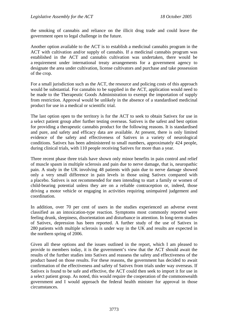the smoking of cannabis and reliance on the illicit drug trade and could leave the government open to legal challenge in the future.

Another option available to the ACT is to establish a medicinal cannabis program in the ACT with cultivation and/or supply of cannabis. If a medicinal cannabis program was established in the ACT and cannabis cultivation was undertaken, there would be a requirement under international treaty arrangements for a government agency to designate the area under cultivation, license cultivators and purchase and take possession of the crop.

For a small jurisdiction such as the ACT, the resource and policing costs of this approach would be substantial. For cannabis to be supplied in the ACT, application would need to be made to the Therapeutic Goods Administration to exempt the importation of supply from restriction. Approval would be unlikely in the absence of a standardised medicinal product for use in a medical or scientific trial.

The last option open to the territory is for the ACT to seek to obtain Sativex for use in a select patient group after further testing overseas. Sativex is the safest and best option for providing a therapeutic cannabis product for the following reasons. It is standardised and pure, and safety and efficacy data are available. At present, there is only limited evidence of the safety and effectiveness of Sativex in a variety of neurological conditions. Sativex has been administered to small numbers, approximately 424 people, during clinical trials, with 110 people receiving Sativex for more than a year.

Three recent phase three trials have shown only minor benefits in pain control and relief of muscle spasm in multiple sclerosis and pain due to nerve damage, that is, neuropathic pain. A study in the UK involving 48 patients with pain due to nerve damage showed only a very small difference in pain levels in those using Sativex compared with a placebo. Sativex is not recommended for men intending to start a family or women of child-bearing potential unless they are on a reliable contraception or, indeed, those driving a motor vehicle or engaging in activities requiring unimpaired judgement and coordination.

In addition, over 70 per cent of users in the studies experienced an adverse event classified as an intoxication-type reaction. Symptoms most commonly reported were feeling drunk, sleepiness, disorientation and disturbance in attention. In long-term studies of Sativex, depression has been reported. A further study of the use of Sativex in 280 patients with multiple sclerosis is under way in the UK and results are expected in the northern spring of 2006.

Given all these options and the issues outlined in the report, which I am pleased to provide to members today, it is the government's view that the ACT should await the results of the further studies into Sativex and reassess the safety and effectiveness of the product based on those results. For these reasons, the government has decided to await confirmation of the effectiveness and safety of Sativex from trials under way overseas. If Sativex is found to be safe and effective, the ACT could then seek to import it for use in a select patient group. As noted, this would require the cooperation of the commonwealth government and I would approach the federal health minister for approval in those circumstances.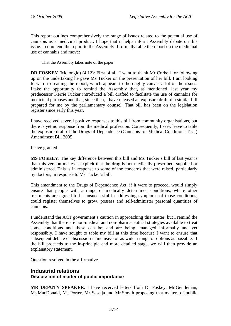This report outlines comprehensively the range of issues related to the potential use of cannabis as a medicinal product. I hope that it helps inform Assembly debate on this issue. I commend the report to the Assembly. I formally table the report on the medicinal use of cannabis and move:

That the Assembly takes note of the paper.

**DR FOSKEY** (Molonglo) (4.12): First of all, I want to thank Mr Corbell for following up on the undertaking he gave Ms Tucker on the presentation of her bill. I am looking forward to reading the report, which appears to thoroughly canvas a lot of the issues. I take the opportunity to remind the Assembly that, as mentioned, last year my predecessor Kerrie Tucker introduced a bill drafted to facilitate the use of cannabis for medicinal purposes and that, since then, I have released an exposure draft of a similar bill prepared for me by the parliamentary counsel. That bill has been on the legislation register since early this year.

I have received several positive responses to this bill from community organisations, but there is yet no response from the medical profession. Consequently, I seek leave to table the exposure draft of the Drugs of Dependence (Cannabis for Medical Conditions Trial) Amendment Bill 2005.

Leave granted.

**MS FOSKEY**: The key difference between this bill and Ms Tucker's bill of last year is that this version makes it explicit that the drug is not medically prescribed, supplied or administered. This is in response to some of the concerns that were raised, particularly by doctors, in response to Ms Tucker's bill.

This amendment to the Drugs of Dependence Act, if it were to proceed, would simply ensure that people with a range of medically determined conditions, where other treatments are agreed to be unsuccessful in addressing symptoms of those conditions, could register themselves to grow, possess and self-administer personal quantities of cannabis.

I understand the ACT government's caution in approaching this matter, but I remind the Assembly that there are non-medical and non-pharmaceutical strategies available to treat some conditions and these can be, and are being, managed informally and yet responsibly. I have sought to table my bill at this time because I want to ensure that subsequent debate or discussion is inclusive of as wide a range of options as possible. If the bill proceeds to the in-principle and more detailed stage, we will then provide an explanatory statement.

Question resolved in the affirmative.

## **Industrial relations Discussion of matter of public importance**

**MR DEPUTY SPEAKER**: I have received letters from Dr Foskey, Mr Gentleman, Ms MacDonald, Ms Porter, Mr Seselja and Mr Smyth proposing that matters of public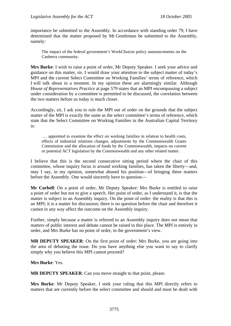importance be submitted to the Assembly. In accordance with standing order 79, I have determined that the matter proposed by Mr Gentleman be submitted to the Assembly, namely:

The impact of the federal government's WorkChoices policy announcements on the Canberra community.

**Mrs Burke**: I wish to raise a point of order, Mr Deputy Speaker. I seek your advice and guidance on this matter, sir. I would draw your attention to the subject matter of today's MPI and the current Select Committee on Working Families' terms of reference, which I will talk about in a moment. In my opinion these are alarmingly similar. Although *House of Representatives Practice* at page 579 states that an MPI encompassing a subject under consideration by a committee is permitted to be discussed, the correlation between the two matters before us today is much closer.

Accordingly, sir, I ask you to rule the MPI out of order on the grounds that the subject matter of the MPI is exactly the same as the select committee's terms of reference, which state that the Select Committee on Working Families in the Australian Capital Territory is:

 … appointed to examine the effect on working families in relation to health costs, effects of industrial relations changes, adjustments by the Commonwealth Grants Commission and the allocation of funds by the Commonwealth, impacts on current or potential ACT legislation by the Commonwealth and any other related matter.

I believe that this is the second consecutive sitting period where the chair of this committee, whose inquiry focus is around working families, has taken the liberty—and, may I say, in my opinion, somewhat abused his position—of bringing these matters before the Assembly. One would sincerely have to question—

**Mr Corbell**: On a point of order, Mr Deputy Speaker: Mrs Burke is entitled to raise a point of order but not to give a speech. Her point of order, as I understand it, is that the matter is subject to an Assembly inquiry. On the point of order: the reality is that this is an MPI; it is a matter for discussion; there is no question before the chair and therefore it cannot in any way affect the outcome on the Assembly inquiry.

Further, simply because a matter is referred to an Assembly inquiry does not mean that matters of public interest and debate cannot be raised in this place. The MPI is entirely in order, and Mrs Burke has no point of order, in the government's view.

**MR DEPUTY SPEAKER**: On the first point of order: Mrs Burke, you are going into the area of debating the issue. Do you have anything else you want to say to clarify simply why you believe this MPI cannot proceed?

**Mrs Burke**: Yes.

**MR DEPUTY SPEAKER**: Can you move straight to that point, please.

**Mrs Burke**: Mr Deputy Speaker, I seek your ruling that this MPI directly refers to matters that are currently before the select committee and should and must be dealt with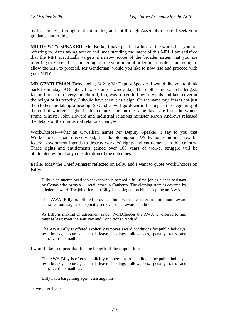by that process, through that committee, and not through Assembly debate. I seek your guidance and ruling.

**MR DEPUTY SPEAKER**: Mrs Burke, I have just had a look at the words that you are referring to. After taking advice and understanding the intent of this MPI, I am satisfied that the MPI specifically targets a narrow scope of the broader issues that you are referring to. Given that, I am going to rule your point of order out of order; I am going to allow the MPI to proceed. Mr Gentleman, would you like to now rise and proceed with your MPI?

**MR GENTLEMAN** (Brindabella) (4.21): Mr Deputy Speaker, I would like you to think back to Sunday, 9 October. It was quite a windy day. The clothesline was challenged, facing force from every direction. I, too, was forced to bow to winds and take cover at the height of its ferocity. I should have seen it as a sign. On the same day, it was not just the clothesline taking a beating; 9 October will go down in history as the beginning of the end of workers' rights in this country, for, on the same day, safe from the winds, Prime Minister John Howard and industrial relations minister Kevin Andrews released the details of their industrial relations changes.

WorkChoices—what an Orwellian name! Mr Deputy Speaker, I say to you that WorkChoices is bad; it is very bad; it is "double ungood". WorkChoices outlines how the federal government intends to destroy workers' rights and entitlements in this country. These rights and entitlements gained over 100 years of worker struggle will be obliterated without any consideration of the outcomes.

Earlier today the Chief Minister reflected on Billy, and I want to quote WorkChoices on Billy:

Billy is an unemployed job seeker who is offered a full-time job as a shop assistant by Costas who owns a … retail store in Canberra. The clothing store is covered by a federal award. The job offered to Billy is contingent on him accepting an AWA.

The AWA Billy is offered provides him with the relevant minimum award classification wage and explicitly removes other award conditions.

As Billy is making an agreement under WorkChoices the AWA … offered to him must at least meet the Fair Pay and Conditions Standard.

The AWA Billy is offered explicitly removes award conditions for public holidays, rest breaks, bonuses, annual leave loadings, allowances, penalty rates and shift/overtime loadings.

I would like to repeat that for the benefit of the opposition:

The AWA Billy is offered explicitly removes award conditions for public holidays, rest breaks, bonuses, annual leave loadings, allowances, penalty rates and shift/overtime loadings.

Billy has a bargaining agent assisting him—

as we have heard—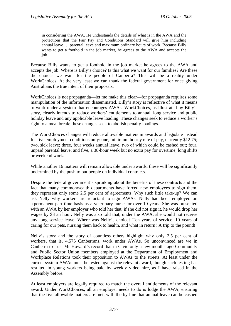in considering the AWA. He understands the details of what is in the AWA and the protections that the Fair Pay and Conditions Standard will give him including annual leave … parental leave and maximum ordinary hours of work. Because Billy wants to get a foothold in the job market, he agrees to the AWA and accepts the job …

Because Billy wants to get a foothold in the job market he agrees to the AWA and accepts the job. Where is Billy's choice? Is this what we want for our families? Are these the choices we want for the people of Canberra? This will be a reality under WorkChoices. At the very least we can thank the federal government for once giving Australians the true intent of their proposals.

WorkChoices is not propaganda—let me make this clear—for propaganda requires some manipulation of the information disseminated. Billy's story is reflective of what it means to work under a system that encourages AWAs. WorkChoices, as illustrated by Billy's story, clearly intends to reduce workers' entitlements to annual, long service and public holiday leave and any applicable leave loading. These changes seek to reduce a worker's right to a meal break; these changes seek to abolish penalty loadings.

The WorkChoices changes will reduce allowable matters in awards and legislate instead for five employment conditions only: one, minimum hourly rate of pay, currently \$12.75; two, sick leave; three, four weeks annual leave, two of which could be cashed out; four, unpaid parental leave; and five, a 38-hour week but no extra pay for overtime, long shifts or weekend work.

While another 16 matters will remain allowable under awards, these will be significantly undermined by the push to put people on individual contracts.

Despite the federal government's spruiking about the benefits of these contracts and the fact that many commonwealth departments have forced new employees to sign them, they represent only some 2.5 per cent of agreements. Why such little take-up? We can ask Nelly why workers are reluctant to sign AWAs. Nelly had been employed on a permanent part-time basis as a veterinary nurse for over 10 years. She was presented with an AWA by her employer who told her that, if she did not sign it, he would drop her wages by \$3 an hour. Nelly was also told that, under the AWA, she would not receive any long service leave. Where was Nelly's choice? Ten years of service, 10 years of caring for our pets, nursing them back to health, and what in return? A trip to the pound!

Nelly's story and the story of countless others highlight why only 2.5 per cent of workers, that is, 4,575 Canberrans, work under AWAs. So unconvinced are we in Canberra to trust Mr Howard's record that in Civic only a few months ago Community and Public Sector Union members employed at the Department of Employment and Workplace Relations took their opposition to AWAs to the streets. At least under the current system AWAs must be tested against the relevant award, though such testing has resulted in young workers being paid by weekly video hire, as I have raised in the Assembly before.

At least employers are legally required to match the overall entitlements of the relevant award. Under WorkChoices, all an employer needs to do is lodge the AWA, ensuring that the five allowable matters are met, with the by-line that annual leave can be cashed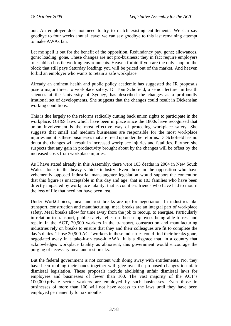out. An employer does not need to try to match existing entitlements. We can say goodbye to four weeks annual leave; we can say goodbye to this last remaining attempt to make AWAs fair.

Let me spell it out for the benefit of the opposition. Redundancy pay, gone; allowances, gone; loading, gone. These changes are not pro-business; they in fact require employers to establish hostile working environments. Heaven forbid if you are the only shop on the block that still pays Saturday loading; you will be priced out of the market. And heaven forbid an employer who wants to retain a safe workplace.

Already an eminent health and public policy academic has suggested the IR proposals pose a major threat to workplace safety. Dr Toni Schofield, a senior lecturer in health sciences at the University of Sydney, has described the changes as a profoundly irrational set of developments. She suggests that the changes could result in Dickensian working conditions.

This is due largely to the reforms radically cutting back union rights to participate in the workplace. OH&S laws which have been in place since the 1800s have recognised that union involvement is the most effective way of protecting workplace safety. She suggests that small and medium businesses are responsible for the most workplace injuries and it is these businesses that are freed up under the reforms. Dr Schofield has no doubt the changes will result in increased workplace injuries and fatalities. Further, she suspects that any gain in productivity brought about by the changes will be offset by the increased costs from workplace injuries.

As I have stated already in this Assembly, there were 103 deaths in 2004 in New South Wales alone in the heavy vehicle industry. Even those in the opposition who have vehemently opposed industrial manslaughter legislation would support the contention that this figure is unacceptable in this day and age: that is 103 families who have been directly impacted by workplace fatality; that is countless friends who have had to mourn the loss of life that need not have been lost.

Under WorkChoices, meal and rest breaks are up for negotiation. In industries like transport, construction and manufacturing, meal breaks are an integral part of workplace safety. Meal breaks allow for time away from the job to recoup, to energise. Particularly in relation to transport, public safety relies on those employees being able to rest and repair. In the ACT, 20,900 workers in the transport, construction and manufacturing industries rely on breaks to ensure that they and their colleagues are fit to complete the day's duties. Those 20,900 ACT workers in these industries could find their breaks gone, negotiated away in a take-it-or-leave-it AWA. It is a disgrace that, in a country that acknowledges workplace fatality as abhorrent, this government would encourage the purging of necessary meal and rest breaks.

But the federal government is not content with doing away with entitlements. No, they have been rubbing their hands together with glee over the proposed changes to unfair dismissal legislation. These proposals include abolishing unfair dismissal laws for employees and businesses of fewer than 100. The vast majority of the ACT's 100,000 private sector workers are employed by such businesses. Even those in businesses of more than 100 will not have access to the laws until they have been employed permanently for six months.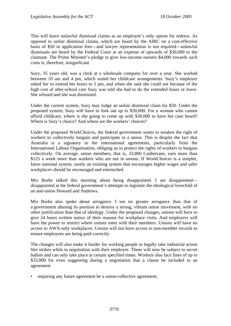This will leave unlawful dismissal claims as an employee's only option for redress. As opposed to unfair dismissal claims, which are heard by the AIRC on a cost-effective basis of \$50 in application fees—and lawyer representation is not required—unlawful dismissals are heard by the Federal Court at an expense of upwards of \$30,000 to the claimant. The Prime Minister's pledge to give low-income earners \$4,000 towards such costs is, therefore, insignificant.

Suzy, 35 years old, was a clerk at a wholesale company for over a year. She worked between 10 am and 4 pm, which suited her childcare arrangements. Suzy's employer asked her to extend her hours to 5 pm, and when she said she could not because of the high cost of after-school care Suzy was told she had to do the extended hours or leave. She refused and she was dismissed.

Under the current system, Suzy may lodge an unfair dismissal claim for \$50. Under the proposed system, Suzy will have to fork out up to \$30,000. For a woman who cannot afford childcare, where is she going to come up with \$30,000 to have her case heard? Where is Suzy's choice? And where are the workers' choices?

Under the proposed WorkChoices, the federal government wants to weaken the right of workers to collectively bargain and participate in a union. This is despite the fact that Australia is a signatory to the international agreements, particularly from the International Labour Organisation, obliging us to protect the rights of workers to bargain collectively. On average, union members, that is, 33,800 Canberrans, earn more than \$125 a week more than workers who are not in unions. If WorkChoices is a simpler, fairer national system, surely an existing system that encourages higher wages and safer workplaces should be encouraged and entrenched.

Mrs Burke talked this morning about being disappointed. I am disappointed disappointed at the federal government's attempts to legislate the ideological lovechild of an anti-union Howard and Andrews.

Mrs Burke also spoke about arrogance. I see no greater arrogance than that of a government abusing its position to destroy a strong, vibrant union movement, with no other justification than that of ideology. Under the proposed changes, unions will have to give 24 hours written notice of their reasons for workplace visits. And employers will have the power to restrict where unions meet with their members. Unions will have no access to AWA-only workplaces. Unions will not have access to non-member records to ensure employees are being paid correctly.

The changes will also make it harder for working people to legally take industrial action like strikes while in negotiation with their employer. These will now be subject to secret ballots and can only take place at certain specified times. Workers also face fines of up to \$33,000 for even suggesting during a negotiation that a clause be included in an agreement:

• requiring any future agreement be a union-collective agreement;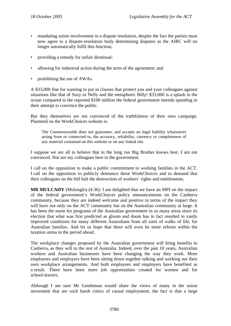- mandating union involvement in a dispute resolution, despite the fact the parties must now agree to a dispute-resolution body determining disputes as the AIRC will no longer automatically fulfil this function;
- providing a remedy for unfair dismissal;
- allowing for industrial action during the term of the agreement; and
- prohibiting the use of AWAs.

A \$33,000 fine for wanting to put in clauses that protect you and your colleagues against situations like that of Suzy or Nelly and the metaphoric Billy! \$33,000 is a splash in the ocean compared to the reported \$100 million the federal government intends spending in their attempt to convince the public.

But they themselves are not convinced of the truthfulness of their own campaign. Plastered on the WorkChoices website is:

The Commonwealth does not guarantee, and accepts no legal liability whatsoever arsing from or connected to, the accuracy, reliability, currency or completeness of any material contained on this website or on any linked site.

I suppose we are all to believe that in the long run Big Brother knows best. I am not convinced. Nor are my colleagues here in the government.

I call on the opposition to make a public commitment to working families in the ACT. I call on the opposition to publicly denounce these WorkChoices and to demand that their colleagues on the hill halt the destruction of workers' rights and entitlements.

**MR MULCAHY** (Molonglo) (4.36): I am delighted that we have an MPI on the impact of the federal government's WorkChoices policy announcements on the Canberra community, because they are indeed welcome and positive in terms of the impact they will have not only on the ACT community but on the Australian community at large. It has been the norm for programs of the Australian government in so many areas since its election that what was first predicted as gloom and doom has in fact resulted in vastly improved conditions for many different Australians from all sorts of walks of life, for Australian families. And let us hope that there will even be more reform within the taxation arena in the period ahead.

The workplace changes proposed by the Australian government will bring benefits to Canberra, as they will to the rest of Australia. Indeed, over the past 10 years, Australian workers and Australian businesses have been changing the way they work. More employees and employers have been sitting down together talking and working out their own workplace arrangements. And both employees and employers have benefited as a result. There have been more job opportunities created for women and for school-leavers.

Although I am sure Mr Gentleman would share the views of many in the union movement that are such harsh critics of casual employment, the fact is that a large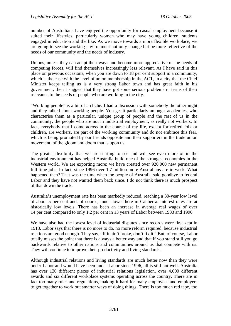number of Australians have enjoyed the opportunity for casual employment because it suited their lifestyles, particularly women who may have young children, students engaged in education and the like. As we move towards a more flexible workplace, we are going to see the working environment not only change but be more reflective of the needs of our community and the needs of industry.

Unions, unless they can adapt their ways and become more appreciative of the needs of competing forces, will find themselves increasingly less relevant. As I have said in this place on previous occasions, when you are down to 18 per cent support in a community, which is the case with the level of union membership in the ACT, in a city that the Chief Minister keeps telling us is a very strong Labor town and has great faith in his government, then I suggest that they have got some serious problems in terms of their relevance to the needs of people who are working in the city.

"Working people" is a bit of a cliché. I had a discussion with somebody the other night and they talked about working people. You get it particularly amongst academics, who characterise them as a particular, unique group of people and the rest of us in the community, the people who are not in industrial employment, as really not workers. In fact, everybody that I come across in the course of my life, except for retired folk or children, are workers, are part of the working community and do not embrace this fear, which is being promoted by our friends opposite and their supporters in the trade union movement, of the gloom and doom that is upon us.

The greater flexibility that we are starting to see and will see even more of in the industrial environment has helped Australia build one of the strongest economies in the Western world. We are exporting more; we have created over 920,000 new permanent full-time jobs. In fact, since 1996 over 1.7 million more Australians are in work. What happened then? That was the time when the people of Australia said goodbye to federal Labor and they have not wanted them back since. I do not think there is much prospect of that down the track.

Australia's unemployment rate has been markedly reduced, reaching a 30-year low level of about 5 per cent and, of course, much lower here in Canberra. Interest rates are at historically low levels. There has been an increase in average real wages of over 14 per cent compared to only 1.2 per cent in 13 years of Labor between 1983 and 1996.

We have also had the lowest level of industrial disputes since records were first kept in 1913. Labor says that there is no more to do, no more reform required, because industrial relations are good enough. They say, "If it ain't broke, don't fix it." But, of course, Labor totally misses the point that there is always a better way and that if you stand still you go backwards relative to other nations and communities around us that compete with us. They will continue to improve their productivity and living standards.

Although industrial relations and living standards are much better now than they were under Labor and would have been under Labor since 1996, all is still not well. Australia has over 130 different pieces of industrial relations legislation, over 4,000 different awards and six different workplace systems operating across the country. There are in fact too many rules and regulations, making it hard for many employees and employers to get together to work out smarter ways of doing things. There is too much red tape, too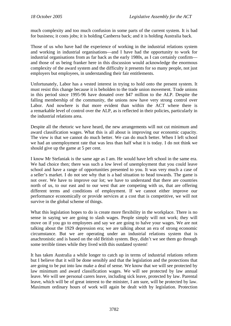much complexity and too much confusion in some parts of the current system. It is bad for business; it costs jobs; it is holding Canberra back; and it is holding Australia back.

Those of us who have had the experience of working in the industrial relations system and working in industrial organisations—and I have had the opportunity to work for industrial organisations from as far back as the early 1980s, as I can certainly confirm and those of us being franker here in this discussion would acknowledge the enormous complexity of the award system and the difficulty it presents for so many people, not just employers but employees, in understanding their fair entitlements.

Unfortunately, Labor has a vested interest in trying to hold onto the present system. It must resist this change because it is beholden to the trade union movement. Trade unions in this period since 1995-96 have donated over \$47 million to the ALP. Despite the falling membership of the community, the unions now have very strong control over Labor. And nowhere is that more evident than within the ACT where there is a remarkable level of control over the ALP, as is reflected in their policies, particularly in the industrial relations area.

Despite all the rhetoric we have heard, the new arrangements will not cut minimum and award classification wages. What this is all about is improving our economic capacity. The view is that we cannot do much better. We can do much better. When I left school we had an unemployment rate that was less than half what it is today. I do not think we should give up the game at 5 per cent.

I know Mr Stefaniak is the same age as I am. He would have left school in the same era. We had choice then; there was such a low level of unemployment that you could leave school and have a range of opportunities presented to you. It was very much a case of a seller's market. I do not see why that is a bad situation to head towards. The game is not over. We have to improve our lot; we have to understand that there are countries north of us, to our east and to our west that are competing with us, that are offering different terms and conditions of employment. If we cannot either improve our performance economically or provide services at a cost that is competitive, we will not survive in the global scheme of things.

What this legislation hopes to do is create more flexibility in the workplace. There is no sense in saying we are going to slash wages. People simply will not work; they will move on if you go to employees and say we are going to halve your wages. We are not talking about the 1929 depression era; we are talking about an era of strong economic circumstance. But we are operating under an industrial relations system that is anachronistic and is based on the old British system. Boy, didn't we see them go through some terrible times while they lived with this outdated system!

It has taken Australia a while longer to catch up in terms of industrial relations reform but I believe that it will be done sensibly and that the legislation and the protections that are going to be put into law make a deal of sense. We know that we will see protected by law minimum and award classification wages. We will see protected by law annual leave. We will see personal carers leave, including sick leave, protected by law. Parental leave, which will be of great interest to the minister, I am sure, will be protected by law. Maximum ordinary hours of work will again be dealt with by legislation. Protection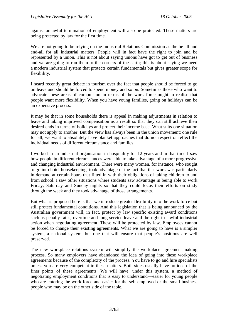against unlawful termination of employment will also be protected. These matters are being protected by law for the first time.

We are not going to be relying on the Industrial Relations Commission as the be-all and end-all for all industrial matters. People will in fact have the right to join and be represented by a union. This is not about saying unions have got to get out of business and we are going to run them to the corners of the earth; this is about saying we need a modern industrial system that protects certain fundamentals but gives greater scope for flexibility.

I heard recently great debate in tourism over the fact that people should be forced to go on leave and should be forced to spend money and so on. Sometimes those who want to advocate these areas of compulsion in terms of the work force ought to realise that people want more flexibility. When you have young families, going on holidays can be an expensive process.

It may be that in some households there is appeal in making adjustments in relation to leave and taking improved compensation as a result so that they can still achieve their desired ends in terms of holidays and protect their income base. What suits one situation may not apply to another. But the view has always been in the union movement: one rule for all; we want to absolutely have blanket approaches that do not respect or reflect the individual needs of different circumstance and families.

I worked in an industrial organisation in hospitality for 12 years and in that time I saw how people in different circumstances were able to take advantage of a more progressive and changing industrial environment. There were many women, for instance, who sought to go into hotel housekeeping, took advantage of the fact that that work was particularly in demand at certain hours that fitted in with their obligations of taking children to and from school. I saw other situations where students saw advantage in being able to work Friday, Saturday and Sunday nights so that they could focus their efforts on study through the week and they took advantage of those arrangements.

But what is proposed here is that we introduce greater flexibility into the work force but still protect fundamental conditions. And this legislation that is being announced by the Australian government will, in fact, protect by law specific existing award conditions such as penalty rates, overtime and long service leave and the right to lawful industrial action when negotiating agreement. These will be protected by law. Employees cannot be forced to change their existing agreements. What we are going to have is a simpler system, a national system, but one that will ensure that people's positions are well preserved.

The new workplace relations system will simplify the workplace agreement-making process. So many employers have abandoned the idea of going into these workplace agreements because of the complexity of the process. You have to go and hire specialists unless you are very competent in these matters. Both sides usually have no idea of the finer points of these agreements. We will have, under this system, a method of negotiating employment conditions that is easy to understand—easier for young people who are entering the work force and easier for the self-employed or the small business people who may be on the other side of the table.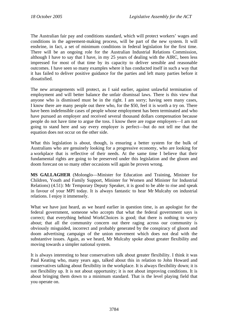The Australian fair pay and conditions standard, which will protect workers' wages and conditions in the agreement-making process, will be part of the new system. It will enshrine, in fact, a set of minimum conditions in federal legislation for the first time. There will be an ongoing role for the Australian Industrial Relations Commission, although I have to say that I have, in my 25 years of dealing with the AIRC, been less impressed for most of that time by its capacity to deliver sensible and reasonable outcomes. I have seen so many examples where it has conducted itself in such a way that it has failed to deliver positive guidance for the parties and left many parties before it dissatisfied.

The new arrangements will protect, as I said earlier, against unlawful termination of employment and will better balance the unfair dismissal laws. There is this view that anyone who is dismissed must be in the right. I am sorry; having seen many cases, I know there are many people out there who, for the \$50, feel it is worth a try on. There have been indefensible cases of people whose employment has been terminated and who have pursued an employer and received several thousand dollars compensation because people do not have time to argue the toss. I know there are rogue employers—I am not going to stand here and say every employer is perfect—but do not tell me that the equation does not occur on the other side.

What this legislation is about, though, is ensuring a better system for the bulk of Australians who are genuinely looking for a progressive economy, who are looking for a workplace that is reflective of their needs. At the same time I believe that their fundamental rights are going to be preserved under this legislation and the gloom and doom forecast on so many other occasions will again be proven wrong.

**MS GALLAGHER** (Molonglo—Minister for Education and Training, Minister for Children, Youth and Family Support, Minister for Women and Minister for Industrial Relations) (4.51): Mr Temporary Deputy Speaker, it is good to be able to rise and speak in favour of your MPI today. It is always fantastic to hear Mr Mulcahy on industrial relations. I enjoy it immensely.

What we have just heard, as we heard earlier in question time, is an apologist for the federal government, someone who accepts that what the federal government says is correct; that everything behind WorkChoices is good; that there is nothing to worry about; that all the community concern out there raging across our community is obviously misguided, incorrect and probably generated by the conspiracy of gloom and doom advertising campaign of the union movement which does not deal with the substantive issues. Again, as we heard, Mr Mulcahy spoke about greater flexibility and moving towards a simpler national system.

It is always interesting to hear conservatives talk about greater flexibility. I think it was Paul Keating who, many years ago, talked about this in relation to John Howard and conservatives talking about flexibility in the workplace. It is always flexibility down; it is not flexibility up. It is not about opportunity; it is not about improving conditions. It is about bringing them down to a minimum standard. That is the level playing field that you operate on.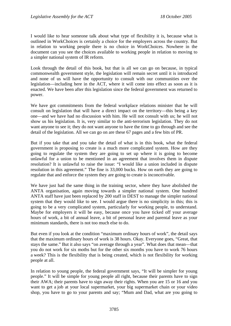I would like to hear someone talk about what type of flexibility it is, because what is outlined in WorkChoices is certainly a choice for the employers across the country. But in relation to working people there is no choice in WorkChoices. Nowhere in the document can you see the choices available to working people in relation to moving to a simpler national system of IR reform.

Look through the detail of this book, but that is all we can go on because, in typical commonwealth government style, the legislation will remain secret until it is introduced and none of us will have the opportunity to consult with our communities over the legislation—including here in the ACT, where it will come into effect as soon as it is enacted. We have been after this legislation since the federal government was returned to power.

We have got commitments from the federal workplace relations minister that he will consult on legislation that will have a direct impact on the territory—this being a key one—and we have had no discussion with him. He will not consult with us; he will not show us his legislation. It is, very similar to the anti-terrorism legislation. They do not want anyone to see it; they do not want anyone to have the time to go through and see the detail of the legislation. All we can go on are these 67 pages and a few bits of PR.

But if you take that and you take the detail of what is in this book, what the federal government is proposing to create is a much more complicated system. How are they going to regulate the system they are going to set up where it is going to become unlawful for a union to be mentioned in an agreement that involves them in dispute resolution? It is unlawful to raise the issue: "I would like a union included in dispute resolution in this agreement." The fine is 33,000 bucks. How on earth they are going to regulate that and enforce the system they are going to create is inconceivable.

We have just had the same thing in the training sector, where they have abolished the ANTA organisation, again moving towards a simpler national system. One hundred ANTA staff have just been replaced by 200 staff in DEST to manage the simpler national system that they would like to see. I would argue there is no simplicity in this; this is going to be a very complicated system, particularly for working people, to understand. Maybe for employers it will be easy, because once you have ticked off your average hours of work, a bit of annual leave, a bit of personal leave and parental leave as your minimum standards, there is not too much else to do.

But even if you look at the condition "maximum ordinary hours of work", the detail says that the maximum ordinary hours of work is 38 hours. Okay. Everyone goes, "Great, that stays the same." But it also says "on average through a year". What does that mean—that you do not work for six moths but for the other six months you have to work 76 hours a week? This is the flexibility that is being created, which is not flexibility for working people at all.

In relation to young people, the federal government says, "It will be simpler for young people." It will be simple for young people all right, because their parents have to sign their AWA; their parents have to sign away their rights. When you are 15 or 16 and you want to get a job at your local supermarket, your big supermarket chain or your video shop, you have to go to your parents and say; "Mum and Dad, what are you going to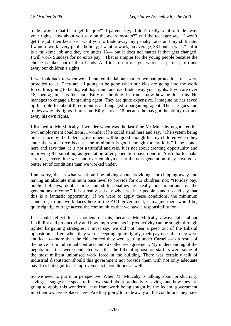trade away so that I can get this job?" If parents say, "I don't really want to trade away your rights; how about you stay on the award system?" will the teenager say, "I won't get the job then because I want you to trade away my penalty rates and my shift rate. I want to work every public holiday; I want to work, on average, 38 hours a week"—if it is a full-time job and they are under 18—"but it does not matter if that gets changed, I will work Sundays for no extra pay." That is simpler for the young people because the choice is taken out of their hands. And it is up to our generation, as parents, to trade away our children's rights.

If we look back to when we all entered the labour market, we had protections that were provided to us. They are all going to be gone when our kids are going into the work force. It is going to be dog eat dog; mum and dad trade away your rights. If you are over 18, then again, it is like poor Billy on the dole. I do not know how he does this. He manages to engage a bargaining agent. They are quite expensive. I imagine he has saved up his dole for about three months and engaged a bargaining agent. Then he goes and trades away his rights. I presume Billy is over 18 because he has got the ability to trade away his own rights.

I listened to Mr Mulcahy. I wonder when was the last time Mr Mulcahy negotiated his own employment conditions. I wonder if he could stand here and say, "The system being put in place by the federal government will be good enough for my children when they enter the work force because the minimum is good enough for my kids." If he stands here and says that, it is not a truthful analysis. It is not about creating opportunity and improving the situation, as generation after generation have done in Australia to make sure that, every time we hand over employment to the next generation, they have got a better set of conditions than we worked under.

I am sorry, that is what we should be talking about providing, not chipping away and having an absolute minimum base level to provide for our children; not: "Holiday pay, public holidays, double time and shift penalties are really not important for the generations to come." It is a really sad day when we hear people stand up and say that this is a fantastic opportunity. If we were to apply these conditions, the minimum standards, to our workplaces here in the ACT government, I imagine there would be, quite rightly, outrage across the communities that we have a responsibility for.

If I could reflect for a moment on this, because Mr Mulcahy always talks about flexibility and productivity and how improvements in productivity can be sought through tighter bargaining strategies, I must say, we did not hear a peep out of the Liberal opposition staffers when they were accepting, quite rightly, their pay rises that they were entitled to—more than the chickenfeed they were getting under Carnell—as a result of the move from individual contracts onto a collective agreement. My understanding of the negotiations that were conducted was that the Liberal opposition staffers were some of the most militant unionised work force in the building. There was certainly talk of industrial disputation should this government not provide them with not only adequate pay rises but significant improvements in conditions as well.

So we need to put it in perspective. When Mr Mulcahy is talking about productivity savings, I suggest he speak to his own staff about productivity savings and how they are going to apply this wonderful new framework being sought by the federal government into their own workplaces here. Are they going to trade away all the conditions they have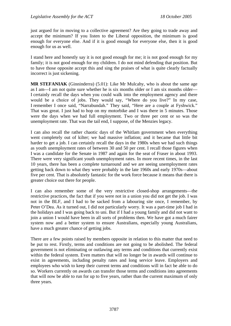just argued for in moving to a collective agreement? Are they going to trade away and accept the minimum? If you listen to the Liberal opposition, the minimum is good enough for everyone else. And if it is good enough for everyone else, then it is good enough for us as well.

I stand here and honestly say it is not good enough for me; it is not good enough for my family; it is not good enough for my children. I do not mind defending that position. But to have those opposite accept this and sing the praises of what is quite clearly factually incorrect is just sickening.

**MR STEFANIAK** (Ginninderra) (5.01): Like Mr Mulcahy, who is about the same age as I am—I am not quite sure whether he is six months older or I am six months older— I certainly recall the days when you could walk into the employment agency and there would be a choice of jobs. They would say, "Where do you live?" In my case, I remember I once said, "Narrabundah." They said, "Here are a couple at Fyshwick." That was great. I just had to hop on my motorbike and I was there in 5 minutes. Those were the days when we had full employment. Two or three per cent or so was the unemployment rate. That was the tail end, I suppose, of the Menzies legacy.

I can also recall the rather chaotic days of the Whitlam government when everything went completely out of kilter; we had massive inflation; and it became that little bit harder to get a job. I can certainly recall the days in the 1980s when we had such things as youth unemployment rates of between 30 and 50 per cent. I recall those figures when I was a candidate for the Senate in 1987 and again for the seat of Fraser in about 1993. There were very significant youth unemployment rates. In more recent times, in the last 10 years, there has been a complete turnaround and we are seeing unemployment rates getting back down to what they were probably in the late 1960s and early 1970s—about five per cent. That is absolutely fantastic for the work force because it means that there is greater choice out there for people.

I can also remember some of the very restrictive closed-shop arrangements—the restrictive practices, the fact that if you were not in a union you did not get the job. I was not in the BLF, and I had to be sacked from a labouring site once, I remember, by Peter O'Dea. As it turned out, I did not particularly worry. It was a part-time job I had in the holidays and I was going back to uni. But if I had a young family and did not want to join a union I would have been in all sorts of problems then. We have got a much fairer system now and a better system to ensure Australians, especially young Australians, have a much greater chance of getting jobs.

There are a few points raised by members opposite in relation to this matter that need to be put to rest. Firstly, terms and conditions are not going to be abolished. The federal government is not eliminating or outlawing any terms and conditions that currently exist within the federal system. Even matters that will no longer be in awards will continue to exist in agreements, including penalty rates and long service leave. Employers and employees who wish to keep their current terms and conditions will in fact be able to do so. Workers currently on awards can transfer those terms and conditions into agreements that will now be able to run for up to five years, rather than the current maximum of only three years.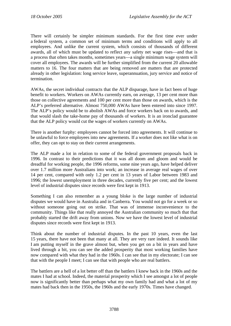There will certainly be simpler minimum standards. For the first time ever under a federal system, a common set of minimum terms and conditions will apply to all employees. And unlike the current system, which consists of thousands of different awards, all of which must be updated to reflect any safety net wage rises—and that is a process that often takes months, sometimes years—a single minimum wage system will cover all employees. The awards will be further simplified from the current 20 allowable matters to 16. The four matters that are being removed are matters that are protected already in other legislation: long service leave, superannuation, jury service and notice of termination.

AWAs, the secret individual contracts that the ALP disparage, have in fact been of huge benefit to workers. Workers on AWAs currently earn, on average, 13 per cent more than those on collective agreements and 100 per cent more than those on awards, which is the ALP's preferred alternative. Almost 750,000 AWAs have been entered into since 1997. The ALP's policy would be to abolish AWAs and force workers back on to awards, and that would slash the take-home pay of thousands of workers. It is an ironclad guarantee that the ALP policy would cut the wages of workers currently on AWAs.

There is another furphy: employees cannot be forced into agreements. It will continue to be unlawful to force employees into new agreements. If a worker does not like what is on offer, they can opt to stay on their current arrangements.

The ALP made a lot in relation to some of the federal government proposals back in 1996. In contrast to their predictions that it was all doom and gloom and would be dreadful for working people, the 1996 reforms, some nine years ago, have helped deliver over 1.7 million more Australians into work; an increase in average real wages of over 14 per cent, compared with only 1.2 per cent in 13 years of Labor between 1983 and 1996; the lowest unemployment in three decades, currently five per cent; and the lowest level of industrial disputes since records were first kept in 1913.

Something I can also remember as a young bloke is the large number of industrial disputes we would have in Australia and in Canberra. You would not go for a week or so without someone going out on strike. That was of immense inconvenience to the community. Things like that really annoyed the Australian community so much that that probably started the drift away from unions. Now we have the lowest level of industrial disputes since records were first kept in 1913.

Think about the number of industrial disputes. In the past 10 years, even the last 15 years, there have not been that many at all. They are very rare indeed. It sounds like I am putting myself in the grave almost but, when you get on a bit in years and have lived through a bit, you can see the added prosperity that most working families have now compared with what they had in the 1960s. I can see that in my electorate; I can see that with the people I meet; I can see that with people who are real battlers.

The battlers are a hell of a lot better off than the battlers I knew back in the 1960s and the mates I had at school. Indeed, the material prosperity which I see amongst a lot of people now is significantly better than perhaps what my own family had and what a lot of my mates had back then in the 1950s, the 1960s and the early 1970s. Times have changed.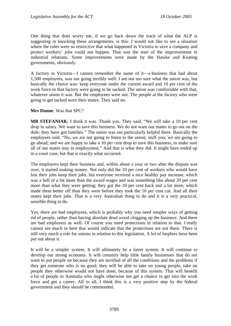One thing that does worry me, if we go back down the track of what the ALP is suggesting in knocking these arrangements, is this: I would not like to see a situation where the rules were so restrictive that what happened in Victoria to save a company and protect workers' jobs could not happen. That was the start of the improvements in industrial relations. Some improvements were made by the Hawke and Keating governments, obviously.

A factory in Victoria—I cannot remember the name of it—a business that had about 1,500 employees, was not going terribly well. I am not too sure what the union was, but basically the choice was: keep everyone under the current award and 10 per cent of the work force in that factory were going to be sacked. The union was comfortable with that, whatever union it was. But the employees were not. The people at the factory who were going to get sacked were their mates. They said no.

### **Mrs Dunne**: Was that SPC?

**MR STEFANIAK**: I think it was. Thank you. They said, "We will take a 10 per cent drop in salary. We want to save this business. We do not want our mates to go out on the dole; they have got families." The union was not particularly helpful there. Basically the employees said, "No, we are not going to listen to the union; stuff you; we are going to go ahead; and we are happy to take a 10 per cent drop to save this business, to make sure all of our mates stay in employment." And that is what they did. It might have ended up in a court case, but that is exactly what occurred.

The employers kept their business and, within about a year or two after the dispute was over, it started making money. Not only did the 10 per cent of workers who would have lost their jobs keep their jobs, but everyone received a nice healthy pay increase, which was a hell of a lot more than the award wages and was something like about 20 per cent more than what they were getting; they got the 10 per cent back and a lot more, which made them better off than they were before they took the 10 per cent cut. And all their mates kept their jobs. That is a very Australian thing to do and it is a very practical, sensible thing to do.

Yes, there are bad employees, which is probably why you need simpler ways of getting rid of people, rather than having absolute dead wood clogging up the business. And there are bad employers as well. Of course you need protections in relation to that. I really cannot see much in here that would indicate that the protections are not there. There is still very much a role for unions in relation to this legislation. A lot of furphies have been put out about it.

It will be a simpler system. It will ultimately be a fairer system. It will continue to develop our strong economy. It will certainly help little family businesses that do not want to put people on because they are terrified of all the conditions and the problems if they get someone who is no good; they will be able to take on young people, take on people they otherwise would not have done, because of this system. That will benefit a lot of people in Australia who might otherwise not get a chance to get into the work force and get a career. All in all, I think this is a very positive step by the federal government and they should be commended.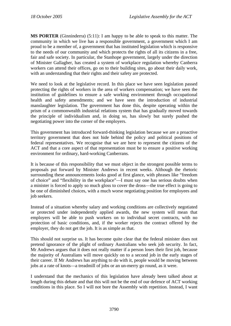**MS PORTER** (Ginninderra) (5:11): I am happy to be able to speak to this matter. The community in which we live has a responsible government, a government which I am proud to be a member of, a government that has instituted legislation which is responsive to the needs of our community and which protects the rights of all its citizens in a free, fair and safe society. In particular, the Stanhope government, largely under the direction of Minister Gallagher, has created a system of workplace regulation whereby Canberra workers can attend their offices, go on to their building sites, go about their daily work, with an understanding that their rights and their safety are protected.

We need to look at the legislative record. In this place we have seen legislation passed protecting the rights of workers in the area of workers compensation; we have seen the institution of guidelines to ensure a safe working environment through occupational health and safety amendments; and we have seen the introduction of industrial manslaughter legislation. The government has done this, despite operating within the prism of a commonwealth industrial relations system that has gradually moved towards the principle of individualism and, in doing so, has slowly but surely pushed the negotiating power into the corner of the employers.

This government has introduced forward-thinking legislation because we are a proactive territory government that does not hide behind the policy and political positions of federal representatives. We recognise that we are here to represent the citizens of the ACT and that a core aspect of that representation must be to ensure a positive working environment for ordinary, hard-working Canberrans.

It is because of this responsibility that we must object in the strongest possible terms to proposals put forward by Minister Andrews in recent weeks. Although the rhetoric surrounding these announcements looks good at first glance, with phrases like "freedom of choice" and "flexibility in the workplace"—I must say one has serious doubts when a minister is forced to apply so much gloss to cover the dross—the true effect is going to be one of diminished choices, with a much worse negotiating position for employees and job seekers.

Instead of a situation whereby salary and working conditions are collectively negotiated or protected under independently applied awards, the new system will mean that employers will be able to push workers on to individual secret contracts, with no protection of basic conditions, and, if the worker rejects the contract offered by the employer, they do not get the job. It is as simple as that.

This should not surprise us. It has become quite clear that the federal minister does not pretend ignorance of the plight of ordinary Australians who seek job security. In fact, Mr Andrews argues that it does not really matter if a person loses their first job, because the majority of Australians will move quickly on to a second job in the early stages of their career. If Mr Andrews has anything to do with it, people would be moving between jobs at a rate of knots—a treadmill of jobs or an un-merry go round, as it were.

I understand that the mechanics of this legislation have already been talked about at length during this debate and that this will not be the end of our defence of ACT working conditions in this place. So I will not bore the Assembly with repetition. Instead, I want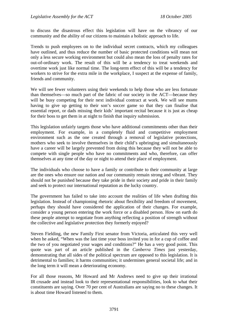to discuss the disastrous effect this legislation will have on the vibrancy of our community and the ability of our citizens to maintain a holistic approach to life.

Trends to push employees on to the individual secret contracts, which my colleagues have outlined, and thus reduce the number of basic protected conditions will mean not only a less secure working environment but could also mean the loss of penalty rates for out-of-ordinary work. The result of this will be a tendency to treat weekends and overtime work just like normal time. The long-term effect of this will be a tendency for workers to strive for the extra mile in the workplace, I suspect at the expense of family, friends and community.

We will see fewer volunteers using their weekends to help those who are less fortunate than themselves—so much part of the fabric of our society in the ACT—because they will be busy competing for their next individual contract at work. We will see mums having to give up getting to their son's soccer game so that they can finalise that essential report, or dads missing their kids' important recital because it is just as cheap for their boss to get them in at night to finish that inquiry submission.

This legislation unfairly targets those who have additional commitments other than their employment. For example, in a completely fluid and competitive employment environment such as the one created through a removal of legislative protections, mothers who seek to involve themselves in their child's upbringing and simultaneously have a career will be largely prevented from doing this because they will not be able to compete with single people who have no commitments and who, therefore, can offer themselves at any time of the day or night to attend their place of employment.

The individuals who choose to have a family or contribute to their community at large are the ones who ensure our nation and our community remain strong and vibrant. They should not be punished because they take pride in their society and pride in their family and seek to protect our international reputation as the lucky country.

The government has failed to take into account the realities of life when drafting this legislation. Instead of championing rhetoric about flexibility and freedom of movement, perhaps they should have considered the application of their changes. For example, consider a young person entering the work force or a disabled person. How on earth do these people attempt to negotiate from anything reflecting a position of strength without the collective and legislative protection they formerly enjoyed?

Steven Fielding, the new Family First senator from Victoria, articulated this very well when he asked, "When was the last time your boss invited you in for a cup of coffee and the two of you negotiated your wages and conditions?" He has a very good point. This quote was part of an article published in the *Canberra Times* just yesterday, demonstrating that all sides of the political spectrum are opposed to this legislation. It is detrimental to families; it harms communities; it undermines general societal life; and in the long term it will mean a deteriorating economy.

For all those reasons, Mr Howard and Mr Andrews need to give up their irrational IR crusade and instead look to their representational responsibilities, look to what their constituents are saying. Over 70 per cent of Australians are saying no to these changes. It is about time Howard listened to them.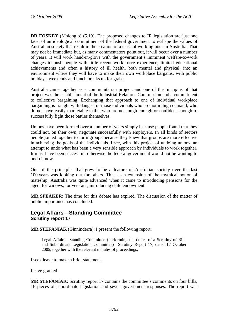**DR FOSKEY** (Molonglo) (5.19): The proposed changes to IR legislation are just one facet of an ideological commitment of the federal government to reshape the values of Australian society that result in the creation of a class of working poor in Australia. That may not be immediate but, as many commentators point out, it will occur over a number of years. It will work hand-in-glove with the government's imminent welfare-to-work changes to push people with little recent work force experience, limited educational achievements and often a history of ill health, both mental and physical, into an environment where they will have to make their own workplace bargains, with public holidays, weekends and lunch breaks up for grabs.

Australia came together as a communitarian project, and one of the linchpins of that project was the establishment of the Industrial Relations Commission and a commitment to collective bargaining. Exchanging that approach to one of individual workplace bargaining is fraught with danger for those individuals who are not in high demand, who do not have easily marketable skills, who are not tough enough or confident enough to successfully fight those battles themselves.

Unions have been formed over a number of years simply because people found that they could not, on their own, negotiate successfully with employers. In all kinds of sectors people joined together to form groups because they knew that groups are more effective in achieving the goals of the individuals. I see, with this project of undoing unions, an attempt to undo what has been a very sensible approach by individuals to work together. It must have been successful, otherwise the federal government would not be wanting to undo it now.

One of the principles that grew to be a feature of Australian society over the last 100 years was looking out for others. This is an extension of the mythical notion of mateship. Australia was quite advanced when it came to introducing pensions for the aged, for widows, for veterans, introducing child endowment.

**MR SPEAKER**: The time for this debate has expired. The discussion of the matter of public importance has concluded.

# **Legal Affairs—Standing Committee Scrutiny report 17**

**MR STEFANIAK** (Ginninderra): I present the following report:

Legal Affairs—Standing Committee (performing the duties of a Scrutiny of Bills and Subordinate Legislation Committee)—Scrutiny Report 17*,* dated 17 October 2005, together with the relevant minutes of proceedings.

I seek leave to make a brief statement.

Leave granted.

**MR STEFANIAK**: Scrutiny report 17 contains the committee's comments on four bills, 16 pieces of subordinate legislation and seven government responses. The report was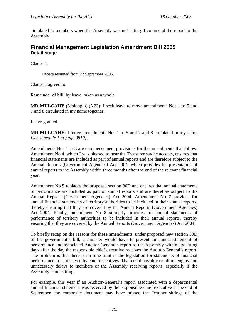circulated to members when the Assembly was not sitting. I commend the report to the Assembly.

# **Financial Management Legislation Amendment Bill 2005 Detail stage**

Clause 1.

Debate resumed from 22 September 2005.

Clause 1 agreed to.

Remainder of bill, by leave, taken as a whole.

**MR MULCAHY** (Molonglo) (5.23): I seek leave to move amendments Nos 1 to 5 and 7 and 8 circulated in my name together.

Leave granted.

**MR MULCAHY**: I move amendments Nos 1 to 5 and 7 and 8 circulated in my name *[see schedule 1 at page 3810]*.

Amendments Nos 1 to 3 are commencement provisions for the amendments that follow. Amendment No 4, which I was pleased to hear the Treasurer say he accepts, ensures that financial statements are included as part of annual reports and are therefore subject to the Annual Reports (Government Agencies) Act 2004, which provides for presentation of annual reports to the Assembly within three months after the end of the relevant financial year.

Amendment No 5 replaces the proposed section 30D and ensures that annual statements of performance are included as part of annual reports and are therefore subject to the Annual Reports (Government Agencies) Act 2004. Amendment No 7 provides for annual financial statements of territory authorities to be included in their annual reports, thereby ensuring that they are covered by the Annual Reports (Government Agencies) Act 2004. Finally, amendment No 8 similarly provides for annual statements of performance of territory authorities to be included in their annual reports, thereby ensuring that they are covered by the Annual Reports (Government Agencies) Act 2004.

To briefly recap on the reasons for these amendments, under proposed new section 30D of the government's bill, a minister would have to present an annual statement of performance and associated Auditor-General's report to the Assembly within six sitting days after the day the responsible chief executive receives the Auditor-General's report. The problem is that there is no time limit in the legislation for statements of financial performance to be received by chief executives. That could possibly result in lengthy and unnecessary delays to members of the Assembly receiving reports, especially if the Assembly is not sitting.

For example, this year if an Auditor-General's report associated with a departmental annual financial statement was received by the responsible chief executive at the end of September, the composite document may have missed the October sittings of the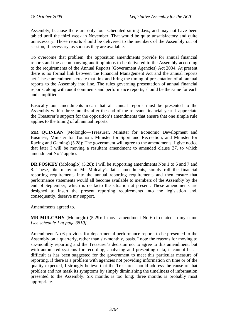Assembly, because there are only four scheduled sitting days, and may not have been tabled until the third week in November. That would be quite unsatisfactory and quite unnecessary. Those reports should be delivered to the members of the Assembly out of session, if necessary, as soon as they are available.

To overcome that problem, the opposition amendments provide for annual financial reports and the accompanying audit opinions to be delivered to the Assembly according to the requirements of the Annual Reports (Government Agencies) Act 2004. At present there is no formal link between the Financial Management Act and the annual reports act. These amendments create that link and bring the timing of presentation of all annual reports to the Assembly into line. The rules governing presentation of annual financial reports, along with audit comments and performance reports, should be the same for each and simplified.

Basically our amendments mean that all annual reports must be presented to the Assembly within three months after the end of the relevant financial year. I appreciate the Treasurer's support for the opposition's amendments that ensure that one simple rule applies to the timing of all annual reports.

**MR QUINLAN** (Molonglo—Treasurer, Minister for Economic Development and Business, Minister for Tourism, Minister for Sport and Recreation, and Minister for Racing and Gaming) (5.28): The government will agree to the amendments. I give notice that later I will be moving a resultant amendment to amended clause 37, to which amendment No 7 applies

**DR FOSKEY** (Molonglo) (5.28): I will be supporting amendments Nos 1 to 5 and 7 and 8. These, like many of Mr Mulcahy's later amendments, simply roll the financial reporting requirements into the annual reporting requirements and then ensure that performance statements would all become available to members of the Assembly by the end of September, which is de facto the situation at present. These amendments are designed to insert the present reporting requirements into the legislation and, consequently, deserve my support.

Amendments agreed to.

**MR MULCAHY** (Molonglo) (5.29): I move amendment No 6 circulated in my name *[see schedule 1 at page 3810]*.

Amendment No 6 provides for departmental performance reports to be presented to the Assembly on a quarterly, rather than six-monthly, basis. I note the reasons for moving to six-monthly reporting and the Treasurer's decision not to agree to this amendment, but with automated systems for recording, analysing and presenting data, it cannot be as difficult as has been suggested for the government to meet this particular measure of reporting. If there is a problem with agencies not providing information on time or of the quality expected, I strongly believe that the Treasurer should address the cause of that problem and not mask its symptoms by simply diminishing the timeliness of information presented to the Assembly. Six months is too long; three months is probably most appropriate.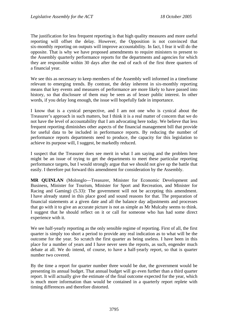The justification for less frequent reporting is that high quality measures and more useful reporting will offset the delay. However, the Opposition is not convinced that six-monthly reporting on outputs will improve accountability. In fact, I fear it will do the opposite. That is why we have proposed amendments to require ministers to present to the Assembly quarterly performance reports for the departments and agencies for which they are responsible within 30 days after the end of each of the first three quarters of a financial year.

We see this as necessary to keep members of the Assembly well informed in a timeframe relevant to emerging trends. By contrast, the delay inherent in six-monthly reporting means that key events and measures of performance are more likely to have passed into history, so that disclosure of them may be seen as of lesser public interest. In other words, if you delay long enough, the issue will hopefully fade in importance.

I know that is a cynical perspective, and I am not one who is cynical about the Treasurer's approach in such matters, but I think it is a real matter of concern that we do not have the level of accountability that I am advocating here today. We believe that less frequent reporting diminishes other aspects of the financial management bill that provide for useful data to be included in performance reports. By reducing the number of performance reports departments need to produce, the capacity for this legislation to achieve its purpose will, I suggest, be markedly reduced.

I suspect that the Treasurer does see merit in what I am saying and the problem here might be an issue of trying to get the departments to meet these particular reporting performance targets, but I would strongly argue that we should not give up the battle that easily. I therefore put forward this amendment for consideration by the Assembly.

**MR QUINLAN** (Molonglo—Treasurer, Minister for Economic Development and Business, Minister for Tourism, Minister for Sport and Recreation, and Minister for Racing and Gaming) (5.33): The government will not be accepting this amendment. I have already stated in this place good and sound reasons for that. The preparation of financial statements at a given date and all the balance day adjustments and processes that go with it to give an accurate picture is not as simple as Mr Mulcahy seems to think. I suggest that he should reflect on it or call for someone who has had some direct experience with it.

We see half-yearly reporting as the only sensible regime of reporting. First of all, the first quarter is simply too short a period to provide any real indication as to what will be the outcome for the year. So scratch the first quarter as being useless. I have been in this place for a number of years and I have never seen the reports, as such, engender much debate at all. We do intend, of course, to have a half-yearly report, so that is quarter number two covered.

By the time a report for quarter number three would be due, the government would be presenting its annual budget. That annual budget will go even further than a third quarter report. It will actually give the estimate of the final outcome expected for the year, which is much more information than would be contained in a quarterly report replete with timing differences and therefore distorted.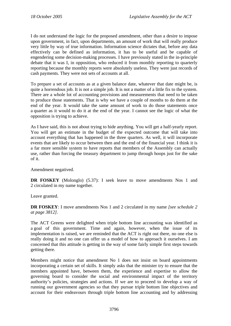I do not understand the logic for the proposed amendment, other than a desire to impose upon government, in fact, upon departments, an amount of work that will really produce very little by way of true information. Information science dictates that, before any data effectively can be defined as information, it has to be useful and be capable of engendering some decision-making processes. I have previously stated in the in-principle debate that it was I, in opposition, who reduced it from monthly reporting to quarterly reporting because the monthly reports were absolutely useless. They were just records of cash payments. They were not sets of accounts at all.

To prepare a set of accounts as at a given balance date, whatever that date might be, is quite a horrendous job. It is not a simple job. It is not a matter of a little fix to the system. There are a whole lot of accounting provisions and measurements that need to be taken to produce those statements. That is why we have a couple of months to do them at the end of the year. It would take the same amount of work to do those statements once a quarter as it would to do it at the end of the year. I cannot see the logic of what the opposition is trying to achieve.

As I have said, this is not about trying to hide anything. You will get a half-yearly report. You will get an estimate in the budget of the expected outcome that will take into account everything that has happened in the three quarters. As well, it will incorporate events that are likely to occur between then and the end of the financial year. I think it is a far more sensible system to have reports that members of the Assembly can actually use, rather than forcing the treasury department to jump through hoops just for the sake of it.

Amendment negatived.

**DR FOSKEY** (Molonglo) (5.37): I seek leave to move amendments Nos 1 and 2 circulated in my name together.

Leave granted.

**DR FOSKEY**: I move amendments Nos 1 and 2 circulated in my name *[see schedule 2 at page 3812]*.

The ACT Greens were delighted when triple bottom line accounting was identified as a goal of this government. Time and again, however, when the issue of its implementation is raised, we are reminded that the ACT is right out there, no one else is really doing it and no one can offer us a model of how to approach it ourselves. I am concerned that this attitude is getting in the way of some fairly simple first steps towards getting there.

Members might notice that amendment No 1 does not insist on board appointments incorporating a certain set of skills. It simply asks that the minister try to ensure that the members appointed have, between them, the experience and expertise to allow the governing board to consider the social and environmental impact of the territory authority's policies, strategies and actions. If we are to proceed to develop a way of running our government agencies so that they pursue triple bottom line objectives and account for their endeavours through triple bottom line accounting and by addressing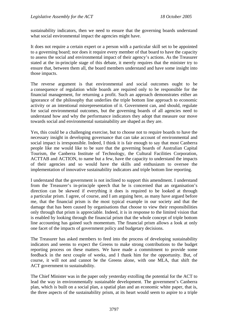sustainability indicators, then we need to ensure that the governing boards understand what social environmental impact the agencies might have.

It does not require a certain expert or a person with a particular skill set to be appointed to a governing board; nor does it require every member of that board to have the capacity to assess the social and environmental impact of their agency's actions. As the Treasurer stated at the in-principle stage of this debate, it merely requires that the minister try to ensure that, between them all, the board members understand and have some insight into those impacts.

The reverse argument is that environmental and social outcomes ought to be a consequence of regulation while boards are required only to be responsible for the financial management, for returning a profit. Such an approach demonstrates either an ignorance of the philosophy that underlies the triple bottom line approach to economic activity or an intentional misrepresentation of it. Government can, and should, regulate for social environmental outcomes, but the governing boards of all agencies need to understand how and why the performance indicators they adopt that measure our move towards social and environmental sustainability are shaped as they are.

Yes, this could be a challenging exercise, but to choose not to require boards to have the necessary insight in developing governance that can take account of environmental and social impact is irresponsible. Indeed, I think it is fair enough to say that most Canberra people like me would like to be sure that the governing boards of Australian Capital Tourism, the Canberra Institute of Technology, the Cultural Facilities Corporation, ACTTAB and ACTION, to name but a few, have the capacity to understand the impacts of their agencies and so would have the skills and enthusiasm to oversee the implementation of innovative sustainability indicators and triple bottom line reporting.

I understand that the government is not inclined to support this amendment. I understand from the Treasurer's in-principle speech that he is concerned that an organisation's direction can be skewed if everything it does is required to be looked at through a particular prism. I agree, of course, and I am arguing here, as many have argued before me, that the financial prism is the most typical example in our society and that the damage that has been caused by organisations that choose to view their responsibilities only through that prism is appreciable. Indeed, it is in response to the limited vision that is enabled by looking through the financial prism that the whole concept of triple bottom line accounting has gained such momentum. The financial prism allows a look at only one facet of the impacts of government policy and budgetary decisions.

The Treasurer has asked members to feed into the process of developing sustainability indicators and seems to expect the Greens to make strong contributions to the budget reporting process on these matters. We have made a commitment to provide some feedback in the next couple of weeks, and I thank him for the opportunity. But, of course, it will not and cannot be the Greens alone, with one MLA, that shift the ACT government to sustainability.

The Chief Minister was in the paper only yesterday extolling the potential for the ACT to lead the way in environmentally sustainable development. The government's Canberra plan, which is built on a social plan, a spatial plan and an economic white paper, that is, the three aspects of the sustainability prism, at its heart would seem to aspire to a triple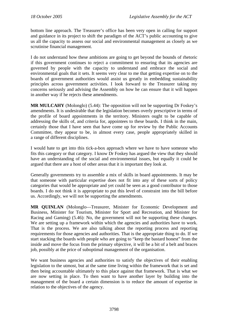bottom line approach. The Treasurer's office has been very open in calling for support and guidance in its project to shift the paradigm of the ACT's public accounting to give us all the capacity to assess our social and environmental management as closely as we scrutinise financial management.

I do not understand how these ambitions are going to get beyond the bounds of rhetoric if this government continues to reject a commitment to ensuring that its agencies are governed by people with the capacity to understand and embrace the social and environmental goals that it sets. It seems very clear to me that getting expertise on to the boards of government authorities would assist us greatly in embedding sustainability principles across government activities. I look forward to the Treasurer taking my concerns seriously and advising the Assembly on how he can ensure that it will happen in another way if he rejects these amendments.

**MR MULCAHY** (Molonglo) (5.44): The opposition will not be supporting Dr Foskey's amendments. It is undesirable that the legislation becomes overly prescriptive in terms of the profile of board appointments in the territory. Ministers ought to be capable of addressing the skills of, and criteria for, appointees to these boards. I think in the main, certainly those that I have seen that have come up for review by the Public Accounts Committee, they appear to be, in almost every case, people appropriately skilled in a range of different disciplines.

I would hate to get into this tick-a-box approach where we have to have someone who fits this category or that category. I know Dr Foskey has argued the view that they should have an understanding of the social and environmental issues, but equally it could be argued that there are a host of other areas that it is important they look at.

Generally governments try to assemble a mix of skills in board appointments. It may be that someone with particular expertise does not fit into any of these sorts of policy categories that would be appropriate and yet could be seen as a good contributor to those boards. I do not think it is appropriate to put this level of constraint into the bill before us. Accordingly, we will not be supporting the amendments.

**MR QUINLAN** (Molonglo—Treasurer, Minister for Economic Development and Business, Minister for Tourism, Minister for Sport and Recreation, and Minister for Racing and Gaming) (5.46): No, the government will not be supporting these changes. We are setting up a framework within which the agencies and authorities have to work. That is the process. We are also talking about the reporting process and reporting requirements for those agencies and authorities. That is the appropriate thing to do. If we start stacking the boards with people who are going to "keep the bastard honest" from the inside and move the focus from the primary objective, it will be a bit of a belt and braces job, possibly at the price of suboptimal management of the organisation.

We want business agencies and authorities to satisfy the objectives of their enabling legislation to the utmost, but at the same time living within the framework that is set and then being accountable ultimately to this place against that framework. That is what we are now setting in place. To then want to have another layer by building into the management of the board a certain dimension is to reduce the amount of expertise in relation to the objectives of the agency.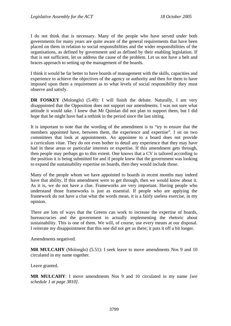I do not think that is necessary. Many of the people who have served under both governments for many years are quite aware of the general requirements that have been placed on them in relation to social responsibilities and the wider responsibilities of the organisations, as defined by government and as defined by their enabling legislation. If that is not sufficient, let us address the cause of the problem. Let us not have a belt and braces approach to setting up the management of the boards.

I think it would be far better to have boards of management with the skills, capacities and experience to achieve the objectives of the agency or authority and then for them to have imposed upon them a requirement as to what levels of social responsibility they must observe and satisfy.

**DR FOSKEY** (Molonglo) (5.49): I will finish the debate. Naturally, I am very disappointed that the Opposition does not support our amendments. I was not sure what attitude it would take. I knew that Mr Quinlan did not plan to support them, but I did hope that he might have had a rethink in the period since the last sitting.

It is important to note that the wording of the amendment is to "try to ensure that the members appointed have, between them, the experience and expertise". I sit on two committees that look at appointments. An appointee to a board does not provide a curriculum vitae. They do not even bother to detail any experience that they may have had in these areas or particular interests or expertise. If this amendment gets through, then people may perhaps go to this extent. One knows that a CV is tailored according to the position it is being submitted for and if people knew that the government was looking to expand the sustainability expertise on boards, then they would include those.

Many of the people whom we have appointed to boards in recent months may indeed have that ability. If this amendment were to get through, then we would know about it. As it is, we do not have a clue. Frameworks are very important. Having people who understand those frameworks is just as essential. If people who are applying the framework do not have a clue what the words mean, it is a fairly useless exercise, in my opinion.

There are lots of ways that the Greens can work to increase the expertise of boards, bureaucracies and the government in actually implementing the rhetoric about sustainability. This is one of them. We will, of course, use every means at our disposal. I reiterate my disappointment that this one did not get us there; it puts it off a bit longer.

Amendments negatived.

**MR MULCAHY** (Molonglo) (5.51): I seek leave to move amendments Nos 9 and 10 circulated in my name together.

Leave granted.

**MR MULCAHY**: I move amendments Nos 9 and 10 circulated in my name *[see schedule 1 at page 3810]*.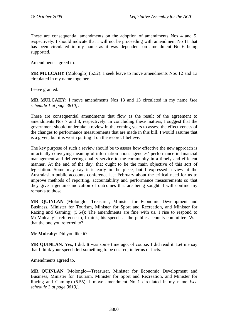These are consequential amendments on the adoption of amendments Nos 4 and 5, respectively. I should indicate that I will not be proceeding with amendment No 11 that has been circulated in my name as it was dependent on amendment No 6 being supported.

Amendments agreed to.

**MR MULCAHY** (Molonglo) (5.52): I seek leave to move amendments Nos 12 and 13 circulated in my name together.

Leave granted.

**MR MULCAHY**: I move amendments Nos 13 and 13 circulated in my name *[see schedule 1 at page 3810]*.

These are consequential amendments that flow as the result of the agreement to amendments Nos 7 and 8, respectively. In concluding these matters, I suggest that the government should undertake a review in the coming years to assess the effectiveness of the changes to performance measurements that are made in this bill. I would assume that is a given, but it is worth putting it on the record, I believe.

The key purpose of such a review should be to assess how effective the new approach is in actually conveying meaningful information about agencies' performance in financial management and delivering quality service to the community in a timely and efficient manner. At the end of the day, that ought to be the main objective of this sort of legislation. Some may say it is early in the piece, but I expressed a view at the Australasian public accounts conference last February about the critical need for us to improve methods of reporting, accountability and performance measurements so that they give a genuine indication of outcomes that are being sought. I will confine my remarks to those.

**MR QUINLAN** (Molonglo—Treasurer, Minister for Economic Development and Business, Minister for Tourism, Minister for Sport and Recreation, and Minister for Racing and Gaming) (5.54): The amendments are fine with us. I rise to respond to Mr Mulcahy's reference to, I think, his speech at the public accounts committee. Was that the one you referred to?

**Mr Mulcahy**: Did you like it?

**MR QUINLAN**: Yes, I did. It was some time ago, of course. I did read it. Let me say that I think your speech left something to be desired, in terms of facts.

Amendments agreed to.

**MR QUINLAN** (Molonglo—Treasurer, Minister for Economic Development and Business, Minister for Tourism, Minister for Sport and Recreation, and Minister for Racing and Gaming) (5.55): I move amendment No 1 circulated in my name *[*s*ee schedule 3 at page 3813]*.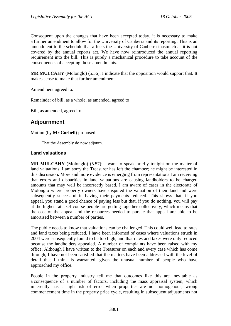Consequent upon the changes that have been accepted today, it is necessary to make a further amendment to allow for the University of Canberra and its reporting. This is an amendment to the schedule that affects the University of Canberra inasmuch as it is not covered by the annual reports act. We have now reintroduced the annual reporting requirement into the bill. This is purely a mechanical procedure to take account of the consequences of accepting those amendments.

**MR MULCAHY** (Molonglo) (5.56): I indicate that the opposition would support that. It makes sense to make that further amendment.

Amendment agreed to.

Remainder of bill, as a whole, as amended, agreed to

Bill, as amended, agreed to.

# **Adjournment**

## Motion (by **Mr Corbell**) proposed:

That the Assembly do now adjourn.

## **Land valuations**

**MR MULCAHY** (Molonglo) (5.57): I want to speak briefly tonight on the matter of land valuations. I am sorry the Treasurer has left the chamber; he might be interested in this discussion. More and more evidence is emerging from representations I am receiving that errors and disparities in land valuations are causing landholders to be charged amounts that may well be incorrectly based. I am aware of cases in the electorate of Molonglo where property owners have disputed the valuation of their land and were subsequently successful in having their payments reduced. This shows that, if you appeal, you stand a good chance of paying less but that, if you do nothing, you will pay at the higher rate. Of course people are getting together collectively, which means that the cost of the appeal and the resources needed to pursue that appeal are able to be amortised between a number of parties.

The public needs to know that valuations can be challenged. This could well lead to rates and land taxes being reduced. I have been informed of cases where valuations struck in 2004 were subsequently found to be too high, and that rates and taxes were only reduced because the landholders appealed. A number of complaints have been raised with my office. Although I have written to the Treasurer on each and every case which has come through, I have not been satisfied that the matters have been addressed with the level of detail that I think is warranted, given the unusual number of people who have approached my office.

People in the property industry tell me that outcomes like this are inevitable as a consequence of a number of factors, including the mass appraisal system, which inherently has a high risk of error when properties are not homogenous; wrong commencement time in the property price cycle, resulting in subsequent adjustments not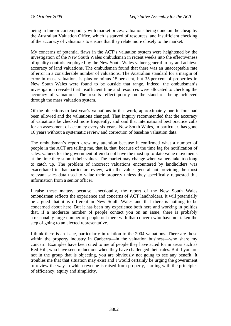being in line or contemporary with market prices; valuations being done on the cheap by the Australian Valuation Office, which is starved of resources, and insufficient checking of the accuracy of valuations to ensure that they relate more closely to the market.

My concerns of potential flaws in the ACT's valuation system were heightened by the investigation of the New South Wales ombudsman in recent weeks into the effectiveness of quality controls employed by the New South Wales valuer-general to try and achieve accuracy of land valuations. The ombudsman found that there was an unacceptable rate of error in a considerable number of valuations. The Australian standard for a margin of error in mass valuations is plus or minus 15 per cent, but 35 per cent of properties in New South Wales were found to be outside that range. Indeed, the ombudsman's investigation revealed that insufficient time and resources were allocated to checking the accuracy of valuations. The results reflect poorly on the standards being achieved through the mass valuation system.

Of the objections to last year's valuations in that work, approximately one in four had been allowed and the valuations changed. That inquiry recommended that the accuracy of valuations be checked more frequently, and said that international best practice calls for an assessment of accuracy every six years. New South Wales, in particular, has gone 16 years without a systematic review and correction of baseline valuation data.

The ombudsman's report drew my attention because it confirmed what a number of people in the ACT are telling me, that is, that, because of the time lag for notification of sales, valuers for the government often do not have the most up-to-date value movements at the time they submit their values. The market may change when valuers take too long to catch up. The problem of incorrect valuations encountered by landholders was exacerbated in that particular review, with the valuer-general not providing the most relevant sales data used to value their property unless they specifically requested this information from a senior officer.

I raise these matters because, anecdotally, the report of the New South Wales ombudsman reflects the experience and concerns of ACT landholders. It will potentially be argued that it is different in New South Wales and that there is nothing to be concerned about here. But it has been my experience both here and working in politics that, if a moderate number of people contact you on an issue, there is probably a reasonably large number of people out there with that concern who have not taken the step of going to an elected representative.

I think there is an issue, particularly in relation to the 2004 valuations. There are those within the property industry in Canberra—in the valuation business—who share my concern. Examples have been cited to me of people they have acted for in areas such as Red Hill, who have seen reductions when they have challenged their rates. But if you are not in the group that is objecting, you are obviously not going to see any benefit. It troubles me that that situation may exist and I would certainly be urging the government to review the way in which revenue is raised from property, starting with the principles of efficiency, equity and simplicity.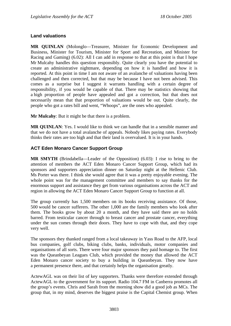# **Land valuations**

**MR QUINLAN** (Molonglo—Treasurer, Minister for Economic Development and Business, Minister for Tourism, Minister for Sport and Recreation, and Minister for Racing and Gaming) (6.02): All I can add in response to that at this point is that I hope Mr Mulcahy handles this question responsibly. Quite clearly you have the potential to create an administrative nightmare, depending on how it is handled and how it is reported. At this point in time I am not aware of an avalanche of valuations having been challenged and then corrected, but that may be because I have not been advised. This comes as a surprise but I suggest it warrants handling with a certain degree of responsibility, if you would be capable of that. There may be statistics showing that a high proportion of people have appealed and got a correction, but that does not necessarily mean that that proportion of valuations would be out. Quite clearly, the people who got a rates bill and went, "Whoops", are the ones who appealed.

**Mr Mulcahy**: But it might be that there is a problem.

**MR QUINLAN**: Yes. I would like to think we can handle that in a sensible manner and that we do not have a total avalanche of appeals. Nobody likes paying rates. Everybody thinks their rates are too high and that their land is overvalued. It is in your hands.

## **ACT Eden Monaro Cancer Support Group**

**MR SMYTH** (Brindabella—Leader of the Opposition) (6.03): I rise to bring to the attention of members the ACT Eden Monaro Cancer Support Group, which had its sponsors and supporters appreciation dinner on Saturday night at the Hellenic Club. Ms Porter was there. I think she would agree that it was a pretty enjoyable evening. The whole point was for the management committee and members to say thanks for the enormous support and assistance they get from various organisations across the ACT and region in allowing the ACT Eden Monaro Cancer Support Group to function at all.

The group currently has 1,500 members on its books receiving assistance. Of those, 500 would be cancer sufferers. The other 1,000 are the family members who look after them. The books grow by about 20 a month, and they have said there are no holds barred. From testicular cancer through to breast cancer and prostate cancer, everything under the sun comes through their doors. They have to cope with that, and they cope very well.

The sponsors they thanked ranged from a local takeaway in Yass Road to the AFP, local bus companies, golf clubs, biking clubs, banks, individuals, motor companies and organisations of all sorts. There were four major sponsors they paid homage to. The first was the Queanbeyan Leagues Club, which provided the money that allowed the ACT Eden Monaro cancer society to buy a building in Queanbeyan. They now have a permanent presence there, and that certainly helps the organisation greatly.

ActewAGL was on their list of key supporters. Thanks were therefore extended through ActewAGL to the government for its support. Radio 104.7 FM in Canberra promotes all the group's events. Chris and Sarah from the morning show did a good job as MCs. The group that, in my mind, deserves the biggest praise is the Capital Chemist group. When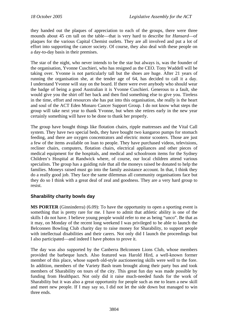they handed out the plaques of appreciation to each of the groups, there were three mounds about 45 cm tall on the table—that is very hard to describe for *Hansard*—of plaques for the various Capital Chemist outlets. They are all involved and put a lot of effort into supporting the cancer society. Of course, they also deal with these people on a day-to-day basis in their premises.

The star of the night, who never intends to be the star but always is, was the founder of the organisation, Yvonne Cuschieri, who has resigned as the CEO. Tony Waddell will be taking over. Yvonne is not particularly tall but the shoes are huge. After 21 years of running the organisation she, at the tender age of 64, has decided to call it a day. I understand Yvonne will stay on the board. If there were ever anybody who should wear the badge of being a good Australian it is Yvonne Cuschieri. Generous to a fault, she would give you the shirt off her back and then find something else to give you. Tireless in the time, effort and resources she has put into this organisation, she really is the heart and soul of the ACT Eden Monaro Cancer Support Group. I do not know what steps the group will take next year to thank Yvonne, but when she retires early in the new year certainly something will have to be done to thank her properly.

The group have bought things like flotation chairs, ripple mattresses and the Vital Call system. They have two special beds, they have bought two kangaroo pumps for stomach feeding, and there are oxygen concentrators and electric motor scooters. Those are just a few of the items available on loan to people. They have purchased videos, televisions, recliner chairs, computers, flotation chairs, electrical appliances and other pieces of medical equipment for the hospitals, and medical and schoolroom items for the Sydney Children's Hospital at Randwick where, of course, our local children attend various specialists. The group has a guiding rule that all the moneys raised be donated to help the families. Moneys raised must go into the family assistance account. In that, I think they do a really good job. They face the same dilemmas all community organisations face but they do so I think with a great deal of zeal and goodness. They are a very hard group to resist.

# **Sharability charity bowls day**

**MS PORTER** (Ginninderra) (6.09): To have the opportunity to open a sporting event is something that is pretty rare for me. I have to admit that athletic ability is one of the skills I do not have. I believe young people would refer to me as being "unco". Be that as it may, on Monday of the recent long weekend I was privileged to be able to launch the Belconnen Bowling Club charity day to raise money for Sharability, to support people with intellectual disabilities and their carers. Not only did I launch the proceedings but I also participated—and indeed I have photos to prove it.

The day was also supported by the Canberra Belconnen Lions Club, whose members provided the barbeque lunch. Also featured was Harold Hird, a well-known former member of this place, whose superb old-style auctioneering skills were well to the fore. In addition, members of the Variety Bash team brought along their party bus and took members of Sharability on tours of the city. This great fun day was made possible by funding from Healthpact. Not only did it raise much-needed funds for the work of Sharability but it was also a great opportunity for people such as me to learn a new skill and meet new people. If I may say so, I did not let the side down but managed to win three ends.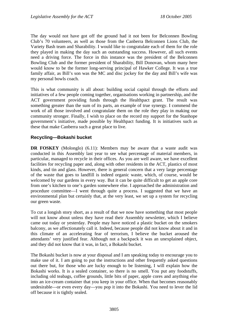The day would not have got off the ground had it not been for Belconnen Bowling Club's 70 volunteers, as well as those from the Canberra Belconnen Lions Club, the Variety Bash team and Sharability. I would like to congratulate each of them for the role they played in making the day such an outstanding success. However, all such events need a driving force. The force in this instance was the president of the Belconnen Bowling Club and the former president of Sharability, Bill Donovan, whom many here would know to be the former long-serving principal of Hawker College. It was a true family affair, as Bill's son was the MC and disc jockey for the day and Bill's wife was my personal bowls coach.

This is what community is all about: building social capital through the efforts and initiatives of a few people coming together, organisations working in partnership, and the ACT government providing funds through the Healthpact grant. The result was something greater than the sum of its parts, an example of true synergy. I commend the work of all those involved and congratulate them on the role they play in making our community stronger. Finally, I wish to place on the record my support for the Stanhope government's initiative, made possible by Healthpact funding. It is initiatives such as these that make Canberra such a great place to live.

# **Recycling—Bokashi bucket**

**DR FOSKEY** (Molonglo) (6.11): Members may be aware that a waste audit was conducted in this Assembly last year to see what percentage of material members, in particular, managed to recycle in their offices. As you are well aware, we have excellent facilities for recycling paper and, along with other residents in the ACT, plastics of most kinds, and tin and glass. However, there is general concern that a very large percentage of the waste that goes to landfill is indeed organic waste, which, of course, would be welcomed by our gardens in every way. But it can be quite difficult to get an apple core from one's kitchen to one's garden somewhere else. I approached the administration and procedure committee—I went through quite a process. I suggested that we have an environmental plan but certainly that, at the very least, we set up a system for recycling our green waste.

To cut a longish story short, as a result of that we now have something that most people will not know about unless they have read their Assembly newsletter, which I believe came out today or yesterday. People may have noticed a plastic bucket on the smokers balcony, as we affectionately call it. Indeed, because people did not know about it and in this climate of an accelerating fear of terrorism, I believe the bucket aroused the attendants' very justified fear. Although not a backpack it was an unexplained object, and they did not know that it was, in fact, a Bokashi bucket.

The Bokashi bucket is now at your disposal and I am speaking today to encourage you to make use of it. I am going to put the instructions and other frequently asked questions out there but, for those who are lucky enough to be listening, I will explain how the Bokashi works. It is a sealed container, so there is no smell. You put any foodstuffs, including old teabags, coffee grounds, little bits of paper, apple cores and anything else into an ice-cream container that you keep in your office. When that becomes reasonably undesirable—or even every day—you pop it into the Bokashi. You need to lever the lid off because it is tightly sealed.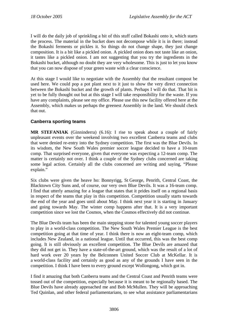I will do the daily job of sprinkling a bit of this stuff called Bokashi onto it, which starts the process. The material in the bucket does not decompose while it is in there; instead the Bokashi ferments or pickles it. So things do not change shape, they just change composition. It is a bit like a pickled onion. A pickled onion does not taste like an onion, it tastes like a pickled onion. I am not suggesting that you try the ingredients in the Bokashi bucket, although no doubt they are very wholesome. This is just to let you know that you can now dispose of your green waste with a clear conscience.

At this stage I would like to negotiate with the Assembly that the resultant compost be used here. We could pop a pot plant next to it just to show the very direct connection between the Bokashi bucket and the growth of plants. Perhaps I will do that. That bit is yet to be fully thought out but at this stage I will take responsibility for the waste. If you have any complaints, please see my office. Please use this new facility offered here at the Assembly, which makes us perhaps the greenest Assembly in the land. We should check that out.

# **Canberra sporting teams**

**MR STEFANIAK** (Ginninderra) (6.16): I rise to speak about a couple of fairly unpleasant events over the weekend involving two excellent Canberra teams and clubs that were denied re-entry into the Sydney competition. The first was the Blue Devils. In its wisdom, the New South Wales premier soccer league decided to have a 10-team comp. That surprised everyone, given that everyone was expecting a 12-team comp. The matter is certainly not over. I think a couple of the Sydney clubs concerned are taking some legal action. Certainly all the clubs concerned are writing and saying, "Please explain."

Six clubs were given the heave ho: Bonnyrigg, St George, Penrith, Central Coast, the Blacktown City Suns and, of course, our very own Blue Devils. It was a 16-team comp. I find that utterly amazing for a league that states that it prides itself on a regional basis in respect of the teams that play in this competition. Competition usually starts towards the end of the year and goes until about May. I think next year it is starting in January and going towards May. The winter comp happens after that. It is a very important competition since we lost the Cosmos, when the Cosmos effectively did not continue.

The Blue Devils team has been the main stepping stone for talented young soccer players to play in a world-class competition. The New South Wales Premier League is the best competition going at that time of year. I think there is now an eight-team comp, which includes New Zealand, in a national league. Until that occurred, this was the best comp going. It is still obviously an excellent competition. The Blue Devils are amazed that they did not get in. They have a state-of-the-art ground, which was the result of a lot of hard work over 20 years by the Belconnen United Soccer Club at McKellar. It is a world-class facility and certainly as good as any of the grounds I have seen in the competition. I think I have been to every ground except Wollongong, which got in.

I find it amazing that both Canberra teams and the Central Coast and Penrith teams were tossed out of the competition, especially because it is meant to be regionally based. The Blue Devils have already approached me and Bob McMullen. They will be approaching Ted Quinlan, and other federal parliamentarians, to see what assistance parliamentarians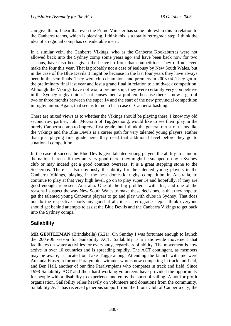can give them. I hear that even the Prime Minister has some interest in this in relation to the Canberra teams, which is pleasing. I think this is a totally retrograde step. I think the idea of a regional comp has considerable merit.

In a similar vein, the Canberra Vikings, who as the Canberra Kookaburras were not allowed back into the Sydney comp some years ago and have been back now for two seasons, have also been given the heave ho from that competition. They did not even make the four this year. That is probably not a case of jealousy by New South Wales, but in the case of the Blue Devils it might be because in the last four years they have always been in the semifinals. They were club champions and premiers in 2003-04. They got to the preliminary final last year and lost a grand final in relation to a midweek competition. Although the Vikings have not won a premiership, they were certainly very competitive in the Sydney rugby union. That causes them a problem because there is now a gap of two or three months between the super 14 and the start of the new provincial competition in rugby union. Again, that seems to me to be a case of Canberra-bashing.

There are mixed views as to whether the Vikings should be playing there. I know my old second row partner, John McGrath of Tuggeranong, would like to see them play in the purely Canberra comp to improve first grade, but I think the general thrust of teams like the Vikings and the Blue Devils is a career path for very talented young players. Rather than just playing first grade here, they need that additional level before they go to a national competition.

In the case of soccer, the Blue Devils give talented young players the ability to shine in the national arena. If they are very good there, they might be snapped up by a Sydney club or may indeed get a good contract overseas. It is a great stepping stone to the Socceroos. There is also obviously the ability for the talented young players in the Canberra Vikings, playing in the best domestic rugby competition in Australia, to continue to play at that very high level, go on to play super 14 and hopefully, if they are good enough, represent Australia. One of the big problems with this, and one of the reasons I suspect the way New South Wales to make these decisions, is that they hope to get the talented young Canberra players to go and play with clubs in Sydney. That does not do the respective sports any good at all; it is a retrograde step. I think everyone should get behind attempts to assist the Blue Devils and the Canberra Vikings to get back into the Sydney comps.

# **Sailability**

**MR GENTLEMAN** (Brindabella) (6.21): On Sunday I was fortunate enough to launch the 2005-06 season for Sailability ACT. Sailability is a nationwide movement that facilitates on-water activities for everybody, regardless of ability. The movement is now active in over 10 countries and is spreading rapidly. The ACT contingent, as members may be aware, is located on Lake Tuggeranong. Attending the launch with me were Amanda Fraser, a former Paralympic swimmer who is now competing in track and field, and Ben Hall, another of our fine Paralympians who competes in track and field. Since 1998 Sailability ACT and their hard-working volunteers have provided the opportunity for people with a disability to experience and enjoy the sport of sailing. A not-for-profit organisation, Sailability relies heavily on volunteers and donations from the community. Sailability ACT has received generous support from the Lions Club of Canberra city, the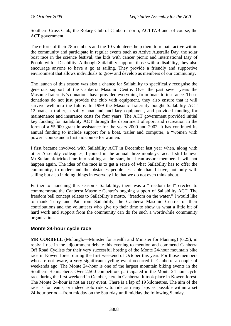Southern Cross Club, the Rotary Club of Canberra north, ACTTAB and, of course, the ACT government.

The efforts of their 78 members and the 10 volunteers help them to remain active within the community and participate in regular events such as Active Australia Day, the solar boat race in the science festival, the kids with cancer picnic and International Day of People with a Disability. Although Sailability supports those with a disability, they also encourage anyone to have a go at sailing. They provide a friendly and supportive environment that allows individuals to grow and develop as members of our community.

The launch of this season was also a chance for Sailability to specifically recognise the generous support of the Canberra Masonic Centre. Over the past seven years the Masonic fraternity's donations have provided everything from boats to insurance. These donations do not just provide the club with equipment, they also ensure that it will survive well into the future. In 1999 the Masonic fraternity bought Sailability ACT 12 boats, a trailer, a safety boat and ancillary equipment, and provided funding for maintenance and insurance costs for four years. The ACT government provided initial key funding for Sailability ACT through the department of sport and recreation in the form of a \$5,900 grant in assistance for the years 2000 and 2002. It has continued its annual funding to include support for a boat, trailer and computer, a "women with power" course and a first aid course for women.

I first became involved with Sailability ACT in December last year when, along with other Assembly colleagues, I joined in the annual three monkeys race. I still believe Mr Stefaniak tricked me into stalling at the start, but I can assure members it will not happen again. The idea of the race is to get a sense of what Sailability has to offer the community, to understand the obstacles people less able than I have, not only with sailing but also in doing things in everyday life that we do not even think about.

Further to launching this season's Sailability, there was a "freedom bell" erected to commemorate the Canberra Masonic Centre's ongoing support of Sailability ACT. The freedom bell concept relates to Sailability's motto, "freedom on the water." I would like to thank Terry and Pat from Sailability, the Canberra Masonic Centre for their contributions and the volunteers who give up their time to show us what a little bit of hard work and support from the community can do for such a worthwhile community organisation.

# **Monte 24-hour cycle race**

**MR CORBELL** (Molonglo—Minister for Health and Minister for Planning) (6.25), in reply: I rise in the adjournment debate this evening to mention and commend Canberra Off Road Cyclists for their very successful hosting of the Monte 24-hour mountain bike race in Kowen forest during the first weekend of October this year. For those members who are not aware, a very significant cycling event occurred in Canberra a couple of weekends ago. The Monte 24-hour is one of the largest mountain biking events in the Southern Hemisphere. Over 2,500 competitors participated in the Monte 24-hour cycle race during the first weekend in October, here in Canberra. It took place in Kowen forest. The Monte 24-hour is not an easy event. There is a lap of 19 kilometres. The aim of the race is for teams, or indeed solo riders, to ride as many laps as possible within a set 24-hour period—from midday on the Saturday until midday the following Sunday.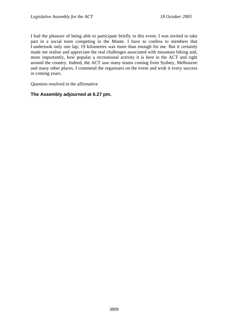I had the pleasure of being able to participate briefly in this event. I was invited to take part in a social team competing in the Monte. I have to confess to members that I undertook only one lap; 19 kilometres was more than enough for me. But it certainly made me realise and appreciate the real challenges associated with mountain biking and, more importantly, how popular a recreational activity it is here in the ACT and right around the country. Indeed, the ACT saw many teams coming from Sydney, Melbourne and many other places. I commend the organisers on the event and wish it every success in coming years.

Question resolved in the affirmative

# **The Assembly adjourned at 6.27 pm.**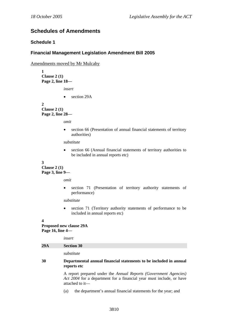# **Schedules of Amendments**

## **Schedule 1**

## **Financial Management Legislation Amendment Bill 2005**

Amendments moved by Mr Mulcahy

**1 Clause 2 (1) Page 2, line 18—** 

*insert* 

• section 29A

**2 Clause 2 (1) Page 2, line 28—** 

*omit* 

• section 66 (Presentation of annual financial statements of territory authorities)

*substitute* 

• section 66 (Annual financial statements of territory authorities to be included in annual reports etc)

#### **3**

**Clause 2 (1) Page 3, line 9—** 

*omit* 

section 71 (Presentation of territory authority statements of performance)

*substitute* 

• section 71 (Territory authority statements of performance to be included in annual reports etc)

#### **4**

**Proposed new clause 29A Page 16, line 4—** 

| 30  | Departmental annual financial statements to be included in annual<br>reports etc |
|-----|----------------------------------------------------------------------------------|
|     | substitute                                                                       |
| 29A | <b>Section 30</b>                                                                |
|     | insert                                                                           |

A report prepared under the *Annual Reports (Government Agencies) Act 2004* for a department for a financial year must include, or have attached to it—

(a) the department's annual financial statements for the year; and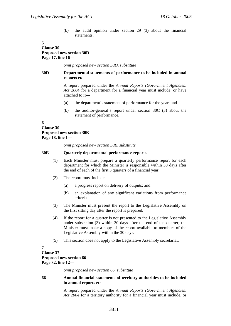(b) the audit opinion under section 29 (3) about the financial statements.

#### **5 Clause 30 Proposed new section 30D Page 17, line 16—**

*omit proposed new section 30D, substitute* 

#### **30D Departmental statements of performance to be included in annual reports etc**

A report prepared under the *Annual Reports (Government Agencies) Act 2004* for a department for a financial year must include, or have attached to it—

- (a) the department's statement of performance for the year; and
- (b) the auditor-general's report under section 30C (3) about the statement of performance.

**6 Clause 30 Proposed new section 30E Page 18, line 1—** 

*omit proposed new section 30E, substitute* 

#### **30E Quarterly departmental performance reports**

- (1) Each Minister must prepare a quarterly performance report for each department for which the Minister is responsible within 30 days after the end of each of the first 3 quarters of a financial year.
- (2) The report must include—
	- (a) a progress report on delivery of outputs; and
	- (b) an explanation of any significant variations from performance criteria.
- (3) The Minister must present the report to the Legislative Assembly on the first sitting day after the report is prepared.
- (4) If the report for a quarter is not presented to the Legislative Assembly under subsection (3) within 30 days after the end of the quarter, the Minister must make a copy of the report available to members of the Legislative Assembly within the 30 days.
- (5) This section does not apply to the Legislative Assembly secretariat.

**7** 

### **Clause 37 Proposed new section 66 Page 32, line 12—**

*omit proposed new section 66, substitute* 

#### **66 Annual financial statements of territory authorities to be included in annual reports etc**

A report prepared under the *Annual Reports (Government Agencies) Act 2004* for a territory authority for a financial year must include, or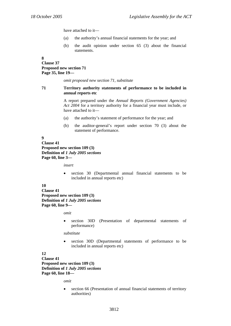have attached to it—

- (a) the authority's annual financial statements for the year; and
- (b) the audit opinion under section 65 (3) about the financial statements.

**8** 

### **Clause 37 Proposed new section 71 Page 35, line 19—**

*omit proposed new section 71, substitute* 

#### **71 Territory authority statements of performance to be included in annual reports etc**

A report prepared under the *Annual Reports (Government Agencies) Act 2004* for a territory authority for a financial year must include, or have attached to it—

- (a) the authority's statement of performance for the year; and
- (b) the auditor-general's report under section 70 (3) about the statement of performance.

#### **9 Clause 41 Proposed new section 109 (3) Definition of** *1 July 2005 sections* **Page 60, line 3—**

*insert* 

• section 30 (Departmental annual financial statements to be included in annual reports etc)

#### **10**

**Clause 41 Proposed new section 109 (3) Definition of** *1 July 2005 sections* **Page 60, line 9—** 

*omit* 

• section 30D (Presentation of departmental statements of performance)

*substitute* 

section 30D (Departmental statements of performance to be included in annual reports etc)

#### **12**

**Clause 41 Proposed new section 109 (3) Definition of** *1 July 2005 sections* **Page 60, line 18—** 

*omit* 

section 66 (Presentation of annual financial statements of territory authorities)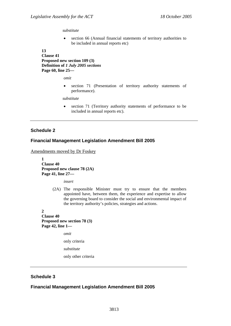#### *substitute*

• section 66 (Annual financial statements of territory authorities to be included in annual reports etc)

**13** 

**Clause 41 Proposed new section 109 (3) Definition of** *1 July 2005 sections* **Page 60, line 25—** 

*omit* 

• section 71 (Presentation of territory authority statements of performance).

*substitute* 

• section 71 (Territory authority statements of performance to be included in annual reports etc).

### **Schedule 2**

### **Financial Management Legislation Amendment Bill 2005**

Amendments moved by Dr Foskey

**1 Clause 40 Proposed new clause 78 (2A) Page 41, line 27—** 

*insert* 

(2A) The responsible Minister must try to ensure that the members appointed have, between them, the experience and expertise to allow the governing board to consider the social and environmental impact of the territory authority's policies, strategies and actions.

**2 Clause 40 Proposed new section 78 (3) Page 42, line 1—** 

*omit* 

only criteria

*substitute* 

only other criteria

### **Schedule 3**

## **Financial Management Legislation Amendment Bill 2005**